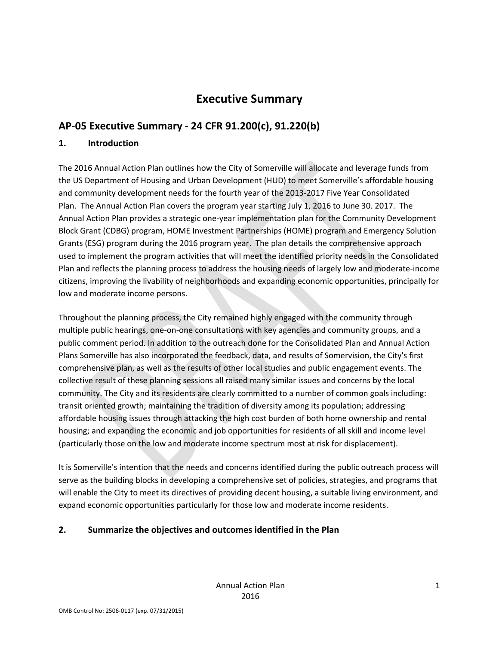# **Executive Summary**

## **AP‐05 Executive Summary ‐ 24 CFR 91.200(c), 91.220(b)**

### **1. Introduction**

The 2016 Annual Action Plan outlines how the City of Somerville will allocate and leverage funds from the US Department of Housing and Urban Development (HUD) to meet Somerville's affordable housing and community development needs for the fourth year of the 2013‐2017 Five Year Consolidated Plan. The Annual Action Plan covers the program year starting July 1, 2016 to June 30. 2017. The Annual Action Plan provides a strategic one‐year implementation plan for the Community Development Block Grant (CDBG) program, HOME Investment Partnerships (HOME) program and Emergency Solution Grants (ESG) program during the 2016 program year. The plan details the comprehensive approach used to implement the program activities that will meet the identified priority needs in the Consolidated Plan and reflects the planning process to address the housing needs of largely low and moderate‐income citizens, improving the livability of neighborhoods and expanding economic opportunities, principally for low and moderate income persons.

Throughout the planning process, the City remained highly engaged with the community through multiple public hearings, one‐on‐one consultations with key agencies and community groups, and a public comment period. In addition to the outreach done for the Consolidated Plan and Annual Action Plans Somerville has also incorporated the feedback, data, and results of Somervision, the City's first comprehensive plan, as well as the results of other local studies and public engagement events. The collective result of these planning sessions all raised many similar issues and concerns by the local community. The City and its residents are clearly committed to a number of common goals including: transit oriented growth; maintaining the tradition of diversity among its population; addressing affordable housing issues through attacking the high cost burden of both home ownership and rental housing; and expanding the economic and job opportunities for residents of all skill and income level (particularly those on the low and moderate income spectrum most at risk for displacement).

It is Somerville's intention that the needs and concerns identified during the public outreach process will serve as the building blocks in developing a comprehensive set of policies, strategies, and programs that will enable the City to meet its directives of providing decent housing, a suitable living environment, and expand economic opportunities particularly for those low and moderate income residents.

### **2. Summarize the objectives and outcomes identified in the Plan**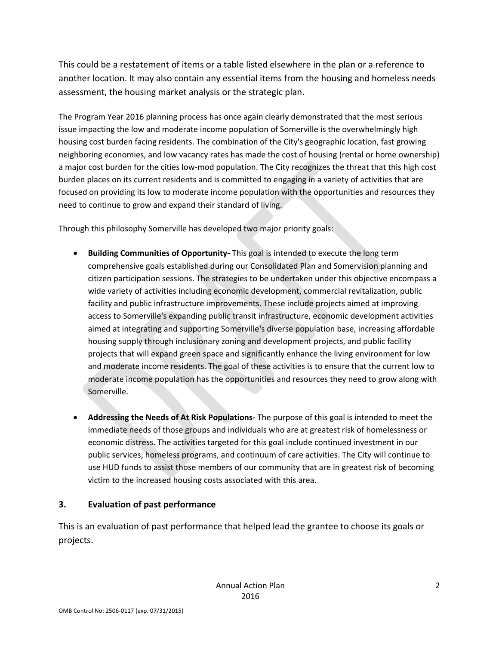This could be a restatement of items or a table listed elsewhere in the plan or a reference to another location. It may also contain any essential items from the housing and homeless needs assessment, the housing market analysis or the strategic plan.

The Program Year 2016 planning process has once again clearly demonstrated that the most serious issue impacting the low and moderate income population of Somerville is the overwhelmingly high housing cost burden facing residents. The combination of the City's geographic location, fast growing neighboring economies, and low vacancy rates has made the cost of housing (rental or home ownership) a major cost burden for the cities low-mod population. The City recognizes the threat that this high cost burden places on its current residents and is committed to engaging in a variety of activities that are focused on providing its low to moderate income population with the opportunities and resources they need to continue to grow and expand their standard of living.

Through this philosophy Somerville has developed two major priority goals:

- **Building Communities of Opportunity‐** This goal is intended to execute the long term comprehensive goals established during our Consolidated Plan and Somervision planning and citizen participation sessions. The strategies to be undertaken under this objective encompass a wide variety of activities including economic development, commercial revitalization, public facility and public infrastructure improvements. These include projects aimed at improving access to Somerville's expanding public transit infrastructure, economic development activities aimed at integrating and supporting Somerville's diverse population base, increasing affordable housing supply through inclusionary zoning and development projects, and public facility projects that will expand green space and significantly enhance the living environment for low and moderate income residents. The goal of these activities is to ensure that the current low to moderate income population has the opportunities and resources they need to grow along with Somerville.
- **Addressing the Needs of At Risk Populations‐** The purpose of this goal is intended to meet the immediate needs of those groups and individuals who are at greatest risk of homelessness or economic distress. The activities targeted for this goal include continued investment in our public services, homeless programs, and continuum of care activities. The City will continue to use HUD funds to assist those members of our community that are in greatest risk of becoming victim to the increased housing costs associated with this area.

### **3. Evaluation of past performance**

This is an evaluation of past performance that helped lead the grantee to choose its goals or projects.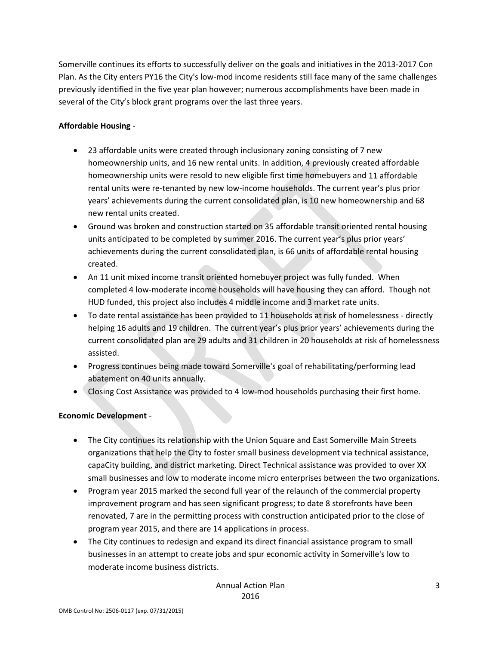Somerville continues its efforts to successfully deliver on the goals and initiatives in the 2013‐2017 Con Plan. As the City enters PY16 the City's low‐mod income residents still face many of the same challenges previously identified in the five year plan however; numerous accomplishments have been made in several of the City's block grant programs over the last three years.

#### **Affordable Housing** ‐

- 23 affordable units were created through inclusionary zoning consisting of 7 new homeownership units, and 16 new rental units. In addition, 4 previously created affordable homeownership units were resold to new eligible first time homebuyers and 11 affordable rental units were re-tenanted by new low-income households. The current year's plus prior years' achievements during the current consolidated plan, is 10 new homeownership and 68 new rental units created.
- Ground was broken and construction started on 35 affordable transit oriented rental housing units anticipated to be completed by summer 2016. The current year's plus prior years' achievements during the current consolidated plan, is 66 units of affordable rental housing created.
- An 11 unit mixed income transit oriented homebuyer project was fully funded. When completed 4 low‐moderate income households will have housing they can afford. Though not HUD funded, this project also includes 4 middle income and 3 market rate units.
- To date rental assistance has been provided to 11 households at risk of homelessness directly helping 16 adults and 19 children. The current year's plus prior years' achievements during the current consolidated plan are 29 adults and 31 children in 20 households at risk of homelessness assisted.
- Progress continues being made toward Somerville's goal of rehabilitating/performing lead abatement on 40 units annually.
- Closing Cost Assistance was provided to 4 low-mod households purchasing their first home.

#### **Economic Development** ‐

- The City continues its relationship with the Union Square and East Somerville Main Streets organizations that help the City to foster small business development via technical assistance, capaCity building, and district marketing. Direct Technical assistance was provided to over XX small businesses and low to moderate income micro enterprises between the two organizations.
- Program year 2015 marked the second full year of the relaunch of the commercial property improvement program and has seen significant progress; to date 8 storefronts have been renovated, 7 are in the permitting process with construction anticipated prior to the close of program year 2015, and there are 14 applications in process.
- The City continues to redesign and expand its direct financial assistance program to small businesses in an attempt to create jobs and spur economic activity in Somerville's low to moderate income business districts.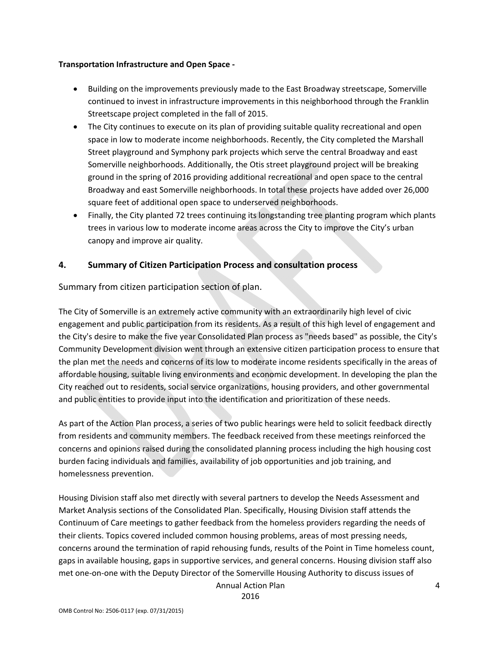#### **Transportation Infrastructure and Open Space ‐**

- Building on the improvements previously made to the East Broadway streetscape, Somerville continued to invest in infrastructure improvements in this neighborhood through the Franklin Streetscape project completed in the fall of 2015.
- The City continues to execute on its plan of providing suitable quality recreational and open space in low to moderate income neighborhoods. Recently, the City completed the Marshall Street playground and Symphony park projects which serve the central Broadway and east Somerville neighborhoods. Additionally, the Otis street playground project will be breaking ground in the spring of 2016 providing additional recreational and open space to the central Broadway and east Somerville neighborhoods. In total these projects have added over 26,000 square feet of additional open space to underserved neighborhoods.
- Finally, the City planted 72 trees continuing its longstanding tree planting program which plants trees in various low to moderate income areas across the City to improve the City's urban canopy and improve air quality.

#### **4. Summary of Citizen Participation Process and consultation process**

Summary from citizen participation section of plan.

The City of Somerville is an extremely active community with an extraordinarily high level of civic engagement and public participation from its residents. As a result of this high level of engagement and the City's desire to make the five year Consolidated Plan process as "needs based" as possible, the City's Community Development division went through an extensive citizen participation process to ensure that the plan met the needs and concerns of its low to moderate income residents specifically in the areas of affordable housing, suitable living environments and economic development. In developing the plan the City reached out to residents, social service organizations, housing providers, and other governmental and public entities to provide input into the identification and prioritization of these needs.

As part of the Action Plan process, a series of two public hearings were held to solicit feedback directly from residents and community members. The feedback received from these meetings reinforced the concerns and opinions raised during the consolidated planning process including the high housing cost burden facing individuals and families, availability of job opportunities and job training, and homelessness prevention.

Housing Division staff also met directly with several partners to develop the Needs Assessment and Market Analysis sections of the Consolidated Plan. Specifically, Housing Division staff attends the Continuum of Care meetings to gather feedback from the homeless providers regarding the needs of their clients. Topics covered included common housing problems, areas of most pressing needs, concerns around the termination of rapid rehousing funds, results of the Point in Time homeless count, gaps in available housing, gaps in supportive services, and general concerns. Housing division staff also met one‐on‐one with the Deputy Director of the Somerville Housing Authority to discuss issues of

Annual Action Plan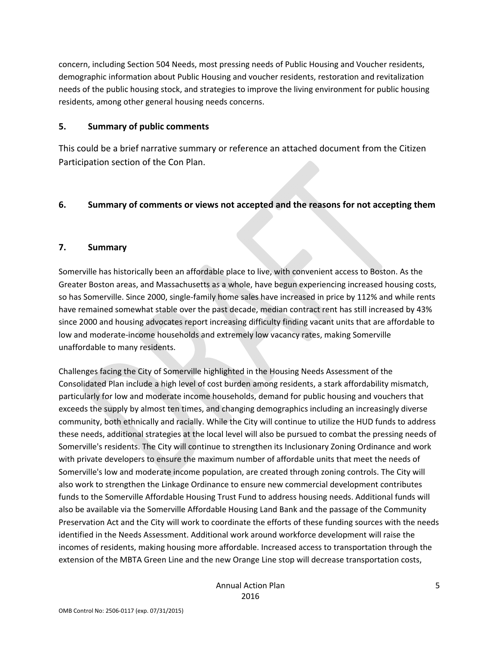concern, including Section 504 Needs, most pressing needs of Public Housing and Voucher residents, demographic information about Public Housing and voucher residents, restoration and revitalization needs of the public housing stock, and strategies to improve the living environment for public housing residents, among other general housing needs concerns.

#### **5. Summary of public comments**

This could be a brief narrative summary or reference an attached document from the Citizen Participation section of the Con Plan.

### **6. Summary of comments or views not accepted and the reasons for not accepting them**

#### **7. Summary**

Somerville has historically been an affordable place to live, with convenient access to Boston. As the Greater Boston areas, and Massachusetts as a whole, have begun experiencing increased housing costs, so has Somerville. Since 2000, single-family home sales have increased in price by 112% and while rents have remained somewhat stable over the past decade, median contract rent has still increased by 43% since 2000 and housing advocates report increasing difficulty finding vacant units that are affordable to low and moderate‐income households and extremely low vacancy rates, making Somerville unaffordable to many residents.

Challenges facing the City of Somerville highlighted in the Housing Needs Assessment of the Consolidated Plan include a high level of cost burden among residents, a stark affordability mismatch, particularly for low and moderate income households, demand for public housing and vouchers that exceeds the supply by almost ten times, and changing demographics including an increasingly diverse community, both ethnically and racially. While the City will continue to utilize the HUD funds to address these needs, additional strategies at the local level will also be pursued to combat the pressing needs of Somerville's residents. The City will continue to strengthen its Inclusionary Zoning Ordinance and work with private developers to ensure the maximum number of affordable units that meet the needs of Somerville's low and moderate income population, are created through zoning controls. The City will also work to strengthen the Linkage Ordinance to ensure new commercial development contributes funds to the Somerville Affordable Housing Trust Fund to address housing needs. Additional funds will also be available via the Somerville Affordable Housing Land Bank and the passage of the Community Preservation Act and the City will work to coordinate the efforts of these funding sources with the needs identified in the Needs Assessment. Additional work around workforce development will raise the incomes of residents, making housing more affordable. Increased access to transportation through the extension of the MBTA Green Line and the new Orange Line stop will decrease transportation costs,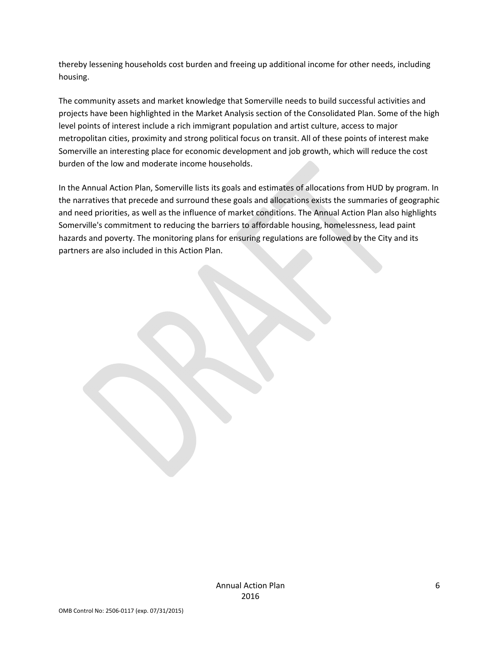thereby lessening households cost burden and freeing up additional income for other needs, including housing.

The community assets and market knowledge that Somerville needs to build successful activities and projects have been highlighted in the Market Analysis section of the Consolidated Plan. Some of the high level points of interest include a rich immigrant population and artist culture, access to major metropolitan cities, proximity and strong political focus on transit. All of these points of interest make Somerville an interesting place for economic development and job growth, which will reduce the cost burden of the low and moderate income households.

In the Annual Action Plan, Somerville lists its goals and estimates of allocations from HUD by program. In the narratives that precede and surround these goals and allocations exists the summaries of geographic and need priorities, as well as the influence of market conditions. The Annual Action Plan also highlights Somerville's commitment to reducing the barriers to affordable housing, homelessness, lead paint hazards and poverty. The monitoring plans for ensuring regulations are followed by the City and its partners are also included in this Action Plan.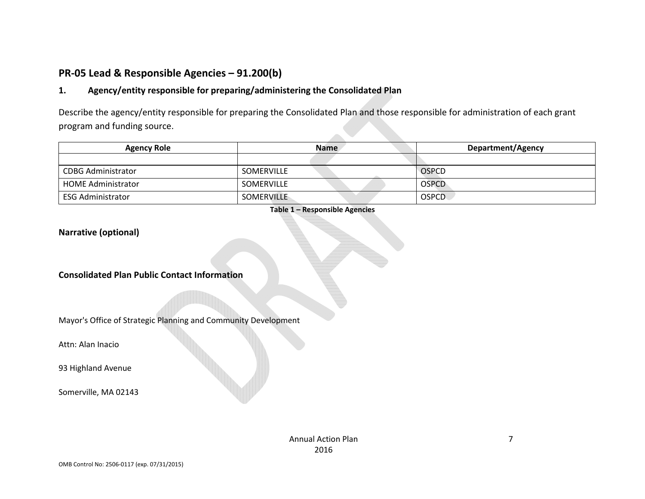### **PR‐05 Lead & Responsible Agencies – 91.200(b)**

#### **1.Agency/entity responsible for preparing/administering the Consolidated Plan**

Describe the agency/entity responsible for preparing the Consolidated Plan and those responsible for administration of each grant program and funding source.

| <b>Agency Role</b>        | <b>Name</b>       | <b>Department/Agency</b> |
|---------------------------|-------------------|--------------------------|
|                           |                   |                          |
| CDBG Administrator        | <b>SOMERVILLE</b> | <b>OSPCD</b>             |
| <b>HOME Administrator</b> | <b>SOMERVILLE</b> | <b>OSPCD</b>             |
| ESG Administrator         | <b>SOMERVILLE</b> | OSPCD                    |

**Table 1 – Responsible Agencies**

#### **Narrative (optional)**

#### **Consolidated Plan Public Contact Information**

Mayor's Office of Strategic Planning and Community Development

Attn: Alan Inacio

93 Highland Avenue

Somerville, MA 02143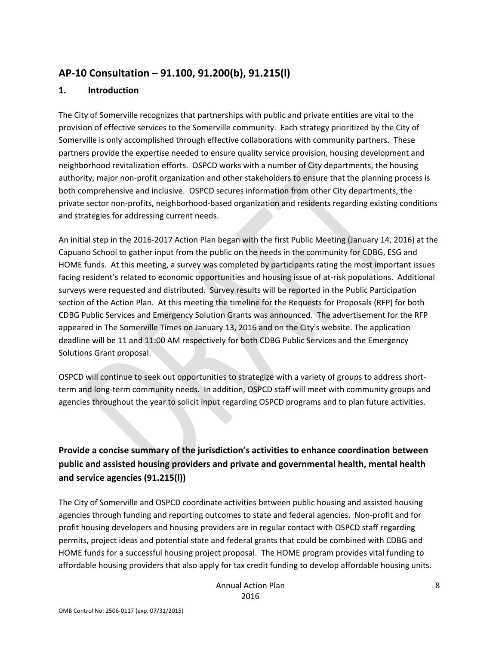### **AP‐10 Consultation – 91.100, 91.200(b), 91.215(l)**

#### **1. Introduction**

The City of Somerville recognizes that partnerships with public and private entities are vital to the provision of effective services to the Somerville community. Each strategy prioritized by the City of Somerville is only accomplished through effective collaborations with community partners. These partners provide the expertise needed to ensure quality service provision, housing development and neighborhood revitalization efforts. OSPCD works with a number of City departments, the housing authority, major non‐profit organization and other stakeholders to ensure that the planning process is both comprehensive and inclusive. OSPCD secures information from other City departments, the private sector non‐profits, neighborhood‐based organization and residents regarding existing conditions and strategies for addressing current needs.

An initial step in the 2016‐2017 Action Plan began with the first Public Meeting (January 14, 2016) at the Capuano School to gather input from the public on the needs in the community for CDBG, ESG and HOME funds. At this meeting, a survey was completed by participants rating the most important issues facing resident's related to economic opportunities and housing issue of at-risk populations. Additional surveys were requested and distributed. Survey results will be reported in the Public Participation section of the Action Plan. At this meeting the timeline for the Requests for Proposals (RFP) for both CDBG Public Services and Emergency Solution Grants was announced. The advertisement for the RFP appeared in The Somerville Times on January 13, 2016 and on the City's website. The application deadline will be 11 and 11:00 AM respectively for both CDBG Public Services and the Emergency Solutions Grant proposal.

OSPCD will continue to seek out opportunities to strategize with a variety of groups to address short‐ term and long-term community needs. In addition, OSPCD staff will meet with community groups and agencies throughout the year to solicit input regarding OSPCD programs and to plan future activities.

### **Provide a concise summary of the jurisdiction's activities to enhance coordination between public and assisted housing providers and private and governmental health, mental health and service agencies (91.215(l))**

The City of Somerville and OSPCD coordinate activities between public housing and assisted housing agencies through funding and reporting outcomes to state and federal agencies. Non‐profit and for profit housing developers and housing providers are in regular contact with OSPCD staff regarding permits, project ideas and potential state and federal grants that could be combined with CDBG and HOME funds for a successful housing project proposal. The HOME program provides vital funding to affordable housing providers that also apply for tax credit funding to develop affordable housing units.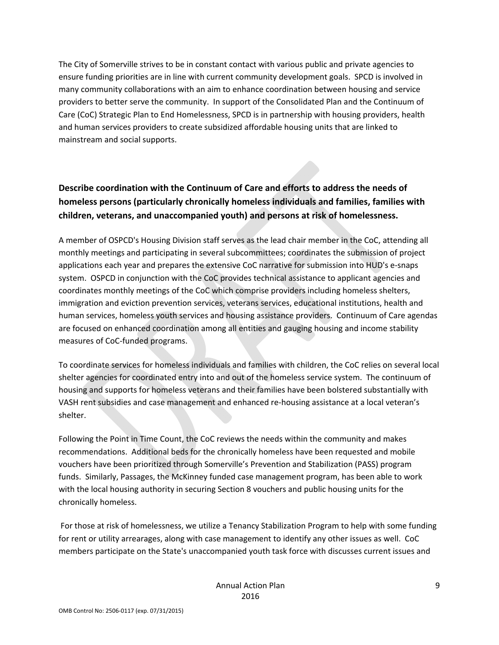The City of Somerville strives to be in constant contact with various public and private agencies to ensure funding priorities are in line with current community development goals. SPCD is involved in many community collaborations with an aim to enhance coordination between housing and service providers to better serve the community. In support of the Consolidated Plan and the Continuum of Care (CoC) Strategic Plan to End Homelessness, SPCD is in partnership with housing providers, health and human services providers to create subsidized affordable housing units that are linked to mainstream and social supports.

### **Describe coordination with the Continuum of Care and efforts to address the needs of homeless persons (particularly chronically homeless individuals and families, families with children, veterans, and unaccompanied youth) and persons at risk of homelessness.**

A member of OSPCD's Housing Division staff serves as the lead chair member in the CoC, attending all monthly meetings and participating in several subcommittees; coordinates the submission of project applications each year and prepares the extensive CoC narrative for submission into HUD's e-snaps system. OSPCD in conjunction with the CoC provides technical assistance to applicant agencies and coordinates monthly meetings of the CoC which comprise providers including homeless shelters, immigration and eviction prevention services, veterans services, educational institutions, health and human services, homeless youth services and housing assistance providers. Continuum of Care agendas are focused on enhanced coordination among all entities and gauging housing and income stability measures of CoC‐funded programs.

To coordinate services for homeless individuals and families with children, the CoC relies on several local shelter agencies for coordinated entry into and out of the homeless service system. The continuum of housing and supports for homeless veterans and their families have been bolstered substantially with VASH rent subsidies and case management and enhanced re‐housing assistance at a local veteran's shelter.

Following the Point in Time Count, the CoC reviews the needs within the community and makes recommendations. Additional beds for the chronically homeless have been requested and mobile vouchers have been prioritized through Somerville's Prevention and Stabilization (PASS) program funds. Similarly, Passages, the McKinney funded case management program, has been able to work with the local housing authority in securing Section 8 vouchers and public housing units for the chronically homeless.

For those at risk of homelessness, we utilize a Tenancy Stabilization Program to help with some funding for rent or utility arrearages, along with case management to identify any other issues as well. CoC members participate on the State's unaccompanied youth task force with discusses current issues and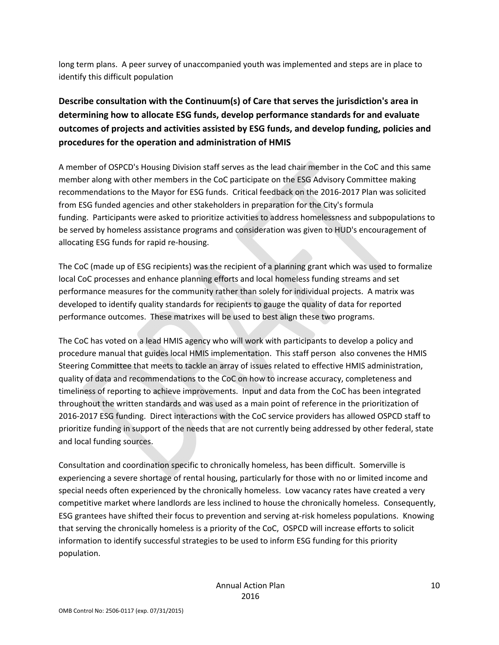long term plans. A peer survey of unaccompanied youth was implemented and steps are in place to identify this difficult population

## **Describe consultation with the Continuum(s) of Care that serves the jurisdiction's area in determining how to allocate ESG funds, develop performance standards for and evaluate outcomes of projects and activities assisted by ESG funds, and develop funding, policies and procedures for the operation and administration of HMIS**

A member of OSPCD's Housing Division staff serves as the lead chair member in the CoC and this same member along with other members in the CoC participate on the ESG Advisory Committee making recommendations to the Mayor for ESG funds. Critical feedback on the 2016‐2017 Plan was solicited from ESG funded agencies and other stakeholders in preparation for the City's formula funding. Participants were asked to prioritize activities to address homelessness and subpopulations to be served by homeless assistance programs and consideration was given to HUD's encouragement of allocating ESG funds for rapid re‐housing.

The CoC (made up of ESG recipients) was the recipient of a planning grant which was used to formalize local CoC processes and enhance planning efforts and local homeless funding streams and set performance measures for the community rather than solely for individual projects. A matrix was developed to identify quality standards for recipients to gauge the quality of data for reported performance outcomes. These matrixes will be used to best align these two programs.

The CoC has voted on a lead HMIS agency who will work with participants to develop a policy and procedure manual that guides local HMIS implementation. This staff person also convenes the HMIS Steering Committee that meets to tackle an array of issues related to effective HMIS administration, quality of data and recommendations to the CoC on how to increase accuracy, completeness and timeliness of reporting to achieve improvements. Input and data from the CoC has been integrated throughout the written standards and was used as a main point of reference in the prioritization of 2016‐2017 ESG funding. Direct interactions with the CoC service providers has allowed OSPCD staff to prioritize funding in support of the needs that are not currently being addressed by other federal, state and local funding sources.

Consultation and coordination specific to chronically homeless, has been difficult. Somerville is experiencing a severe shortage of rental housing, particularly for those with no or limited income and special needs often experienced by the chronically homeless. Low vacancy rates have created a very competitive market where landlords are less inclined to house the chronically homeless. Consequently, ESG grantees have shifted their focus to prevention and serving at‐risk homeless populations. Knowing that serving the chronically homeless is a priority of the CoC, OSPCD will increase efforts to solicit information to identify successful strategies to be used to inform ESG funding for this priority population.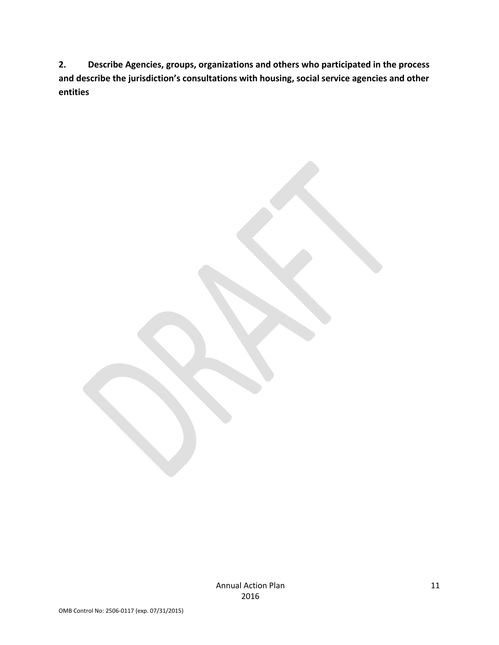**2. Describe Agencies, groups, organizations and others who participated in the process and describe the jurisdiction's consultations with housing, social service agencies and other entities**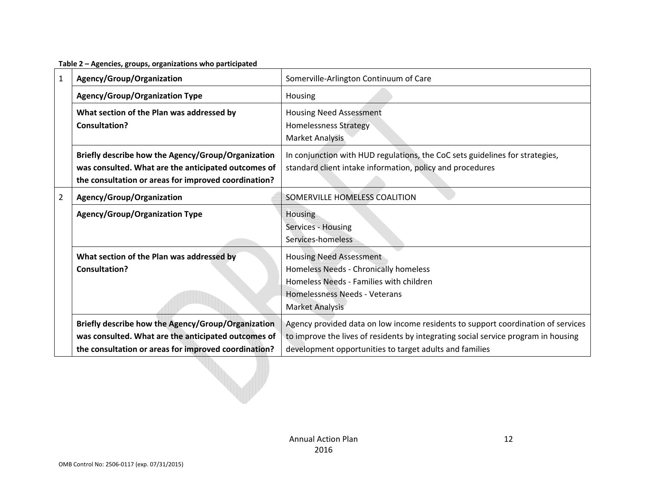**Table 2 – Agencies, groups, organizations who participated**

| $\mathbf{1}$   | Agency/Group/Organization                                                                                                                                         | Somerville-Arlington Continuum of Care                                                                                                                                                                                            |
|----------------|-------------------------------------------------------------------------------------------------------------------------------------------------------------------|-----------------------------------------------------------------------------------------------------------------------------------------------------------------------------------------------------------------------------------|
|                | <b>Agency/Group/Organization Type</b>                                                                                                                             | Housing                                                                                                                                                                                                                           |
|                | What section of the Plan was addressed by<br><b>Consultation?</b>                                                                                                 | <b>Housing Need Assessment</b><br><b>Homelessness Strategy</b><br><b>Market Analysis</b>                                                                                                                                          |
|                | Briefly describe how the Agency/Group/Organization<br>was consulted. What are the anticipated outcomes of<br>the consultation or areas for improved coordination? | In conjunction with HUD regulations, the CoC sets guidelines for strategies,<br>standard client intake information, policy and procedures                                                                                         |
| $\overline{2}$ | Agency/Group/Organization                                                                                                                                         | SOMERVILLE HOMELESS COALITION                                                                                                                                                                                                     |
|                | <b>Agency/Group/Organization Type</b>                                                                                                                             | <b>Housing</b><br>Services - Housing<br>Services-homeless                                                                                                                                                                         |
|                | What section of the Plan was addressed by<br>Consultation?                                                                                                        | <b>Housing Need Assessment</b><br>Homeless Needs - Chronically homeless<br>Homeless Needs - Families with children<br>Homelessness Needs - Veterans<br><b>Market Analysis</b>                                                     |
|                | Briefly describe how the Agency/Group/Organization<br>was consulted. What are the anticipated outcomes of<br>the consultation or areas for improved coordination? | Agency provided data on low income residents to support coordination of services<br>to improve the lives of residents by integrating social service program in housing<br>development opportunities to target adults and families |
|                |                                                                                                                                                                   |                                                                                                                                                                                                                                   |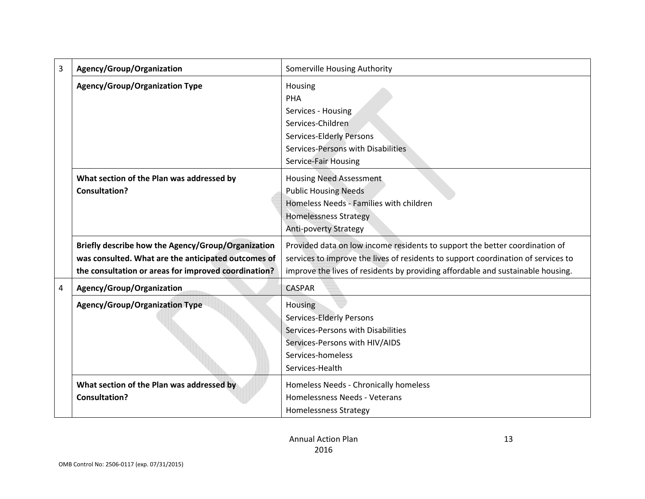| 3 | Agency/Group/Organization                                                                                                                                         | Somerville Housing Authority                                                                                                                                                                                                                        |
|---|-------------------------------------------------------------------------------------------------------------------------------------------------------------------|-----------------------------------------------------------------------------------------------------------------------------------------------------------------------------------------------------------------------------------------------------|
|   | <b>Agency/Group/Organization Type</b>                                                                                                                             | Housing<br>PHA<br>Services - Housing<br>Services-Children<br>Services-Elderly Persons<br>Services-Persons with Disabilities<br>Service-Fair Housing                                                                                                 |
|   | What section of the Plan was addressed by<br><b>Consultation?</b>                                                                                                 | <b>Housing Need Assessment</b><br><b>Public Housing Needs</b><br>Homeless Needs - Families with children<br><b>Homelessness Strategy</b><br><b>Anti-poverty Strategy</b>                                                                            |
|   | Briefly describe how the Agency/Group/Organization<br>was consulted. What are the anticipated outcomes of<br>the consultation or areas for improved coordination? | Provided data on low income residents to support the better coordination of<br>services to improve the lives of residents to support coordination of services to<br>improve the lives of residents by providing affordable and sustainable housing. |
| 4 | Agency/Group/Organization                                                                                                                                         | <b>CASPAR</b>                                                                                                                                                                                                                                       |
|   | <b>Agency/Group/Organization Type</b>                                                                                                                             | Housing<br><b>Services-Elderly Persons</b><br>Services-Persons with Disabilities<br>Services-Persons with HIV/AIDS<br>Services-homeless<br>Services-Health                                                                                          |
|   | What section of the Plan was addressed by<br><b>Consultation?</b>                                                                                                 | Homeless Needs - Chronically homeless<br>Homelessness Needs - Veterans<br><b>Homelessness Strategy</b>                                                                                                                                              |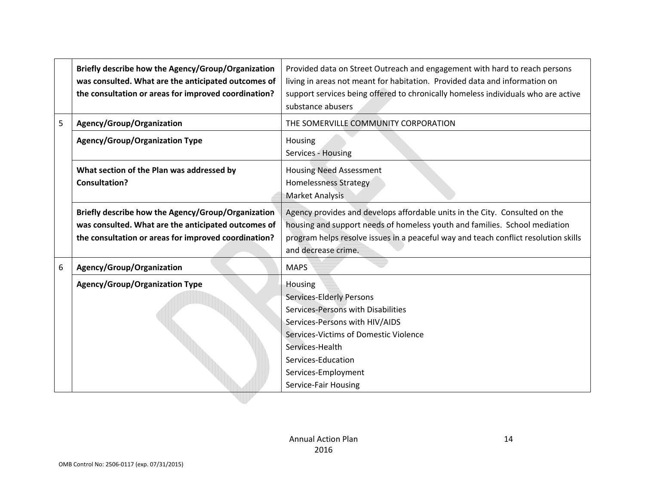|   | Briefly describe how the Agency/Group/Organization<br>was consulted. What are the anticipated outcomes of<br>the consultation or areas for improved coordination? | Provided data on Street Outreach and engagement with hard to reach persons<br>living in areas not meant for habitation. Provided data and information on<br>support services being offered to chronically homeless individuals who are active<br>substance abusers      |
|---|-------------------------------------------------------------------------------------------------------------------------------------------------------------------|-------------------------------------------------------------------------------------------------------------------------------------------------------------------------------------------------------------------------------------------------------------------------|
| 5 | Agency/Group/Organization                                                                                                                                         | THE SOMERVILLE COMMUNITY CORPORATION                                                                                                                                                                                                                                    |
|   | <b>Agency/Group/Organization Type</b>                                                                                                                             | Housing<br>Services - Housing                                                                                                                                                                                                                                           |
|   | What section of the Plan was addressed by<br><b>Consultation?</b>                                                                                                 | <b>Housing Need Assessment</b><br>Homelessness Strategy<br><b>Market Analysis</b>                                                                                                                                                                                       |
|   | Briefly describe how the Agency/Group/Organization<br>was consulted. What are the anticipated outcomes of<br>the consultation or areas for improved coordination? | Agency provides and develops affordable units in the City. Consulted on the<br>housing and support needs of homeless youth and families. School mediation<br>program helps resolve issues in a peaceful way and teach conflict resolution skills<br>and decrease crime. |
| 6 | Agency/Group/Organization                                                                                                                                         | <b>MAPS</b>                                                                                                                                                                                                                                                             |
|   | <b>Agency/Group/Organization Type</b>                                                                                                                             | Housing<br><b>Services-Elderly Persons</b><br>Services-Persons with Disabilities<br>Services-Persons with HIV/AIDS<br>Services-Victims of Domestic Violence<br>Services-Health<br>Services-Education<br>Services-Employment<br>Service-Fair Housing                     |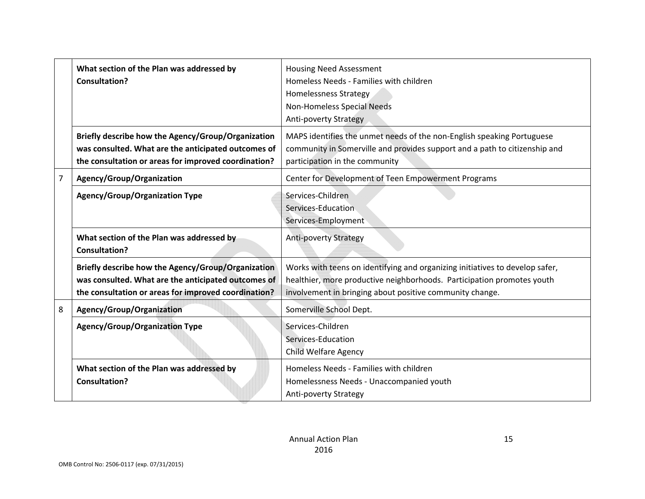|   | What section of the Plan was addressed by<br><b>Consultation?</b>                                                                                                 | <b>Housing Need Assessment</b><br>Homeless Needs - Families with children<br><b>Homelessness Strategy</b><br>Non-Homeless Special Needs<br>Anti-poverty Strategy                                                   |
|---|-------------------------------------------------------------------------------------------------------------------------------------------------------------------|--------------------------------------------------------------------------------------------------------------------------------------------------------------------------------------------------------------------|
|   | Briefly describe how the Agency/Group/Organization<br>was consulted. What are the anticipated outcomes of<br>the consultation or areas for improved coordination? | MAPS identifies the unmet needs of the non-English speaking Portuguese<br>community in Somerville and provides support and a path to citizenship and<br>participation in the community                             |
| 7 | Agency/Group/Organization                                                                                                                                         | Center for Development of Teen Empowerment Programs                                                                                                                                                                |
|   | <b>Agency/Group/Organization Type</b>                                                                                                                             | Services-Children<br>Services-Education<br>Services-Employment                                                                                                                                                     |
|   | What section of the Plan was addressed by<br>Consultation?                                                                                                        | <b>Anti-poverty Strategy</b>                                                                                                                                                                                       |
|   | Briefly describe how the Agency/Group/Organization<br>was consulted. What are the anticipated outcomes of<br>the consultation or areas for improved coordination? | Works with teens on identifying and organizing initiatives to develop safer,<br>healthier, more productive neighborhoods. Participation promotes youth<br>involvement in bringing about positive community change. |
| 8 | Agency/Group/Organization                                                                                                                                         | Somerville School Dept.                                                                                                                                                                                            |
|   | <b>Agency/Group/Organization Type</b>                                                                                                                             | Services-Children<br>Services-Education<br>Child Welfare Agency                                                                                                                                                    |
|   | What section of the Plan was addressed by<br><b>Consultation?</b>                                                                                                 | Homeless Needs - Families with children<br>Homelessness Needs - Unaccompanied youth<br>Anti-poverty Strategy                                                                                                       |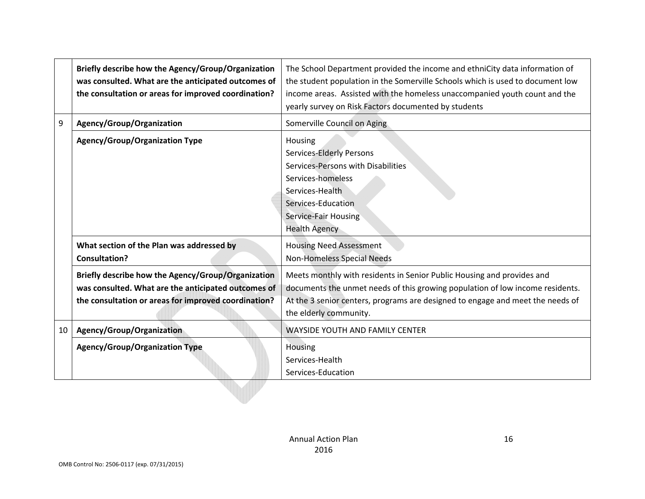|    | Briefly describe how the Agency/Group/Organization<br>was consulted. What are the anticipated outcomes of<br>the consultation or areas for improved coordination? | The School Department provided the income and ethniCity data information of<br>the student population in the Somerville Schools which is used to document low<br>income areas. Assisted with the homeless unaccompanied youth count and the<br>yearly survey on Risk Factors documented by students |
|----|-------------------------------------------------------------------------------------------------------------------------------------------------------------------|-----------------------------------------------------------------------------------------------------------------------------------------------------------------------------------------------------------------------------------------------------------------------------------------------------|
| 9  | Agency/Group/Organization                                                                                                                                         | Somerville Council on Aging                                                                                                                                                                                                                                                                         |
|    | <b>Agency/Group/Organization Type</b>                                                                                                                             | Housing<br><b>Services-Elderly Persons</b><br>Services-Persons with Disabilities<br>Services-homeless<br>Services-Health<br>Services-Education<br>Service-Fair Housing<br><b>Health Agency</b>                                                                                                      |
|    | What section of the Plan was addressed by<br><b>Consultation?</b>                                                                                                 | <b>Housing Need Assessment</b><br><b>Non-Homeless Special Needs</b>                                                                                                                                                                                                                                 |
|    | Briefly describe how the Agency/Group/Organization<br>was consulted. What are the anticipated outcomes of<br>the consultation or areas for improved coordination? | Meets monthly with residents in Senior Public Housing and provides and<br>documents the unmet needs of this growing population of low income residents.<br>At the 3 senior centers, programs are designed to engage and meet the needs of<br>the elderly community.                                 |
| 10 | Agency/Group/Organization                                                                                                                                         | <b>WAYSIDE YOUTH AND FAMILY CENTER</b>                                                                                                                                                                                                                                                              |
|    | <b>Agency/Group/Organization Type</b>                                                                                                                             | Housing<br>Services-Health<br>Services-Education                                                                                                                                                                                                                                                    |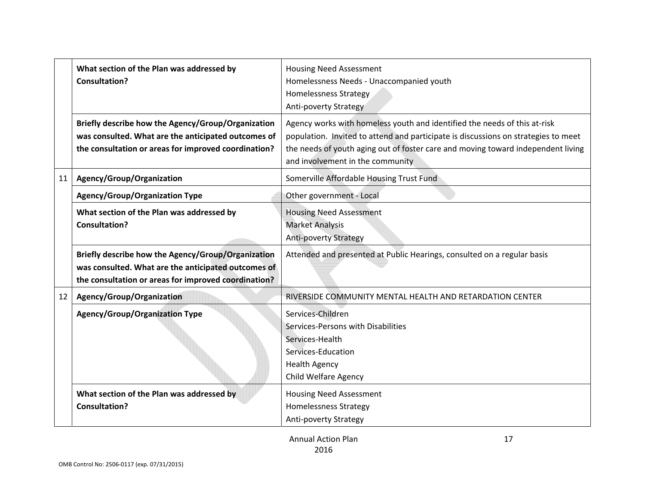|    | What section of the Plan was addressed by<br><b>Consultation?</b>                                                                                                 | <b>Housing Need Assessment</b><br>Homelessness Needs - Unaccompanied youth<br><b>Homelessness Strategy</b><br>Anti-poverty Strategy                                                                                                                                                     |
|----|-------------------------------------------------------------------------------------------------------------------------------------------------------------------|-----------------------------------------------------------------------------------------------------------------------------------------------------------------------------------------------------------------------------------------------------------------------------------------|
|    | Briefly describe how the Agency/Group/Organization<br>was consulted. What are the anticipated outcomes of<br>the consultation or areas for improved coordination? | Agency works with homeless youth and identified the needs of this at-risk<br>population. Invited to attend and participate is discussions on strategies to meet<br>the needs of youth aging out of foster care and moving toward independent living<br>and involvement in the community |
| 11 | Agency/Group/Organization                                                                                                                                         | Somerville Affordable Housing Trust Fund                                                                                                                                                                                                                                                |
|    | <b>Agency/Group/Organization Type</b>                                                                                                                             | Other government - Local                                                                                                                                                                                                                                                                |
|    | What section of the Plan was addressed by<br><b>Consultation?</b>                                                                                                 | <b>Housing Need Assessment</b><br><b>Market Analysis</b><br>Anti-poverty Strategy                                                                                                                                                                                                       |
|    | Briefly describe how the Agency/Group/Organization<br>was consulted. What are the anticipated outcomes of<br>the consultation or areas for improved coordination? | Attended and presented at Public Hearings, consulted on a regular basis                                                                                                                                                                                                                 |
| 12 | Agency/Group/Organization                                                                                                                                         | RIVERSIDE COMMUNITY MENTAL HEALTH AND RETARDATION CENTER                                                                                                                                                                                                                                |
|    | <b>Agency/Group/Organization Type</b>                                                                                                                             | Services-Children<br>Services-Persons with Disabilities<br>Services-Health<br>Services-Education<br><b>Health Agency</b><br>Child Welfare Agency                                                                                                                                        |
|    | What section of the Plan was addressed by<br><b>Consultation?</b>                                                                                                 | <b>Housing Need Assessment</b><br><b>Homelessness Strategy</b><br>Anti-poverty Strategy                                                                                                                                                                                                 |

17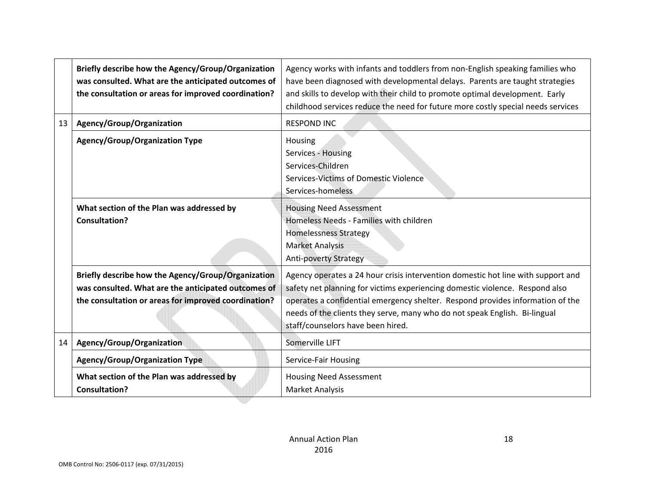|    | Briefly describe how the Agency/Group/Organization<br>was consulted. What are the anticipated outcomes of<br>the consultation or areas for improved coordination? | Agency works with infants and toddlers from non-English speaking families who<br>have been diagnosed with developmental delays. Parents are taught strategies<br>and skills to develop with their child to promote optimal development. Early<br>childhood services reduce the need for future more costly special needs services                                     |
|----|-------------------------------------------------------------------------------------------------------------------------------------------------------------------|-----------------------------------------------------------------------------------------------------------------------------------------------------------------------------------------------------------------------------------------------------------------------------------------------------------------------------------------------------------------------|
| 13 | Agency/Group/Organization                                                                                                                                         | <b>RESPOND INC</b>                                                                                                                                                                                                                                                                                                                                                    |
|    | <b>Agency/Group/Organization Type</b>                                                                                                                             | Housing<br>Services - Housing<br>Services-Children<br>Services-Victims of Domestic Violence<br>Services-homeless                                                                                                                                                                                                                                                      |
|    | What section of the Plan was addressed by<br><b>Consultation?</b>                                                                                                 | <b>Housing Need Assessment</b><br>Homeless Needs - Families with children<br><b>Homelessness Strategy</b><br><b>Market Analysis</b><br><b>Anti-poverty Strategy</b>                                                                                                                                                                                                   |
|    | Briefly describe how the Agency/Group/Organization<br>was consulted. What are the anticipated outcomes of<br>the consultation or areas for improved coordination? | Agency operates a 24 hour crisis intervention domestic hot line with support and<br>safety net planning for victims experiencing domestic violence. Respond also<br>operates a confidential emergency shelter. Respond provides information of the<br>needs of the clients they serve, many who do not speak English. Bi-lingual<br>staff/counselors have been hired. |
| 14 | Agency/Group/Organization                                                                                                                                         | Somerville LIFT                                                                                                                                                                                                                                                                                                                                                       |
|    | <b>Agency/Group/Organization Type</b>                                                                                                                             | Service-Fair Housing                                                                                                                                                                                                                                                                                                                                                  |
|    | What section of the Plan was addressed by<br><b>Consultation?</b>                                                                                                 | <b>Housing Need Assessment</b><br>Market Analysis                                                                                                                                                                                                                                                                                                                     |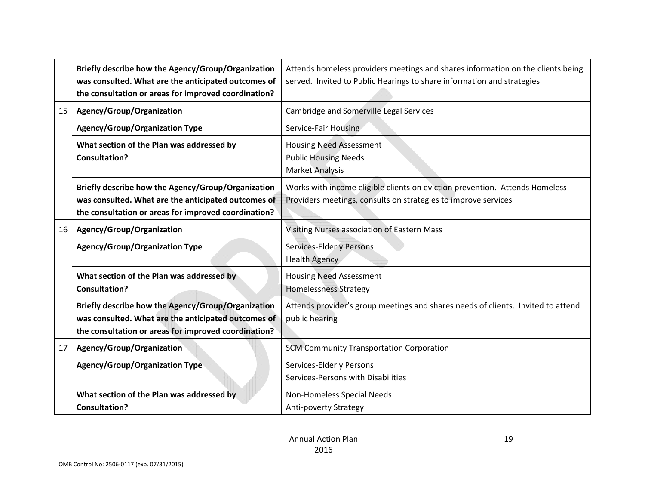|                 | Briefly describe how the Agency/Group/Organization<br>was consulted. What are the anticipated outcomes of<br>the consultation or areas for improved coordination? | Attends homeless providers meetings and shares information on the clients being<br>served. Invited to Public Hearings to share information and strategies |
|-----------------|-------------------------------------------------------------------------------------------------------------------------------------------------------------------|-----------------------------------------------------------------------------------------------------------------------------------------------------------|
| 15              | Agency/Group/Organization                                                                                                                                         | Cambridge and Somerville Legal Services                                                                                                                   |
|                 | <b>Agency/Group/Organization Type</b>                                                                                                                             | Service-Fair Housing                                                                                                                                      |
|                 | What section of the Plan was addressed by<br><b>Consultation?</b>                                                                                                 | <b>Housing Need Assessment</b><br><b>Public Housing Needs</b><br><b>Market Analysis</b>                                                                   |
|                 | Briefly describe how the Agency/Group/Organization<br>was consulted. What are the anticipated outcomes of<br>the consultation or areas for improved coordination? | Works with income eligible clients on eviction prevention. Attends Homeless<br>Providers meetings, consults on strategies to improve services             |
| 16 <sup>1</sup> | Agency/Group/Organization                                                                                                                                         | Visiting Nurses association of Eastern Mass                                                                                                               |
|                 | <b>Agency/Group/Organization Type</b>                                                                                                                             | <b>Services-Elderly Persons</b><br><b>Health Agency</b>                                                                                                   |
|                 | What section of the Plan was addressed by<br><b>Consultation?</b>                                                                                                 | <b>Housing Need Assessment</b><br><b>Homelessness Strategy</b>                                                                                            |
|                 | Briefly describe how the Agency/Group/Organization<br>was consulted. What are the anticipated outcomes of<br>the consultation or areas for improved coordination? | Attends provider's group meetings and shares needs of clients. Invited to attend<br>public hearing                                                        |
| 17              | Agency/Group/Organization                                                                                                                                         | <b>SCM Community Transportation Corporation</b>                                                                                                           |
|                 | <b>Agency/Group/Organization Type</b>                                                                                                                             | Services-Elderly Persons<br>Services-Persons with Disabilities                                                                                            |
|                 | What section of the Plan was addressed by<br><b>Consultation?</b>                                                                                                 | Non-Homeless Special Needs<br>Anti-poverty Strategy                                                                                                       |

19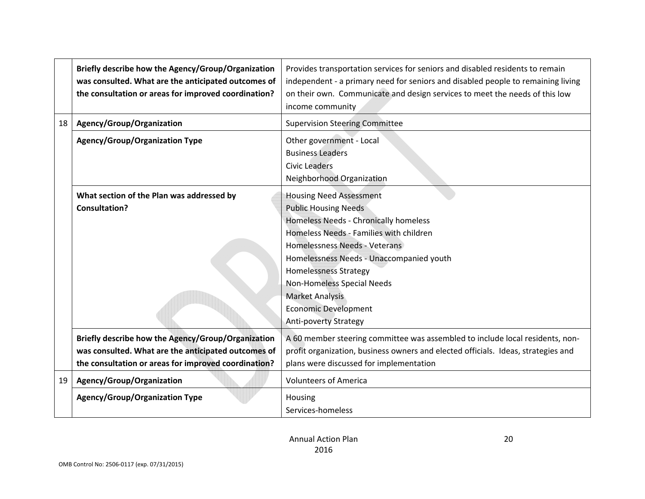|    | Briefly describe how the Agency/Group/Organization<br>was consulted. What are the anticipated outcomes of<br>the consultation or areas for improved coordination? | Provides transportation services for seniors and disabled residents to remain<br>independent - a primary need for seniors and disabled people to remaining living<br>on their own. Communicate and design services to meet the needs of this low<br>income community                                                                                                                  |
|----|-------------------------------------------------------------------------------------------------------------------------------------------------------------------|---------------------------------------------------------------------------------------------------------------------------------------------------------------------------------------------------------------------------------------------------------------------------------------------------------------------------------------------------------------------------------------|
| 18 | Agency/Group/Organization                                                                                                                                         | <b>Supervision Steering Committee</b>                                                                                                                                                                                                                                                                                                                                                 |
|    | <b>Agency/Group/Organization Type</b>                                                                                                                             | Other government - Local<br><b>Business Leaders</b><br><b>Civic Leaders</b><br>Neighborhood Organization                                                                                                                                                                                                                                                                              |
|    | What section of the Plan was addressed by<br><b>Consultation?</b>                                                                                                 | <b>Housing Need Assessment</b><br><b>Public Housing Needs</b><br>Homeless Needs - Chronically homeless<br>Homeless Needs - Families with children<br>Homelessness Needs - Veterans<br>Homelessness Needs - Unaccompanied youth<br><b>Homelessness Strategy</b><br>Non-Homeless Special Needs<br><b>Market Analysis</b><br><b>Economic Development</b><br><b>Anti-poverty Strategy</b> |
|    | Briefly describe how the Agency/Group/Organization<br>was consulted. What are the anticipated outcomes of<br>the consultation or areas for improved coordination? | A 60 member steering committee was assembled to include local residents, non-<br>profit organization, business owners and elected officials. Ideas, strategies and<br>plans were discussed for implementation                                                                                                                                                                         |
| 19 | Agency/Group/Organization                                                                                                                                         | <b>Volunteers of America</b>                                                                                                                                                                                                                                                                                                                                                          |
|    | <b>Agency/Group/Organization Type</b>                                                                                                                             | Housing<br>Services-homeless                                                                                                                                                                                                                                                                                                                                                          |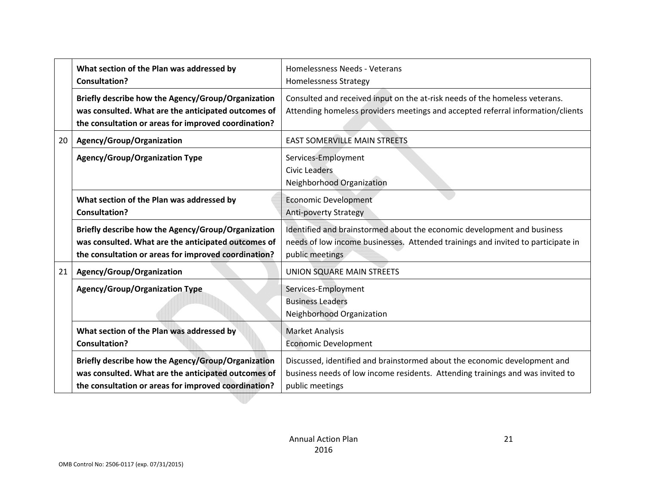|    | What section of the Plan was addressed by<br><b>Consultation?</b>                                                                                                 | Homelessness Needs - Veterans<br><b>Homelessness Strategy</b>                                                                                                                  |
|----|-------------------------------------------------------------------------------------------------------------------------------------------------------------------|--------------------------------------------------------------------------------------------------------------------------------------------------------------------------------|
|    | Briefly describe how the Agency/Group/Organization<br>was consulted. What are the anticipated outcomes of<br>the consultation or areas for improved coordination? | Consulted and received input on the at-risk needs of the homeless veterans.<br>Attending homeless providers meetings and accepted referral information/clients                 |
| 20 | Agency/Group/Organization                                                                                                                                         | <b>EAST SOMERVILLE MAIN STREETS</b>                                                                                                                                            |
|    | <b>Agency/Group/Organization Type</b>                                                                                                                             | Services-Employment<br><b>Civic Leaders</b><br>Neighborhood Organization                                                                                                       |
|    | What section of the Plan was addressed by<br><b>Consultation?</b>                                                                                                 | <b>Economic Development</b><br><b>Anti-poverty Strategy</b>                                                                                                                    |
|    | Briefly describe how the Agency/Group/Organization<br>was consulted. What are the anticipated outcomes of<br>the consultation or areas for improved coordination? | Identified and brainstormed about the economic development and business<br>needs of low income businesses. Attended trainings and invited to participate in<br>public meetings |
| 21 | Agency/Group/Organization                                                                                                                                         | <b>UNION SQUARE MAIN STREETS</b>                                                                                                                                               |
|    | <b>Agency/Group/Organization Type</b>                                                                                                                             | Services-Employment<br><b>Business Leaders</b><br>Neighborhood Organization                                                                                                    |
|    | What section of the Plan was addressed by<br><b>Consultation?</b>                                                                                                 | <b>Market Analysis</b><br><b>Economic Development</b>                                                                                                                          |
|    | Briefly describe how the Agency/Group/Organization<br>was consulted. What are the anticipated outcomes of<br>the consultation or areas for improved coordination? | Discussed, identified and brainstormed about the economic development and<br>business needs of low income residents. Attending trainings and was invited to<br>public meetings |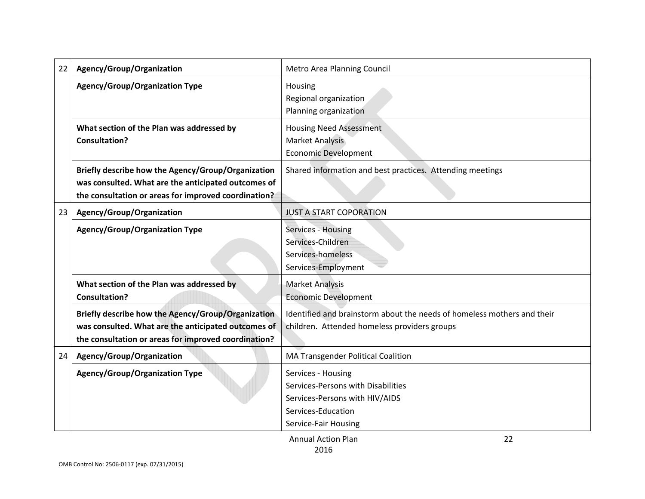| 22 | Agency/Group/Organization                                                                                                                                         | Metro Area Planning Council                                                                                                              |
|----|-------------------------------------------------------------------------------------------------------------------------------------------------------------------|------------------------------------------------------------------------------------------------------------------------------------------|
|    | <b>Agency/Group/Organization Type</b>                                                                                                                             | Housing<br>Regional organization<br>Planning organization                                                                                |
|    | What section of the Plan was addressed by<br><b>Consultation?</b>                                                                                                 | <b>Housing Need Assessment</b><br>Market Analysis<br><b>Economic Development</b>                                                         |
|    | Briefly describe how the Agency/Group/Organization<br>was consulted. What are the anticipated outcomes of<br>the consultation or areas for improved coordination? | Shared information and best practices. Attending meetings                                                                                |
| 23 | Agency/Group/Organization                                                                                                                                         | <b>JUST A START COPORATION</b>                                                                                                           |
|    | <b>Agency/Group/Organization Type</b>                                                                                                                             | Services - Housing<br>Services-Children<br>Services-homeless<br>Services-Employment                                                      |
|    | What section of the Plan was addressed by<br><b>Consultation?</b>                                                                                                 | <b>Market Analysis</b><br><b>Economic Development</b>                                                                                    |
|    | Briefly describe how the Agency/Group/Organization<br>was consulted. What are the anticipated outcomes of<br>the consultation or areas for improved coordination? | Identified and brainstorm about the needs of homeless mothers and their<br>children. Attended homeless providers groups                  |
| 24 | Agency/Group/Organization                                                                                                                                         | MA Transgender Political Coalition                                                                                                       |
|    | Agency/Group/Organization Type                                                                                                                                    | Services - Housing<br>Services-Persons with Disabilities<br>Services-Persons with HIV/AIDS<br>Services-Education<br>Service-Fair Housing |
|    |                                                                                                                                                                   | <b>Annual Action Plan</b><br>22                                                                                                          |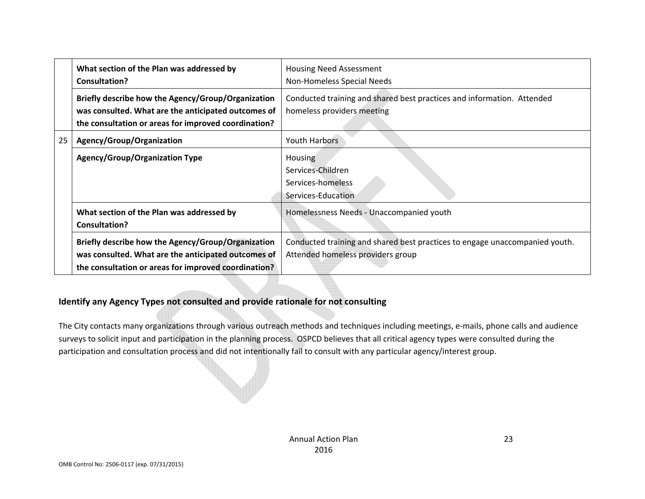|    | What section of the Plan was addressed by<br>Consultation?                                                                                                        | Housing Need Assessment<br>Non-Homeless Special Needs                                                            |
|----|-------------------------------------------------------------------------------------------------------------------------------------------------------------------|------------------------------------------------------------------------------------------------------------------|
|    | Briefly describe how the Agency/Group/Organization<br>was consulted. What are the anticipated outcomes of<br>the consultation or areas for improved coordination? | Conducted training and shared best practices and information. Attended<br>homeless providers meeting             |
| 25 | Agency/Group/Organization                                                                                                                                         | Youth Harbors                                                                                                    |
|    | <b>Agency/Group/Organization Type</b>                                                                                                                             | <b>Housing</b><br>Services-Children<br>Services-homeless<br>Services-Education                                   |
|    | What section of the Plan was addressed by<br>Consultation?                                                                                                        | Homelessness Needs - Unaccompanied youth                                                                         |
|    | Briefly describe how the Agency/Group/Organization<br>was consulted. What are the anticipated outcomes of<br>the consultation or areas for improved coordination? | Conducted training and shared best practices to engage unaccompanied youth.<br>Attended homeless providers group |

### **Identify any Agency Types not consulted and provide rationale for not consulting**

The City contacts many organizations through various outreach methods and techniques including meetings, <sup>e</sup>‐mails, phone calls and audience surveys to solicit input and participation in the planning process. OSPCD believes that all critical agency types were consulted during the participation and consultation process and did not intentionally fail to consult with any particular agency/interest group.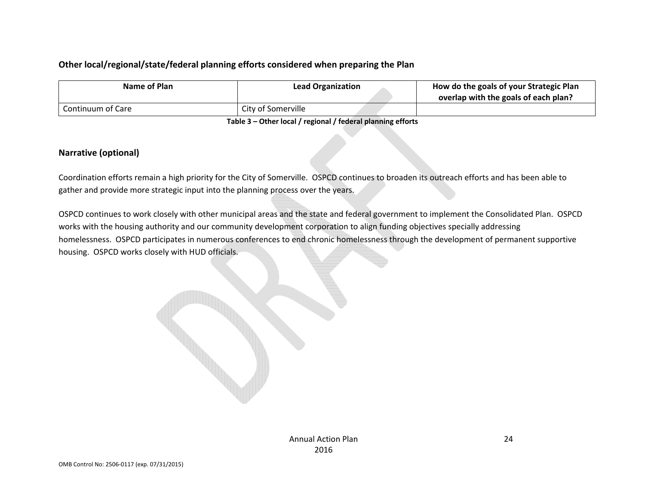#### **Other local/regional/state/federal planning efforts considered when preparing the Plan**

| Name of Plan      | <b>Lead Organization</b> | How do the goals of your Strategic Plan<br>overlap with the goals of each plan? |
|-------------------|--------------------------|---------------------------------------------------------------------------------|
| Continuum of Care | City of Somerville       |                                                                                 |

**Table 3 – Other local / regional / federal planning efforts**

#### **Narrative (optional)**

Coordination efforts remain <sup>a</sup> high priority for the City of Somerville. OSPCD continues to broaden its outreach efforts and has been able to gather and provide more strategic input into the planning process over the years.

OSPCD continues to work closely with other municipal areas and the state and federal government to implement the Consolidated Plan. OSPCD works with the housing authority and our community development corporation to align funding objectives specially addressing homelessness. OSPCD participates in numerous conferences to end chronic homelessness through the development of permanent supportive housing. OSPCD works closely with HUD officials.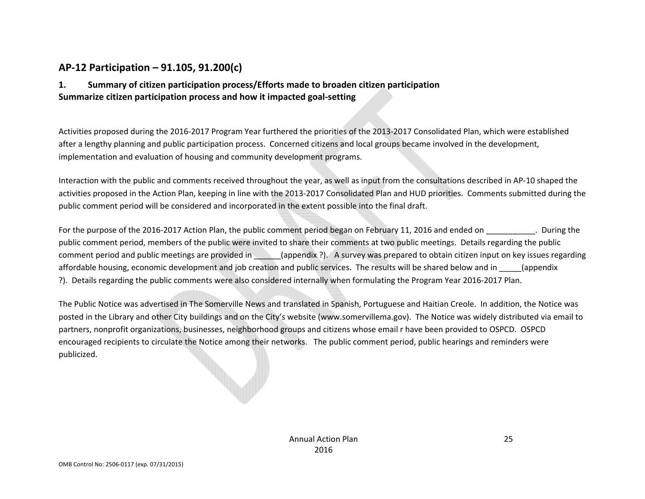### **AP‐12 Participation – 91.105, 91.200(c)**

#### **1. Summary of citizen participation process/Efforts made to broaden citizen participation Summarize citizen participation process and how it impacted goal‐setting**

Activities proposed during the 2016‐2017 Program Year furthered the priorities of the 2013‐2017 Consolidated Plan, which were established after a lengthy planning and public participation process. Concerned citizens and local groups became involved in the development, implementation and evaluation of housing and community development programs.

Interaction with the public and comments received throughout the year, as well as input from the consultations described in AP‐10 shaped the activities proposed in the Action Plan, keeping in line with the 2013‐2017 Consolidated Plan and HUD priorities. Comments submitted during the public comment period will be considered and incorporated in the extent possible into the final draft.

For the purpose of the 2016‐2017 Action Plan, the public comment period began on February 11, 2016 and ended on \_\_\_\_\_\_\_\_\_\_\_. During the public comment period, members of the public were invited to share their comments at two public meetings. Details regarding the public comment period and public meetings are provided in \_\_\_\_\_\_(appendix ?). A survey was prepared to obtain citizen input on key issues regarding affordable housing, economic development and job creation and public services. The results will be shared below and in \_\_\_\_\_(appendix ?). Details regarding the public comments were also considered internally when formulating the Program Year 2016‐2017 Plan.

The Public Notice was advertised in The Somerville News and translated in Spanish, Portuguese and Haitian Creole. In addition, the Notice was posted in the Library and other City buildings and on the City's website (www.somervillema.gov). The Notice was widely distributed via email to partners, nonprofit organizations, businesses, neighborhood groups and citizens whose email <sup>r</sup> have been provided to OSPCD. OSPCD encouraged recipients to circulate the Notice among their networks. The public comment period, public hearings and reminders were publicized.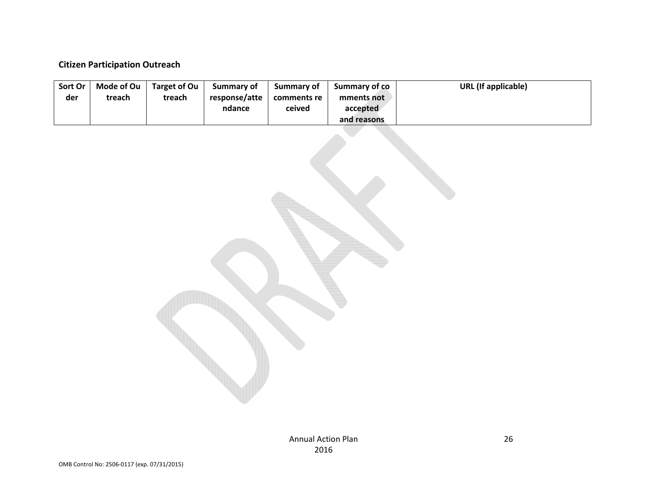#### **Citizen Participation Outreach**

| Sort Or | Mode of Ou | Target of Ou | Summary of    | Summary of  | Summary of co | URL (If applicable) |
|---------|------------|--------------|---------------|-------------|---------------|---------------------|
| der     | treach     | treach       | response/atte | comments re | mments not    |                     |
|         |            |              | ndance        | ceived      | accepted      |                     |
|         |            |              |               |             | and reasons   |                     |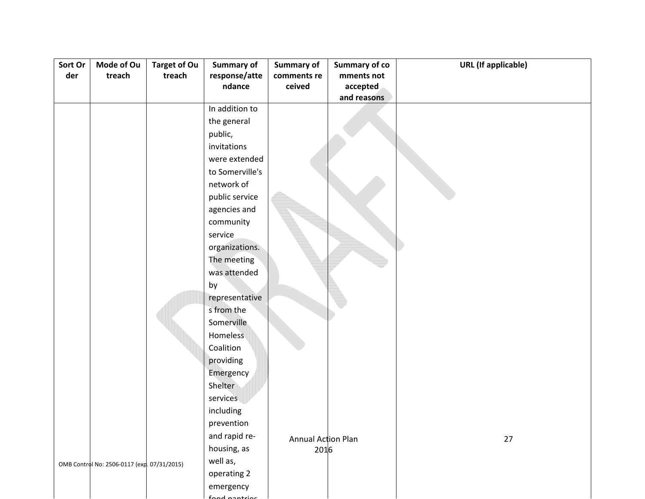| Sort Or | Mode of Ou                                  | <b>Target of Ou</b> | <b>Summary of</b>      | <b>Summary of</b>         | <b>Summary of co</b> | <b>URL</b> (If applicable) |
|---------|---------------------------------------------|---------------------|------------------------|---------------------------|----------------------|----------------------------|
| der     | treach                                      | treach              | response/atte          | comments re               | mments not           |                            |
|         |                                             |                     | ndance                 | ceived                    | accepted             |                            |
|         |                                             |                     | In addition to         |                           | and reasons          |                            |
|         |                                             |                     |                        |                           |                      |                            |
|         |                                             |                     | the general<br>public, |                           |                      |                            |
|         |                                             |                     | invitations            |                           |                      |                            |
|         |                                             |                     | were extended          |                           |                      |                            |
|         |                                             |                     | to Somerville's        |                           |                      |                            |
|         |                                             |                     | network of             |                           |                      |                            |
|         |                                             |                     | public service         |                           |                      |                            |
|         |                                             |                     | agencies and           |                           |                      |                            |
|         |                                             |                     | community              |                           |                      |                            |
|         |                                             |                     | service                |                           |                      |                            |
|         |                                             |                     | organizations.         |                           |                      |                            |
|         |                                             |                     | The meeting            |                           |                      |                            |
|         |                                             |                     | was attended           |                           |                      |                            |
|         |                                             |                     | by                     |                           |                      |                            |
|         |                                             |                     | representative         |                           |                      |                            |
|         |                                             |                     | s from the             |                           |                      |                            |
|         |                                             |                     | Somerville             |                           |                      |                            |
|         |                                             |                     | <b>Homeless</b>        |                           |                      |                            |
|         |                                             |                     | Coalition              |                           |                      |                            |
|         |                                             |                     | providing              |                           |                      |                            |
|         |                                             |                     | Emergency              |                           |                      |                            |
|         |                                             |                     | Shelter                |                           |                      |                            |
|         |                                             |                     | services               |                           |                      |                            |
|         |                                             |                     | including              |                           |                      |                            |
|         |                                             |                     | prevention             |                           |                      |                            |
|         |                                             |                     | and rapid re-          | <b>Annual Action Plan</b> |                      | 27                         |
|         |                                             |                     | housing, as            | 2016                      |                      |                            |
|         | OMB Control No: 2506-0117 (exp. 07/31/2015) |                     | well as,               |                           |                      |                            |
|         |                                             |                     | operating 2            |                           |                      |                            |
|         |                                             |                     | emergency              |                           |                      |                            |
|         |                                             |                     |                        |                           |                      |                            |

food pantries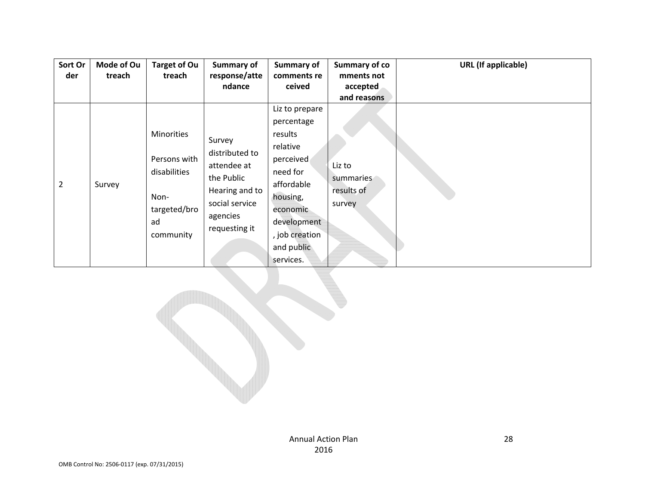| Sort Or<br>der | Mode of Ou<br>treach | <b>Target of Ou</b><br>treach                                                                | <b>Summary of</b><br>response/atte                                                                                     | Summary of<br>comments re                                                                                                                                                      | <b>Summary of co</b><br>mments not          | <b>URL</b> (If applicable) |
|----------------|----------------------|----------------------------------------------------------------------------------------------|------------------------------------------------------------------------------------------------------------------------|--------------------------------------------------------------------------------------------------------------------------------------------------------------------------------|---------------------------------------------|----------------------------|
|                |                      |                                                                                              | ndance                                                                                                                 | ceived                                                                                                                                                                         | accepted<br>and reasons                     |                            |
| $\overline{2}$ | Survey               | <b>Minorities</b><br>Persons with<br>disabilities<br>Non-<br>targeted/bro<br>ad<br>community | Survey<br>distributed to<br>attendee at<br>the Public<br>Hearing and to<br>social service<br>agencies<br>requesting it | Liz to prepare<br>percentage<br>results<br>relative<br>perceived<br>need for<br>affordable<br>housing,<br>economic<br>development<br>, job creation<br>and public<br>services. | Liz to<br>summaries<br>results of<br>survey |                            |

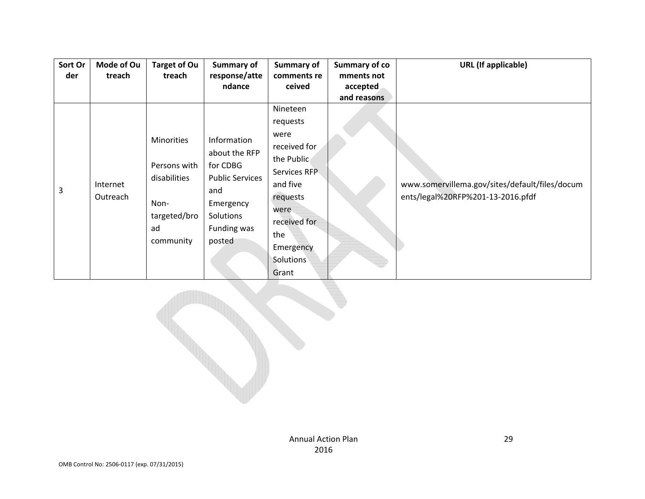| Sort Or<br>der | Mode of Ou<br>treach | <b>Target of Ou</b><br>treach                                                                | Summary of<br>response/atte<br>ndance                                                                                        | Summary of<br>comments re<br>ceived                                                                                                                                  | Summary of co<br>mments not<br>accepted<br>and reasons | <b>URL</b> (If applicable)                                                          |
|----------------|----------------------|----------------------------------------------------------------------------------------------|------------------------------------------------------------------------------------------------------------------------------|----------------------------------------------------------------------------------------------------------------------------------------------------------------------|--------------------------------------------------------|-------------------------------------------------------------------------------------|
| 3              | Internet<br>Outreach | <b>Minorities</b><br>Persons with<br>disabilities<br>Non-<br>targeted/bro<br>ad<br>community | Information<br>about the RFP<br>for CDBG<br><b>Public Services</b><br>and<br>Emergency<br>Solutions<br>Funding was<br>posted | Nineteen<br>requests<br>were<br>received for<br>the Public<br>Services RFP<br>and five<br>requests<br>were<br>received for<br>the<br>Emergency<br>Solutions<br>Grant |                                                        | www.somervillema.gov/sites/default/files/docum<br>ents/legal%20RFP%201-13-2016.pfdf |

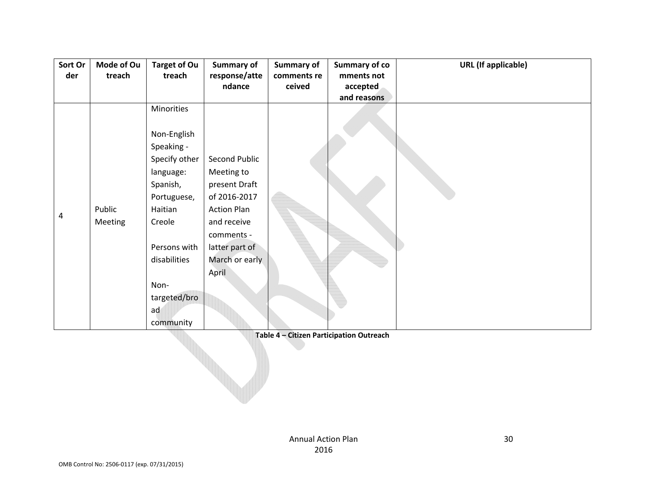| Sort Or | Mode of Ou     | <b>Target of Ou</b> | <b>Summary of</b>  | <b>Summary of</b> | <b>Summary of co</b> | <b>URL</b> (If applicable) |
|---------|----------------|---------------------|--------------------|-------------------|----------------------|----------------------------|
| der     | treach         | treach              | response/atte      | comments re       | mments not           |                            |
|         |                |                     | ndance             | ceived            | accepted             |                            |
|         |                |                     |                    |                   | and reasons          |                            |
|         |                | Minorities          |                    |                   |                      |                            |
|         |                |                     |                    |                   |                      |                            |
|         |                | Non-English         |                    |                   |                      |                            |
|         |                | Speaking -          |                    |                   |                      |                            |
|         |                | Specify other       | Second Public      |                   |                      |                            |
|         |                | language:           | Meeting to         |                   |                      |                            |
|         |                | Spanish,            | present Draft      |                   |                      |                            |
|         |                | Portuguese,         | of 2016-2017       |                   |                      |                            |
|         | Public         | Haitian             | <b>Action Plan</b> |                   |                      |                            |
| 4       | <b>Meeting</b> | Creole              | and receive        |                   |                      |                            |
|         |                |                     | comments -         |                   |                      |                            |
|         |                | Persons with        | latter part of     |                   |                      |                            |
|         |                | disabilities        | March or early     |                   |                      |                            |
|         |                |                     | April              |                   |                      |                            |
|         |                | Non-                |                    |                   |                      |                            |
|         |                | targeted/bro        |                    |                   |                      |                            |
|         |                | ad                  |                    |                   |                      |                            |
|         |                | community           |                    |                   |                      |                            |

**Table 4 – Citizen Participation Outreach**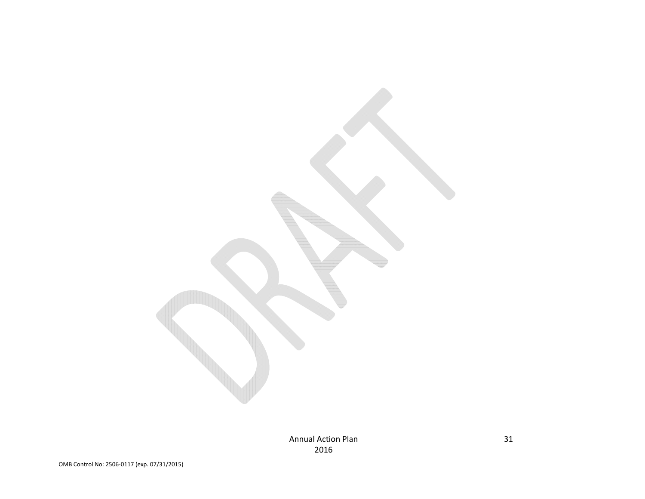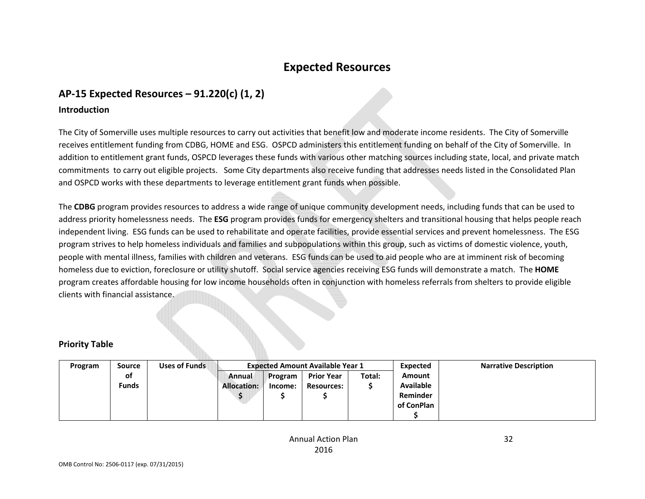# **Expected Resources**

### **AP‐15 Expected Resources – 91.220(c) (1, 2)**

#### **Introduction**

The City of Somerville uses multiple resources to carry out activities that benefit low and moderate income residents. The City of Somerville receives entitlement funding from CDBG, HOME and ESG. OSPCD administers this entitlement funding on behalf of the City of Somerville. In addition to entitlement grant funds, OSPCD leverages these funds with various other matching sources including state, local, and private match commitments to carry out eligible projects. Some City departments also receive funding that addresses needs listed in the Consolidated Plan and OSPCD works with these departments to leverage entitlement grant funds when possible.

The **CDBG** program provides resources to address <sup>a</sup> wide range of unique community development needs, including funds that can be used to address priority homelessness needs. The **ESG** program provides funds for emergency shelters and transitional housing that helps people reach independent living. ESG funds can be used to rehabilitate and operate facilities, provide essential services and prevent homelessness. The ESG program strives to help homeless individuals and families and subpopulations within this group, such as victims of domestic violence, youth, people with mental illness, families with children and veterans. ESG funds can be used to aid people who are at imminent risk of becoming homeless due to eviction, foreclosure or utility shutoff. Social service agencies receiving ESG funds will demonstrate <sup>a</sup> match. The **HOME** program creates affordable housing for low income households often in conjunction with homeless referrals from shelters to provide eligible clients with financial assistance.

#### **Priority Table**

| Program | Source       | Uses of Funds |                    |         | <b>Expected Amount Available Year 1</b> |        | <b>Expected</b>  | <b>Narrative Description</b> |
|---------|--------------|---------------|--------------------|---------|-----------------------------------------|--------|------------------|------------------------------|
|         | оf           |               | Annual.            | Program | <b>Prior Year</b>                       | Total: | Amount           |                              |
|         | <b>Funds</b> |               | <b>Allocation:</b> | Income: | <b>Resources:</b>                       |        | <b>Available</b> |                              |
|         |              |               |                    |         |                                         |        | Reminder         |                              |
|         |              |               |                    |         |                                         |        | of ConPlan       |                              |
|         |              |               |                    |         |                                         |        |                  |                              |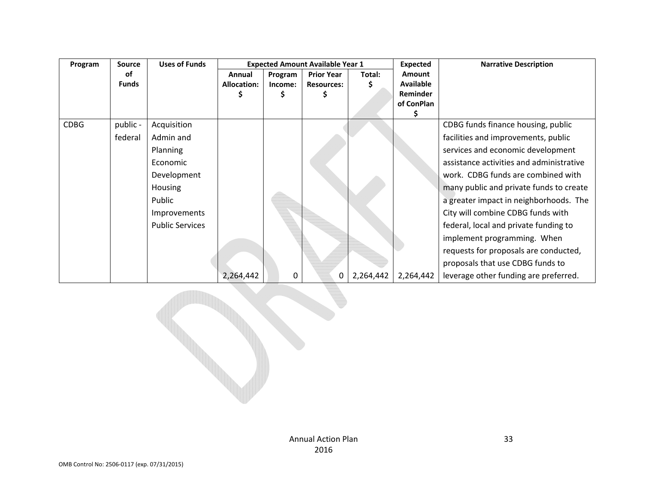| Program     | <b>Source</b> | <b>Uses of Funds</b>   | <b>Expected Amount Available Year 1</b> |         |                   |           | <b>Expected</b>  | <b>Narrative Description</b>             |
|-------------|---------------|------------------------|-----------------------------------------|---------|-------------------|-----------|------------------|------------------------------------------|
|             | οf            |                        | Annual                                  | Program | <b>Prior Year</b> | Total:    | Amount           |                                          |
|             | <b>Funds</b>  |                        | <b>Allocation:</b>                      | Income: | <b>Resources:</b> |           | <b>Available</b> |                                          |
|             |               |                        |                                         |         |                   |           | Reminder         |                                          |
|             |               |                        |                                         |         |                   |           | of ConPlan       |                                          |
| <b>CDBG</b> | public -      | Acquisition            |                                         |         |                   |           |                  | CDBG funds finance housing, public       |
|             | federal       | Admin and              |                                         |         |                   |           |                  | facilities and improvements, public      |
|             |               |                        |                                         |         |                   |           |                  |                                          |
|             |               | <b>Planning</b>        |                                         |         |                   |           |                  | services and economic development        |
|             |               | Economic               |                                         |         |                   |           |                  | assistance activities and administrative |
|             |               | Development            |                                         |         |                   |           |                  | work. CDBG funds are combined with       |
|             |               | <b>Housing</b>         |                                         |         |                   |           |                  | many public and private funds to create  |
|             |               | Public                 |                                         |         |                   |           |                  | a greater impact in neighborhoods. The   |
|             |               | Improvements           |                                         |         |                   |           |                  | City will combine CDBG funds with        |
|             |               | <b>Public Services</b> |                                         |         |                   |           |                  | federal, local and private funding to    |
|             |               |                        |                                         |         |                   |           |                  | implement programming. When              |
|             |               |                        |                                         |         |                   |           |                  | requests for proposals are conducted,    |
|             |               |                        |                                         |         |                   |           |                  | proposals that use CDBG funds to         |
|             |               |                        | 2,264,442                               | 0       | 0                 | 2,264,442 | 2,264,442        | leverage other funding are preferred.    |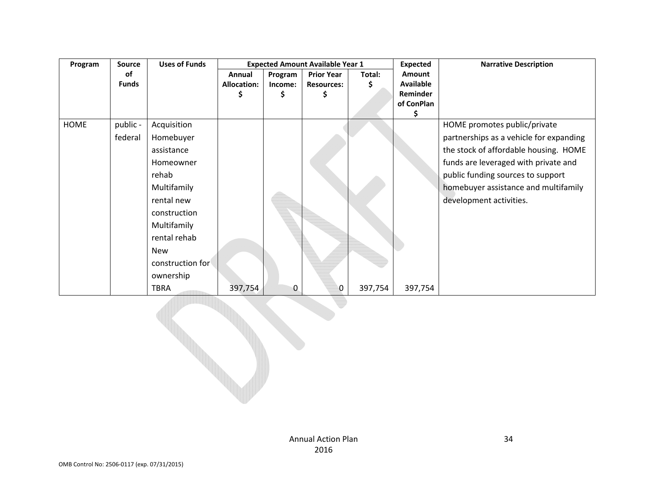| Program     | <b>Source</b> | <b>Uses of Funds</b> | <b>Expected Amount Available Year 1</b> |         |                   |         | <b>Expected</b>  | <b>Narrative Description</b>            |
|-------------|---------------|----------------------|-----------------------------------------|---------|-------------------|---------|------------------|-----------------------------------------|
|             | οf            |                      | Annual                                  | Program | <b>Prior Year</b> | Total:  | Amount           |                                         |
|             | <b>Funds</b>  |                      | <b>Allocation:</b>                      | Income: | <b>Resources:</b> | s       | <b>Available</b> |                                         |
|             |               |                      |                                         |         |                   |         | Reminder         |                                         |
|             |               |                      |                                         |         |                   |         | of ConPlan       |                                         |
|             |               |                      |                                         |         |                   |         | Ş.               |                                         |
| <b>HOME</b> | public -      | Acquisition          |                                         |         |                   |         |                  | HOME promotes public/private            |
|             | federal       | Homebuyer            |                                         |         |                   |         |                  | partnerships as a vehicle for expanding |
|             |               | assistance           |                                         |         |                   |         |                  | the stock of affordable housing. HOME   |
|             |               | Homeowner            |                                         |         |                   |         |                  | funds are leveraged with private and    |
|             |               | rehab                |                                         |         |                   |         |                  | public funding sources to support       |
|             |               | Multifamily          |                                         |         |                   |         |                  | homebuyer assistance and multifamily    |
|             |               | rental new           |                                         |         |                   |         |                  | development activities.                 |
|             |               | construction         |                                         |         |                   |         |                  |                                         |
|             |               | Multifamily          |                                         |         |                   |         |                  |                                         |
|             |               | rental rehab         |                                         |         |                   |         |                  |                                         |
|             |               | New                  |                                         |         |                   |         |                  |                                         |
|             |               | construction for     |                                         |         |                   |         |                  |                                         |
|             |               | ownership            |                                         |         |                   |         |                  |                                         |
|             |               | <b>TBRA</b>          | 397,754                                 | 0       | 0                 | 397,754 | 397,754          |                                         |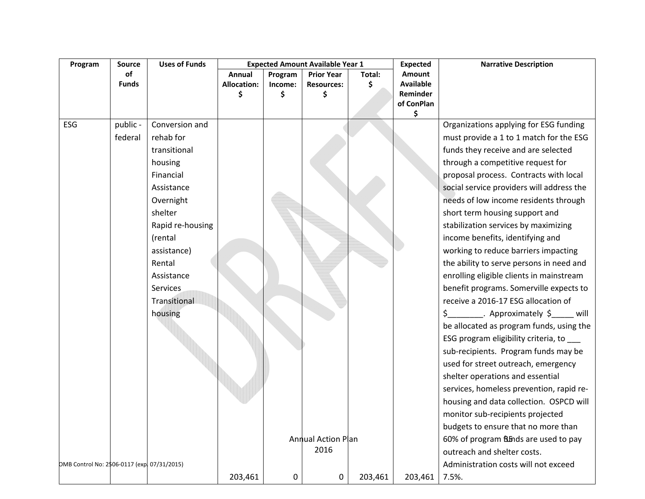| Program                                     | <b>Source</b> | <b>Uses of Funds</b> |                    | <b>Expected Amount Available Year 1</b> |                           | <b>Expected</b> | <b>Narrative Description</b> |                                                                                  |
|---------------------------------------------|---------------|----------------------|--------------------|-----------------------------------------|---------------------------|-----------------|------------------------------|----------------------------------------------------------------------------------|
|                                             | of            |                      | Annual             | Program                                 | <b>Prior Year</b>         | Total:          | <b>Amount</b>                |                                                                                  |
|                                             | <b>Funds</b>  |                      | <b>Allocation:</b> | Income:                                 | <b>Resources:</b>         | \$              | <b>Available</b>             |                                                                                  |
|                                             |               |                      | \$                 | \$                                      | \$                        |                 | Reminder                     |                                                                                  |
|                                             |               |                      |                    |                                         |                           |                 | of ConPlan<br>\$             |                                                                                  |
| ESG                                         | public -      | Conversion and       |                    |                                         |                           |                 |                              | Organizations applying for ESG funding                                           |
|                                             | federal       | rehab for            |                    |                                         |                           |                 |                              | must provide a 1 to 1 match for the ESG                                          |
|                                             |               | transitional         |                    |                                         |                           |                 |                              | funds they receive and are selected                                              |
|                                             |               | housing              |                    |                                         |                           |                 |                              | through a competitive request for                                                |
|                                             |               | Financial            |                    |                                         |                           |                 |                              | proposal process. Contracts with local                                           |
|                                             |               | Assistance           |                    |                                         |                           |                 |                              | social service providers will address the                                        |
|                                             |               | Overnight            |                    |                                         |                           |                 |                              | needs of low income residents through                                            |
|                                             |               | shelter              |                    |                                         |                           |                 |                              | short term housing support and                                                   |
|                                             |               | Rapid re-housing     |                    |                                         |                           |                 |                              | stabilization services by maximizing                                             |
|                                             |               | (rental              |                    |                                         |                           |                 |                              | income benefits, identifying and                                                 |
|                                             |               | assistance)          |                    |                                         |                           |                 |                              | working to reduce barriers impacting                                             |
|                                             |               | Rental               |                    |                                         |                           |                 |                              | the ability to serve persons in need and                                         |
|                                             |               | Assistance           |                    |                                         |                           |                 |                              | enrolling eligible clients in mainstream                                         |
|                                             |               | Services             |                    |                                         |                           |                 |                              | benefit programs. Somerville expects to                                          |
|                                             |               | Transitional         |                    |                                         |                           |                 |                              | receive a 2016-17 ESG allocation of                                              |
|                                             |               | housing              |                    |                                         |                           |                 |                              | ________. Approximately \$_____ will                                             |
|                                             |               |                      |                    |                                         |                           |                 |                              | be allocated as program funds, using the<br>ESG program eligibility criteria, to |
|                                             |               |                      |                    |                                         |                           |                 |                              | sub-recipients. Program funds may be                                             |
|                                             |               |                      |                    |                                         |                           |                 |                              | used for street outreach, emergency                                              |
|                                             |               |                      |                    |                                         |                           |                 |                              | shelter operations and essential                                                 |
|                                             |               |                      |                    |                                         |                           |                 |                              | services, homeless prevention, rapid re-                                         |
|                                             |               |                      |                    |                                         |                           |                 |                              | housing and data collection. OSPCD will                                          |
|                                             |               |                      |                    |                                         |                           |                 |                              | monitor sub-recipients projected                                                 |
|                                             |               |                      |                    |                                         |                           |                 |                              | budgets to ensure that no more than                                              |
|                                             |               |                      |                    |                                         | <b>Annual Action Plan</b> |                 |                              | 60% of program fillnds are used to pay                                           |
|                                             |               |                      |                    |                                         | 2016                      |                 |                              | outreach and shelter costs.                                                      |
| OMB Control No: 2506-0117 (exp. 07/31/2015) |               |                      |                    |                                         |                           |                 |                              | Administration costs will not exceed                                             |
|                                             |               |                      | 203,461            | 0                                       | 0                         | 203,461         | 203,461                      | 7.5%.                                                                            |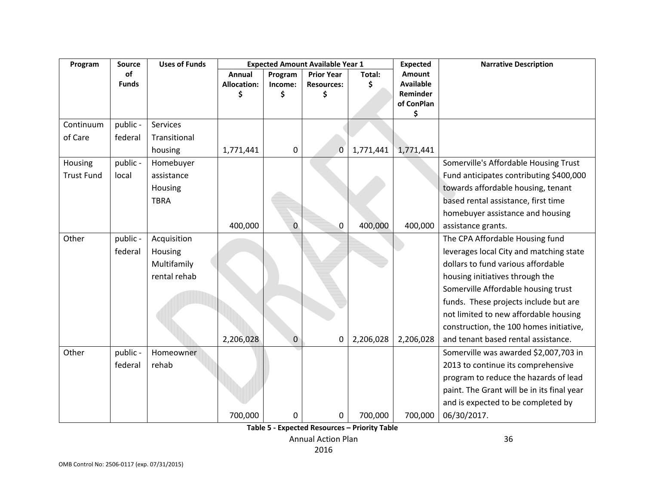| Program           | <b>Source</b> | <b>Uses of Funds</b> | <b>Expected Amount Available Year 1</b> |          |                   |           | <b>Expected</b>              | <b>Narrative Description</b>               |
|-------------------|---------------|----------------------|-----------------------------------------|----------|-------------------|-----------|------------------------------|--------------------------------------------|
|                   | <b>of</b>     |                      | Annual                                  | Program  | <b>Prior Year</b> | Total:    | Amount                       |                                            |
|                   | <b>Funds</b>  |                      | <b>Allocation:</b>                      | Income:  | <b>Resources:</b> | \$        | <b>Available</b><br>Reminder |                                            |
|                   |               |                      | \$                                      | \$       | \$                |           | of ConPlan                   |                                            |
|                   |               |                      |                                         |          |                   |           | \$                           |                                            |
| Continuum         | public -      | Services             |                                         |          |                   |           |                              |                                            |
| of Care           | federal       | Transitional         |                                         |          |                   |           |                              |                                            |
|                   |               | housing              | 1,771,441                               | 0        | $\overline{0}$    | 1,771,441 | 1,771,441                    |                                            |
| Housing           | public -      | Homebuyer            |                                         |          |                   |           |                              | Somerville's Affordable Housing Trust      |
| <b>Trust Fund</b> | local         | assistance           |                                         |          |                   |           |                              | Fund anticipates contributing \$400,000    |
|                   |               | Housing              |                                         |          |                   |           |                              | towards affordable housing, tenant         |
|                   |               | <b>TBRA</b>          |                                         |          |                   |           |                              | based rental assistance, first time        |
|                   |               |                      |                                         |          |                   |           |                              | homebuyer assistance and housing           |
|                   |               |                      | 400,000                                 | $\bf{0}$ | 0                 | 400,000   | 400,000                      | assistance grants.                         |
| Other             | public -      | Acquisition          |                                         |          |                   |           |                              | The CPA Affordable Housing fund            |
|                   | federal       | Housing              |                                         |          |                   |           |                              | leverages local City and matching state    |
|                   |               | Multifamily          |                                         |          |                   |           |                              | dollars to fund various affordable         |
|                   |               | rental rehab         |                                         |          |                   |           |                              | housing initiatives through the            |
|                   |               |                      |                                         |          |                   |           |                              | Somerville Affordable housing trust        |
|                   |               |                      |                                         |          |                   |           |                              | funds. These projects include but are      |
|                   |               |                      |                                         |          |                   |           |                              | not limited to new affordable housing      |
|                   |               |                      |                                         |          |                   |           |                              | construction, the 100 homes initiative,    |
|                   |               |                      | 2,206,028                               | 0        | 0                 | 2,206,028 | 2,206,028                    | and tenant based rental assistance.        |
| Other             | public -      | Homeowner            |                                         |          |                   |           |                              | Somerville was awarded \$2,007,703 in      |
|                   | federal       | rehab                |                                         |          |                   |           |                              | 2013 to continue its comprehensive         |
|                   |               |                      |                                         |          |                   |           |                              | program to reduce the hazards of lead      |
|                   |               |                      |                                         |          |                   |           |                              | paint. The Grant will be in its final year |
|                   |               |                      |                                         |          |                   |           |                              | and is expected to be completed by         |
|                   |               |                      | 700,000                                 | 0        | 0                 | 700,000   | 700,000                      | 06/30/2017.                                |

**Table 5 ‐ Expected Resources – Priority Table**

Annual Action Plan 2016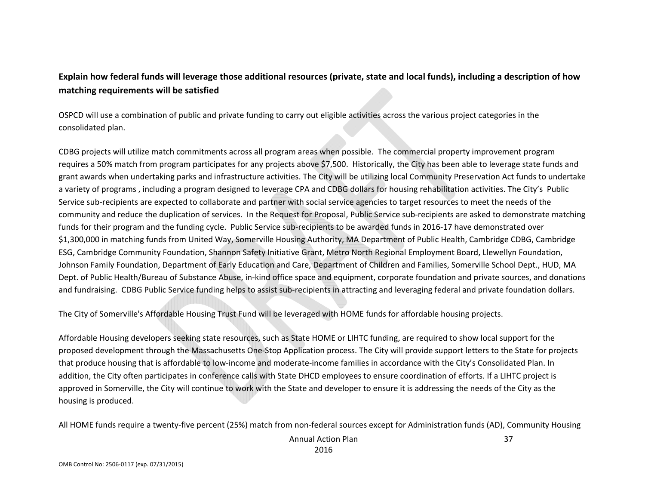## Explain how federal funds will leverage those additional resources (private, state and local funds), including a description of how **matching requirements will be satisfied**

OSPCD will use <sup>a</sup> combination of public and private funding to carry out eligible activities across the various project categories in the consolidated plan.

CDBG projects will utilize match commitments across all program areas when possible. The commercial property improvement program requires <sup>a</sup> 50% match from program participates for any projects above \$7,500. Historically, the City has been able to leverage state funds and grant awards when undertaking parks and infrastructure activities. The City will be utilizing local Community Preservation Act funds to undertake a variety of programs , including <sup>a</sup> program designed to leverage CPA and CDBG dollars for housing rehabilitation activities. The City's Public Service sub‐recipients are expected to collaborate and partner with social service agencies to target resources to meet the needs of the community and reduce the duplication of services. In the Request for Proposal, Public Service sub‐recipients are asked to demonstrate matching funds for their program and the funding cycle. Public Service sub‐recipients to be awarded funds in 2016‐17 have demonstrated over \$1,300,000 in matching funds from United Way, Somerville Housing Authority, MA Department of Public Health, Cambridge CDBG, Cambridge ESG, Cambridge Community Foundation, Shannon Safety Initiative Grant, Metro North Regional Employment Board, Llewellyn Foundation, Johnson Family Foundation, Department of Early Education and Care, Department of Children and Families, Somerville School Dept., HUD, MA Dept. of Public Health/Bureau of Substance Abuse, in‐kind office space and equipment, corporate foundation and private sources, and donations and fundraising. CDBG Public Service funding helps to assist sub‐recipients in attracting and leveraging federal and private foundation dollars.

The City of Somerville's Affordable Housing Trust Fund will be leveraged with HOME funds for affordable housing projects.

Affordable Housing developers seeking state resources, such as State HOME or LIHTC funding, are required to show local support for the proposed development through the Massachusetts One‐Stop Application process. The City will provide support letters to the State for projects that produce housing that is affordable to low‐income and moderate‐income families in accordance with the City's Consolidated Plan. In addition, the City often participates in conference calls with State DHCD employees to ensure coordination of efforts. If <sup>a</sup> LIHTC project is approved in Somerville, the City will continue to work with the State and developer to ensure it is addressing the needs of the City as the housing is produced.

All HOME funds require <sup>a</sup> twenty‐five percent (25%) match from non‐federal sources except for Administration funds (AD), Community Housing

Annual Action Plan 2016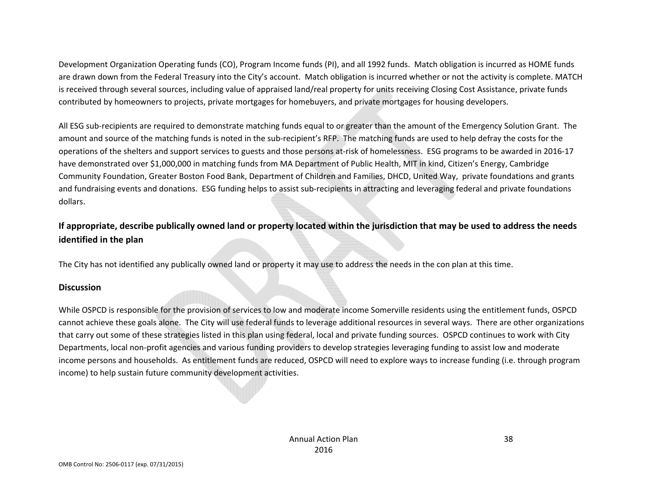Development Organization Operating funds (CO), Program Income funds (PI), and all 1992 funds. Match obligation is incurred as HOME funds are drawn down from the Federal Treasury into the City's account. Match obligation is incurred whether or not the activity is complete. MATCH is received through several sources, including value of appraised land/real property for units receiving Closing Cost Assistance, private funds contributed by homeowners to projects, private mortgages for homebuyers, and private mortgages for housing developers.

All ESG sub‐recipients are required to demonstrate matching funds equal to or greater than the amount of the Emergency Solution Grant. The amount and source of the matching funds is noted in the sub‐recipient's RFP. The matching funds are used to help defray the costs for the operations of the shelters and support services to guests and those persons at‐risk of homelessness. ESG programs to be awarded in 2016‐17 have demonstrated over \$1,000,000 in matching funds from MA Department of Public Health, MIT in kind, Citizen's Energy, Cambridge Community Foundation, Greater Boston Food Bank, Department of Children and Families, DHCD, United Way, private foundations and grants and fundraising events and donations. ESG funding helps to assist sub‐recipients in attracting and leveraging federal and private foundations dollars.

# If appropriate, describe publically owned land or property located within the jurisdiction that may be used to address the needs **identified in the plan**

The City has not identified any publically owned land or property it may use to address the needs in the con plan at this time.

## **Discussion**

While OSPCD is responsible for the provision of services to low and moderate income Somerville residents using the entitlement funds, OSPCD cannot achieve these goals alone. The City will use federal funds to leverage additional resources in several ways. There are other organizations that carry out some of these strategies listed in this plan using federal, local and private funding sources. OSPCD continues to work with City Departments, local non‐profit agencies and various funding providers to develop strategies leveraging funding to assist low and moderate income persons and households. As entitlement funds are reduced, OSPCD will need to explore ways to increase funding (i.e. through program income) to help sustain future community development activities.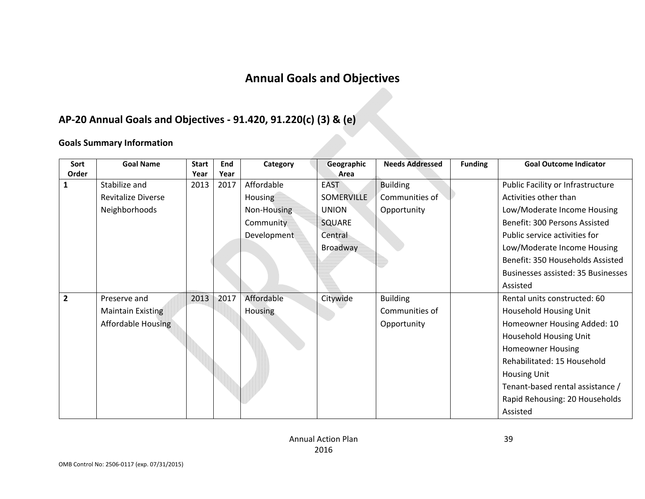# **Annual Goals and Objectives**

# **AP‐20 Annual Goals and Objectives ‐ 91.420, 91.220(c) (3) & (e)**

### **Goals Summary Information**

| Sort           | <b>Goal Name</b>          | <b>Start</b> | End  | Category       | Geographic        | <b>Needs Addressed</b> | <b>Funding</b> | <b>Goal Outcome Indicator</b>      |
|----------------|---------------------------|--------------|------|----------------|-------------------|------------------------|----------------|------------------------------------|
| Order          |                           | Year         | Year |                | Area              |                        |                |                                    |
|                | Stabilize and             | 2013         | 2017 | Affordable     | <b>EAST</b>       | <b>Building</b>        |                | Public Facility or Infrastructure  |
|                | <b>Revitalize Diverse</b> |              |      | Housing        | <b>SOMERVILLE</b> | Communities of         |                | Activities other than              |
|                | Neighborhoods             |              |      | Non-Housing    | <b>UNION</b>      | Opportunity            |                | Low/Moderate Income Housing        |
|                |                           |              |      | Community      | <b>SQUARE</b>     |                        |                | Benefit: 300 Persons Assisted      |
|                |                           |              |      | Development    | Central           |                        |                | Public service activities for      |
|                |                           |              |      |                | Broadway          |                        |                | Low/Moderate Income Housing        |
|                |                           |              |      |                |                   |                        |                | Benefit: 350 Households Assisted   |
|                |                           |              |      |                |                   |                        |                | Businesses assisted: 35 Businesses |
|                |                           |              |      |                |                   |                        |                | Assisted                           |
| $\overline{2}$ | Preserve and              | 2013         | 2017 | Affordable     | Citywide          | <b>Building</b>        |                | Rental units constructed: 60       |
|                | <b>Maintain Existing</b>  |              |      | <b>Housing</b> |                   | Communities of         |                | Household Housing Unit             |
|                | <b>Affordable Housing</b> |              |      |                |                   | Opportunity            |                | Homeowner Housing Added: 10        |
|                |                           |              |      |                |                   |                        |                | Household Housing Unit             |
|                |                           |              |      |                |                   |                        |                | <b>Homeowner Housing</b>           |
|                |                           |              |      |                |                   |                        |                | Rehabilitated: 15 Household        |
|                |                           |              |      |                |                   |                        |                | <b>Housing Unit</b>                |
|                |                           |              |      |                |                   |                        |                | Tenant-based rental assistance /   |
|                |                           |              |      |                |                   |                        |                | Rapid Rehousing: 20 Households     |
|                |                           |              |      |                |                   |                        |                | Assisted                           |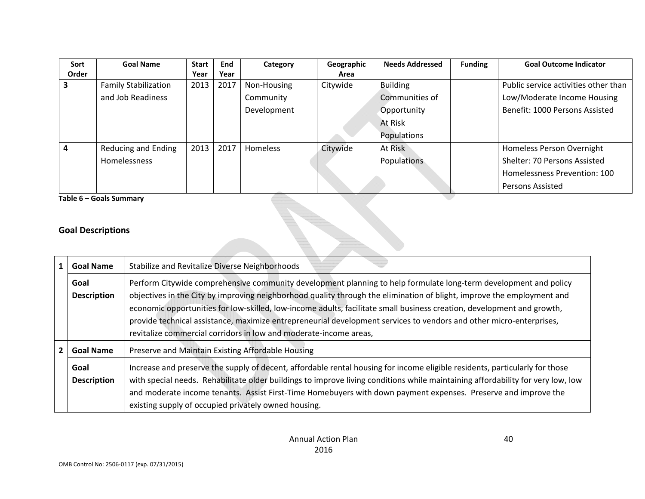| Sort  | <b>Goal Name</b>            | <b>Start</b> | <b>End</b> | Category        | Geographic | <b>Needs Addressed</b> | <b>Funding</b> | <b>Goal Outcome Indicator</b>        |
|-------|-----------------------------|--------------|------------|-----------------|------------|------------------------|----------------|--------------------------------------|
| Order |                             | Year         | Year       |                 | Area       |                        |                |                                      |
| 3     | <b>Family Stabilization</b> | 2013         | 2017       | Non-Housing     | Citywide   | <b>Building</b>        |                | Public service activities other than |
|       | and Job Readiness           |              |            | Community       |            | Communities of         |                | Low/Moderate Income Housing          |
|       |                             |              |            | Development     |            | Opportunity            |                | Benefit: 1000 Persons Assisted       |
|       |                             |              |            |                 |            | At Risk                |                |                                      |
|       |                             |              |            |                 |            | Populations            |                |                                      |
|       | <b>Reducing and Ending</b>  | 2013         | 2017       | <b>Homeless</b> | Citywide   | At Risk                |                | Homeless Person Overnight            |
|       | <b>Homelessness</b>         |              |            |                 |            | Populations            |                | Shelter: 70 Persons Assisted         |
|       |                             |              |            |                 |            |                        |                | Homelessness Prevention: 100         |
|       |                             |              |            |                 |            |                        |                | <b>Persons Assisted</b>              |

 $\mathcal{L}$  ,

**Table 6 – Goals Summary**

### **Goal Descriptions**

| $\mathbf{1}$   | <b>Goal Name</b>           | Stabilize and Revitalize Diverse Neighborhoods                                                                                                                                                                                                                                                                                                                                                                                                                                                                                                                   |  |
|----------------|----------------------------|------------------------------------------------------------------------------------------------------------------------------------------------------------------------------------------------------------------------------------------------------------------------------------------------------------------------------------------------------------------------------------------------------------------------------------------------------------------------------------------------------------------------------------------------------------------|--|
|                | Goal<br><b>Description</b> | Perform Citywide comprehensive community development planning to help formulate long-term development and policy<br>objectives in the City by improving neighborhood quality through the elimination of blight, improve the employment and<br>economic opportunities for low-skilled, low-income adults, facilitate small business creation, development and growth,<br>provide technical assistance, maximize entrepreneurial development services to vendors and other micro-enterprises,<br>revitalize commercial corridors in low and moderate-income areas, |  |
| $\overline{2}$ | <b>Goal Name</b>           | Preserve and Maintain Existing Affordable Housing                                                                                                                                                                                                                                                                                                                                                                                                                                                                                                                |  |
|                | Goal<br><b>Description</b> | Increase and preserve the supply of decent, affordable rental housing for income eligible residents, particularly for those<br>with special needs. Rehabilitate older buildings to improve living conditions while maintaining affordability for very low, low<br>and moderate income tenants. Assist First-Time Homebuyers with down payment expenses. Preserve and improve the<br>existing supply of occupied privately owned housing.                                                                                                                         |  |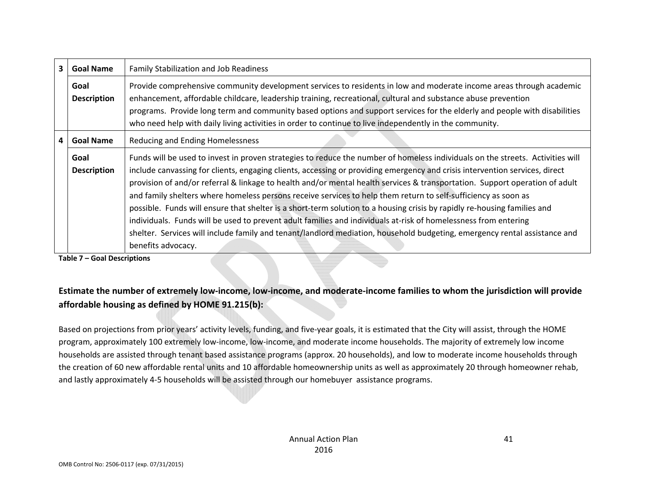| $\overline{\mathbf{3}}$ | <b>Goal Name</b>           | Family Stabilization and Job Readiness                                                                                                                                                                                                                                                                                                                                                                                                                                                                                                                                                                                                                                                                                                                                                                                                                                                                           |  |
|-------------------------|----------------------------|------------------------------------------------------------------------------------------------------------------------------------------------------------------------------------------------------------------------------------------------------------------------------------------------------------------------------------------------------------------------------------------------------------------------------------------------------------------------------------------------------------------------------------------------------------------------------------------------------------------------------------------------------------------------------------------------------------------------------------------------------------------------------------------------------------------------------------------------------------------------------------------------------------------|--|
|                         | Goal<br><b>Description</b> | Provide comprehensive community development services to residents in low and moderate income areas through academic<br>enhancement, affordable childcare, leadership training, recreational, cultural and substance abuse prevention<br>programs. Provide long term and community based options and support services for the elderly and people with disabilities<br>who need help with daily living activities in order to continue to live independently in the community.                                                                                                                                                                                                                                                                                                                                                                                                                                     |  |
| 4                       | <b>Goal Name</b>           | <b>Reducing and Ending Homelessness</b>                                                                                                                                                                                                                                                                                                                                                                                                                                                                                                                                                                                                                                                                                                                                                                                                                                                                          |  |
|                         | Goal<br><b>Description</b> | Funds will be used to invest in proven strategies to reduce the number of homeless individuals on the streets. Activities will<br>include canvassing for clients, engaging clients, accessing or providing emergency and crisis intervention services, direct<br>provision of and/or referral & linkage to health and/or mental health services & transportation. Support operation of adult<br>and family shelters where homeless persons receive services to help them return to self-sufficiency as soon as<br>possible. Funds will ensure that shelter is a short-term solution to a housing crisis by rapidly re-housing families and<br>individuals. Funds will be used to prevent adult families and individuals at-risk of homelessness from entering<br>shelter. Services will include family and tenant/landlord mediation, household budgeting, emergency rental assistance and<br>benefits advocacy. |  |

**Table 7 – Goal Descriptions**

# Estimate the number of extremely low-income, low-income, and moderate-income families to whom the jurisdiction will provide **affordable housing as defined by HOME 91.215(b):**

Based on projections from prior years' activity levels, funding, and five‐year goals, it is estimated that the City will assist, through the HOME program, approximately 100 extremely low‐income, low‐income, and moderate income households. The majority of extremely low income households are assisted through tenant based assistance programs (approx. 20 households), and low to moderate income households through the creation of 60 new affordable rental units and 10 affordable homeownership units as well as approximately 20 through homeowner rehab, and lastly approximately 4‐5 households will be assisted through our homebuyer assistance programs.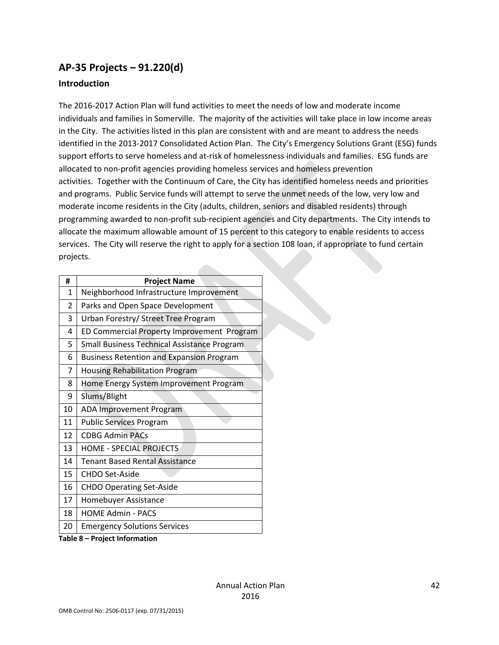# **AP‐35 Projects – 91.220(d)**

## **Introduction**

The 2016‐2017 Action Plan will fund activities to meet the needs of low and moderate income individuals and families in Somerville. The majority of the activities will take place in low income areas in the City. The activities listed in this plan are consistent with and are meant to address the needs identified in the 2013‐2017 Consolidated Action Plan. The City's Emergency Solutions Grant (ESG) funds support efforts to serve homeless and at-risk of homelessness individuals and families. ESG funds are allocated to non‐profit agencies providing homeless services and homeless prevention activities. Together with the Continuum of Care, the City has identified homeless needs and priorities and programs. Public Service funds will attempt to serve the unmet needs of the low, very low and moderate income residents in the City (adults, children, seniors and disabled residents) through programming awarded to non‐profit sub‐recipient agencies and City departments. The City intends to allocate the maximum allowable amount of 15 percent to this category to enable residents to access services. The City will reserve the right to apply for a section 108 loan, if appropriate to fund certain projects.

| #              | <b>Project Name</b>                             |
|----------------|-------------------------------------------------|
| 1              | Neighborhood Infrastructure Improvement         |
| $\overline{2}$ | Parks and Open Space Development                |
| 3              | Urban Forestry/ Street Tree Program             |
| 4              | ED Commercial Property Improvement Program      |
| 5              | Small Business Technical Assistance Program     |
| 6              | <b>Business Retention and Expansion Program</b> |
| 7              | Housing Rehabilitation Program                  |
| 8              | Home Energy System Improvement Program          |
| 9              | Slums/Blight                                    |
| 10             | <b>ADA Improvement Program</b>                  |
| 11             | <b>Public Services Program</b>                  |
| 12             | <b>CDBG Admin PACs</b>                          |
| 13             | <b>HOME - SPECIAL PROJECTS.</b>                 |
| 14             | <b>Tenant Based Rental Assistance</b>           |
| 15             | <b>CHDO Set-Aside</b>                           |
| 16             | <b>CHDO Operating Set-Aside</b>                 |
| 17             | Homebuyer Assistance                            |
| 18             | <b>HOMF Admin - PACS</b>                        |
| 20             | <b>Emergency Solutions Services</b>             |

**Table 8 – Project Information**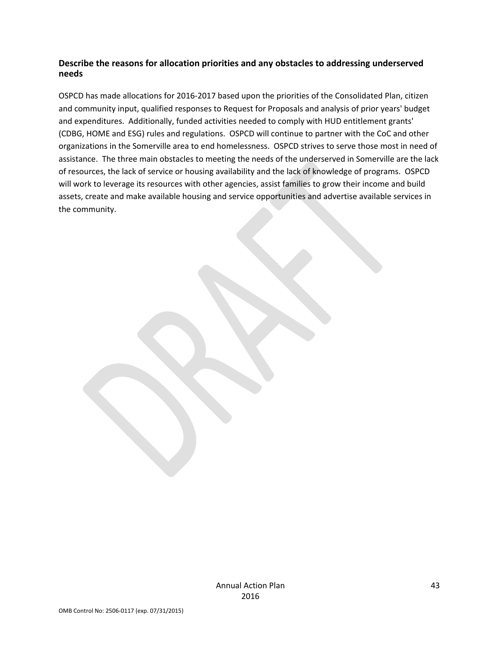## **Describe the reasons for allocation priorities and any obstacles to addressing underserved needs**

OSPCD has made allocations for 2016‐2017 based upon the priorities of the Consolidated Plan, citizen and community input, qualified responses to Request for Proposals and analysis of prior years' budget and expenditures. Additionally, funded activities needed to comply with HUD entitlement grants' (CDBG, HOME and ESG) rules and regulations. OSPCD will continue to partner with the CoC and other organizations in the Somerville area to end homelessness. OSPCD strives to serve those most in need of assistance. The three main obstacles to meeting the needs of the underserved in Somerville are the lack of resources, the lack of service or housing availability and the lack of knowledge of programs. OSPCD will work to leverage its resources with other agencies, assist families to grow their income and build assets, create and make available housing and service opportunities and advertise available services in the community.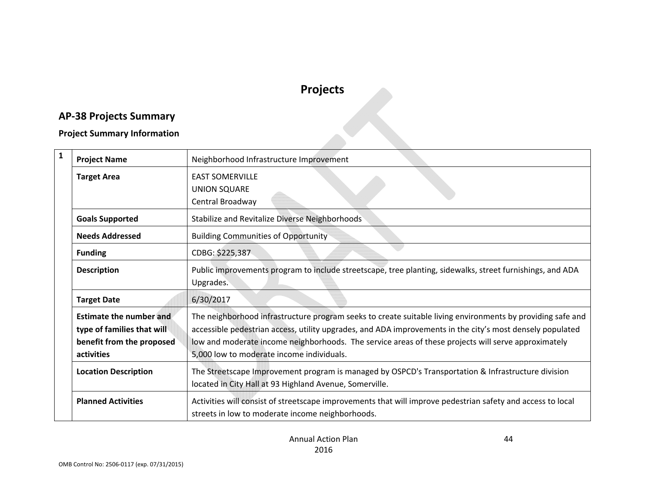# **Projects**

# **AP‐38 Projects Summary**

## **Project Summary Information**

| $\mathbf{1}$ | <b>Project Name</b>                                                                                     | Neighborhood Infrastructure Improvement                                                                                                                                                                                                                                                                                                                                     |
|--------------|---------------------------------------------------------------------------------------------------------|-----------------------------------------------------------------------------------------------------------------------------------------------------------------------------------------------------------------------------------------------------------------------------------------------------------------------------------------------------------------------------|
|              | <b>Target Area</b>                                                                                      | <b>EAST SOMERVILLE</b>                                                                                                                                                                                                                                                                                                                                                      |
|              |                                                                                                         | <b>UNION SQUARE</b>                                                                                                                                                                                                                                                                                                                                                         |
|              |                                                                                                         | Central Broadway                                                                                                                                                                                                                                                                                                                                                            |
|              | <b>Goals Supported</b>                                                                                  | Stabilize and Revitalize Diverse Neighborhoods                                                                                                                                                                                                                                                                                                                              |
|              | <b>Needs Addressed</b>                                                                                  | <b>Building Communities of Opportunity</b>                                                                                                                                                                                                                                                                                                                                  |
|              | <b>Funding</b>                                                                                          | CDBG: \$225,387                                                                                                                                                                                                                                                                                                                                                             |
|              | <b>Description</b>                                                                                      | Public improvements program to include streetscape, tree planting, sidewalks, street furnishings, and ADA<br>Upgrades.                                                                                                                                                                                                                                                      |
|              | <b>Target Date</b>                                                                                      | 6/30/2017                                                                                                                                                                                                                                                                                                                                                                   |
|              | <b>Estimate the number and</b><br>type of families that will<br>benefit from the proposed<br>activities | The neighborhood infrastructure program seeks to create suitable living environments by providing safe and<br>accessible pedestrian access, utility upgrades, and ADA improvements in the city's most densely populated<br>low and moderate income neighborhoods. The service areas of these projects will serve approximately<br>5,000 low to moderate income individuals. |
|              | <b>Location Description</b>                                                                             | The Streetscape Improvement program is managed by OSPCD's Transportation & Infrastructure division<br>located in City Hall at 93 Highland Avenue, Somerville.                                                                                                                                                                                                               |
|              | <b>Planned Activities</b>                                                                               | Activities will consist of streetscape improvements that will improve pedestrian safety and access to local<br>streets in low to moderate income neighborhoods.                                                                                                                                                                                                             |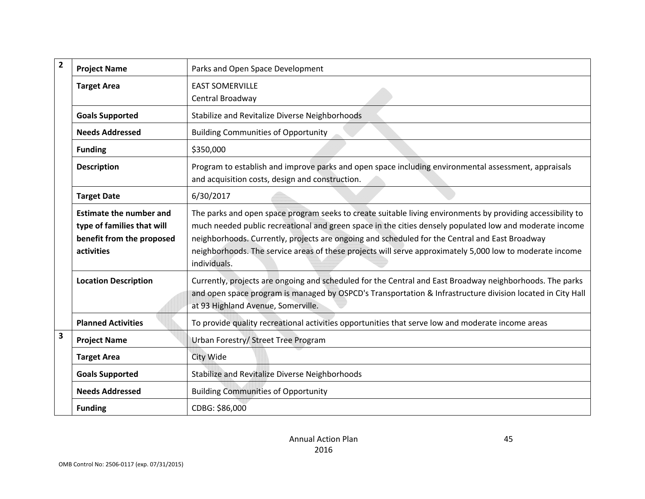| $\overline{\mathbf{2}}$ | <b>Project Name</b>                                                                                     | Parks and Open Space Development                                                                                                                                                                                                                                                                                                                                                                                                                     |
|-------------------------|---------------------------------------------------------------------------------------------------------|------------------------------------------------------------------------------------------------------------------------------------------------------------------------------------------------------------------------------------------------------------------------------------------------------------------------------------------------------------------------------------------------------------------------------------------------------|
|                         | <b>Target Area</b>                                                                                      | <b>EAST SOMERVILLE</b>                                                                                                                                                                                                                                                                                                                                                                                                                               |
|                         |                                                                                                         | Central Broadway                                                                                                                                                                                                                                                                                                                                                                                                                                     |
|                         | <b>Goals Supported</b>                                                                                  | Stabilize and Revitalize Diverse Neighborhoods                                                                                                                                                                                                                                                                                                                                                                                                       |
|                         | <b>Needs Addressed</b>                                                                                  | <b>Building Communities of Opportunity</b>                                                                                                                                                                                                                                                                                                                                                                                                           |
|                         | <b>Funding</b>                                                                                          | \$350,000                                                                                                                                                                                                                                                                                                                                                                                                                                            |
|                         | <b>Description</b>                                                                                      | Program to establish and improve parks and open space including environmental assessment, appraisals<br>and acquisition costs, design and construction.                                                                                                                                                                                                                                                                                              |
|                         | <b>Target Date</b>                                                                                      | 6/30/2017                                                                                                                                                                                                                                                                                                                                                                                                                                            |
|                         | <b>Estimate the number and</b><br>type of families that will<br>benefit from the proposed<br>activities | The parks and open space program seeks to create suitable living environments by providing accessibility to<br>much needed public recreational and green space in the cities densely populated low and moderate income<br>neighborhoods. Currently, projects are ongoing and scheduled for the Central and East Broadway<br>neighborhoods. The service areas of these projects will serve approximately 5,000 low to moderate income<br>individuals. |
|                         | <b>Location Description</b>                                                                             | Currently, projects are ongoing and scheduled for the Central and East Broadway neighborhoods. The parks<br>and open space program is managed by OSPCD's Transportation & Infrastructure division located in City Hall<br>at 93 Highland Avenue, Somerville.                                                                                                                                                                                         |
|                         | <b>Planned Activities</b>                                                                               | To provide quality recreational activities opportunities that serve low and moderate income areas                                                                                                                                                                                                                                                                                                                                                    |
| 3                       | <b>Project Name</b>                                                                                     | Urban Forestry/ Street Tree Program                                                                                                                                                                                                                                                                                                                                                                                                                  |
|                         | <b>Target Area</b>                                                                                      | City Wide                                                                                                                                                                                                                                                                                                                                                                                                                                            |
|                         | <b>Goals Supported</b>                                                                                  | Stabilize and Revitalize Diverse Neighborhoods                                                                                                                                                                                                                                                                                                                                                                                                       |
|                         | <b>Needs Addressed</b>                                                                                  | <b>Building Communities of Opportunity</b>                                                                                                                                                                                                                                                                                                                                                                                                           |
|                         | <b>Funding</b>                                                                                          | CDBG: \$86,000                                                                                                                                                                                                                                                                                                                                                                                                                                       |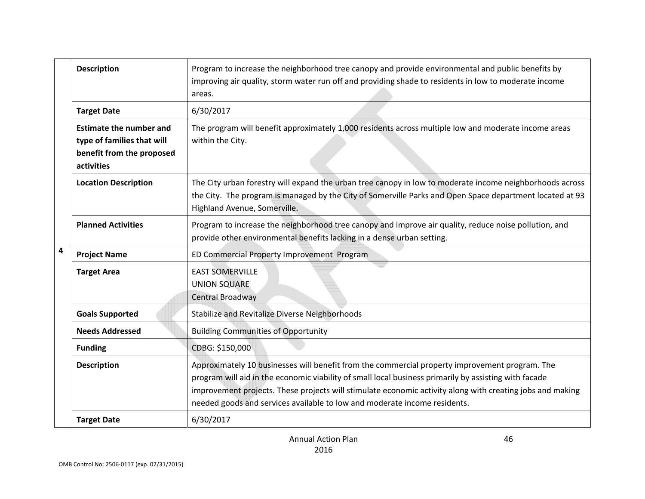|                | <b>Description</b>                                                                                      | Program to increase the neighborhood tree canopy and provide environmental and public benefits by<br>improving air quality, storm water run off and providing shade to residents in low to moderate income<br>areas.                                                                                                                                                                              |
|----------------|---------------------------------------------------------------------------------------------------------|---------------------------------------------------------------------------------------------------------------------------------------------------------------------------------------------------------------------------------------------------------------------------------------------------------------------------------------------------------------------------------------------------|
|                | <b>Target Date</b>                                                                                      | 6/30/2017                                                                                                                                                                                                                                                                                                                                                                                         |
|                | <b>Estimate the number and</b><br>type of families that will<br>benefit from the proposed<br>activities | The program will benefit approximately 1,000 residents across multiple low and moderate income areas<br>within the City.                                                                                                                                                                                                                                                                          |
|                | <b>Location Description</b>                                                                             | The City urban forestry will expand the urban tree canopy in low to moderate income neighborhoods across<br>the City. The program is managed by the City of Somerville Parks and Open Space department located at 93<br>Highland Avenue, Somerville.                                                                                                                                              |
|                | <b>Planned Activities</b>                                                                               | Program to increase the neighborhood tree canopy and improve air quality, reduce noise pollution, and<br>provide other environmental benefits lacking in a dense urban setting.                                                                                                                                                                                                                   |
| $\overline{4}$ | <b>Project Name</b>                                                                                     | ED Commercial Property Improvement Program                                                                                                                                                                                                                                                                                                                                                        |
|                | <b>Target Area</b>                                                                                      | <b>EAST SOMERVILLE</b><br><b>UNION SQUARE</b><br>Central Broadway                                                                                                                                                                                                                                                                                                                                 |
|                | <b>Goals Supported</b>                                                                                  | <b>Stabilize and Revitalize Diverse Neighborhoods</b>                                                                                                                                                                                                                                                                                                                                             |
|                | <b>Needs Addressed</b>                                                                                  | <b>Building Communities of Opportunity</b>                                                                                                                                                                                                                                                                                                                                                        |
|                | <b>Funding</b>                                                                                          | CDBG: \$150,000                                                                                                                                                                                                                                                                                                                                                                                   |
|                | <b>Description</b>                                                                                      | Approximately 10 businesses will benefit from the commercial property improvement program. The<br>program will aid in the economic viability of small local business primarily by assisting with facade<br>improvement projects. These projects will stimulate economic activity along with creating jobs and making<br>needed goods and services available to low and moderate income residents. |
|                | <b>Target Date</b>                                                                                      | 6/30/2017                                                                                                                                                                                                                                                                                                                                                                                         |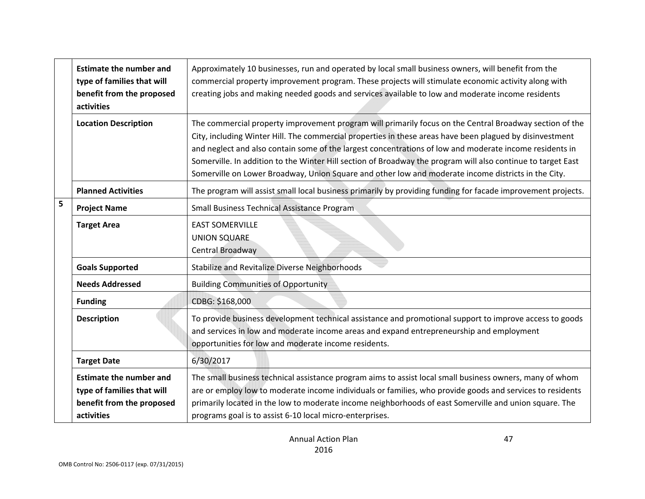|   | <b>Estimate the number and</b><br>type of families that will<br>benefit from the proposed<br>activities | Approximately 10 businesses, run and operated by local small business owners, will benefit from the<br>commercial property improvement program. These projects will stimulate economic activity along with<br>creating jobs and making needed goods and services available to low and moderate income residents                                                                                                                                                                                                                                       |
|---|---------------------------------------------------------------------------------------------------------|-------------------------------------------------------------------------------------------------------------------------------------------------------------------------------------------------------------------------------------------------------------------------------------------------------------------------------------------------------------------------------------------------------------------------------------------------------------------------------------------------------------------------------------------------------|
|   | <b>Location Description</b>                                                                             | The commercial property improvement program will primarily focus on the Central Broadway section of the<br>City, including Winter Hill. The commercial properties in these areas have been plagued by disinvestment<br>and neglect and also contain some of the largest concentrations of low and moderate income residents in<br>Somerville. In addition to the Winter Hill section of Broadway the program will also continue to target East<br>Somerville on Lower Broadway, Union Square and other low and moderate income districts in the City. |
|   | <b>Planned Activities</b>                                                                               | The program will assist small local business primarily by providing funding for facade improvement projects.                                                                                                                                                                                                                                                                                                                                                                                                                                          |
| 5 | <b>Project Name</b>                                                                                     | Small Business Technical Assistance Program                                                                                                                                                                                                                                                                                                                                                                                                                                                                                                           |
|   | <b>Target Area</b>                                                                                      | <b>EAST SOMERVILLE</b><br><b>UNION SQUARE</b><br>Central Broadway                                                                                                                                                                                                                                                                                                                                                                                                                                                                                     |
|   | <b>Goals Supported</b>                                                                                  | Stabilize and Revitalize Diverse Neighborhoods                                                                                                                                                                                                                                                                                                                                                                                                                                                                                                        |
|   | <b>Needs Addressed</b>                                                                                  | <b>Building Communities of Opportunity</b>                                                                                                                                                                                                                                                                                                                                                                                                                                                                                                            |
|   | <b>Funding</b>                                                                                          | CDBG: \$168,000                                                                                                                                                                                                                                                                                                                                                                                                                                                                                                                                       |
|   | <b>Description</b>                                                                                      | To provide business development technical assistance and promotional support to improve access to goods<br>and services in low and moderate income areas and expand entrepreneurship and employment<br>opportunities for low and moderate income residents.                                                                                                                                                                                                                                                                                           |
|   | <b>Target Date</b>                                                                                      | 6/30/2017                                                                                                                                                                                                                                                                                                                                                                                                                                                                                                                                             |
|   | <b>Estimate the number and</b><br>type of families that will<br>benefit from the proposed<br>activities | The small business technical assistance program aims to assist local small business owners, many of whom<br>are or employ low to moderate income individuals or families, who provide goods and services to residents<br>primarily located in the low to moderate income neighborhoods of east Somerville and union square. The<br>programs goal is to assist 6-10 local micro-enterprises.                                                                                                                                                           |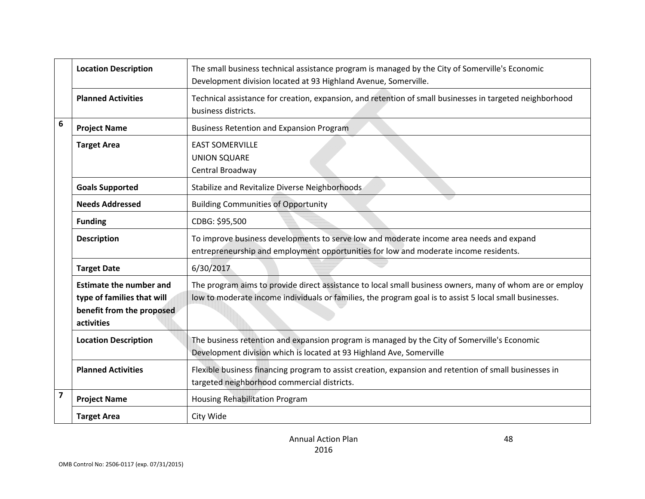|                         | <b>Location Description</b>                                                                             | The small business technical assistance program is managed by the City of Somerville's Economic<br>Development division located at 93 Highland Avenue, Somerville.                                                  |
|-------------------------|---------------------------------------------------------------------------------------------------------|---------------------------------------------------------------------------------------------------------------------------------------------------------------------------------------------------------------------|
|                         | <b>Planned Activities</b>                                                                               | Technical assistance for creation, expansion, and retention of small businesses in targeted neighborhood<br>business districts.                                                                                     |
| 6                       | <b>Project Name</b>                                                                                     | <b>Business Retention and Expansion Program</b>                                                                                                                                                                     |
|                         | <b>Target Area</b>                                                                                      | <b>EAST SOMERVILLE</b><br><b>UNION SQUARE</b><br>Central Broadway                                                                                                                                                   |
|                         | <b>Goals Supported</b>                                                                                  | Stabilize and Revitalize Diverse Neighborhoods                                                                                                                                                                      |
|                         | <b>Needs Addressed</b>                                                                                  | <b>Building Communities of Opportunity</b>                                                                                                                                                                          |
|                         | <b>Funding</b>                                                                                          | CDBG: \$95,500                                                                                                                                                                                                      |
|                         | <b>Description</b>                                                                                      | To improve business developments to serve low and moderate income area needs and expand<br>entrepreneurship and employment opportunities for low and moderate income residents.                                     |
|                         | <b>Target Date</b>                                                                                      | 6/30/2017                                                                                                                                                                                                           |
|                         | <b>Estimate the number and</b><br>type of families that will<br>benefit from the proposed<br>activities | The program aims to provide direct assistance to local small business owners, many of whom are or employ<br>low to moderate income individuals or families, the program goal is to assist 5 local small businesses. |
|                         | <b>Location Description</b>                                                                             | The business retention and expansion program is managed by the City of Somerville's Economic<br>Development division which is located at 93 Highland Ave, Somerville                                                |
|                         | <b>Planned Activities</b>                                                                               | Flexible business financing program to assist creation, expansion and retention of small businesses in<br>targeted neighborhood commercial districts.                                                               |
| $\overline{\mathbf{z}}$ | <b>Project Name</b>                                                                                     | Housing Rehabilitation Program                                                                                                                                                                                      |
|                         | <b>Target Area</b>                                                                                      | City Wide                                                                                                                                                                                                           |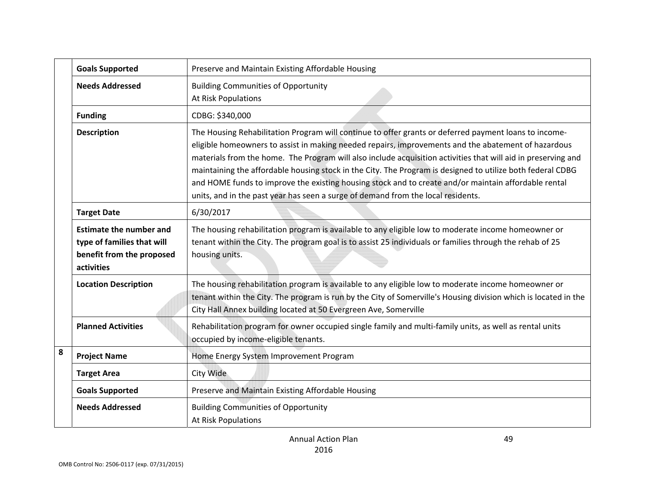|   | <b>Goals Supported</b>                                                                                  | Preserve and Maintain Existing Affordable Housing                                                                                                                                                                                                                                                                                                                                                                                                                                                                                                                                                                                       |
|---|---------------------------------------------------------------------------------------------------------|-----------------------------------------------------------------------------------------------------------------------------------------------------------------------------------------------------------------------------------------------------------------------------------------------------------------------------------------------------------------------------------------------------------------------------------------------------------------------------------------------------------------------------------------------------------------------------------------------------------------------------------------|
|   | <b>Needs Addressed</b>                                                                                  | <b>Building Communities of Opportunity</b><br>At Risk Populations                                                                                                                                                                                                                                                                                                                                                                                                                                                                                                                                                                       |
|   | <b>Funding</b>                                                                                          | CDBG: \$340,000                                                                                                                                                                                                                                                                                                                                                                                                                                                                                                                                                                                                                         |
|   | <b>Description</b>                                                                                      | The Housing Rehabilitation Program will continue to offer grants or deferred payment loans to income-<br>eligible homeowners to assist in making needed repairs, improvements and the abatement of hazardous<br>materials from the home. The Program will also include acquisition activities that will aid in preserving and<br>maintaining the affordable housing stock in the City. The Program is designed to utilize both federal CDBG<br>and HOME funds to improve the existing housing stock and to create and/or maintain affordable rental<br>units, and in the past year has seen a surge of demand from the local residents. |
|   | <b>Target Date</b>                                                                                      | 6/30/2017                                                                                                                                                                                                                                                                                                                                                                                                                                                                                                                                                                                                                               |
|   | <b>Estimate the number and</b><br>type of families that will<br>benefit from the proposed<br>activities | The housing rehabilitation program is available to any eligible low to moderate income homeowner or<br>tenant within the City. The program goal is to assist 25 individuals or families through the rehab of 25<br>housing units.                                                                                                                                                                                                                                                                                                                                                                                                       |
|   | <b>Location Description</b>                                                                             | The housing rehabilitation program is available to any eligible low to moderate income homeowner or<br>tenant within the City. The program is run by the City of Somerville's Housing division which is located in the<br>City Hall Annex building located at 50 Evergreen Ave, Somerville                                                                                                                                                                                                                                                                                                                                              |
|   | <b>Planned Activities</b>                                                                               | Rehabilitation program for owner occupied single family and multi-family units, as well as rental units<br>occupied by income-eligible tenants.                                                                                                                                                                                                                                                                                                                                                                                                                                                                                         |
| 8 | <b>Project Name</b>                                                                                     | Home Energy System Improvement Program                                                                                                                                                                                                                                                                                                                                                                                                                                                                                                                                                                                                  |
|   | <b>Target Area</b>                                                                                      | City Wide                                                                                                                                                                                                                                                                                                                                                                                                                                                                                                                                                                                                                               |
|   | <b>Goals Supported</b>                                                                                  | Preserve and Maintain Existing Affordable Housing                                                                                                                                                                                                                                                                                                                                                                                                                                                                                                                                                                                       |
|   | <b>Needs Addressed</b>                                                                                  | <b>Building Communities of Opportunity</b><br>At Risk Populations                                                                                                                                                                                                                                                                                                                                                                                                                                                                                                                                                                       |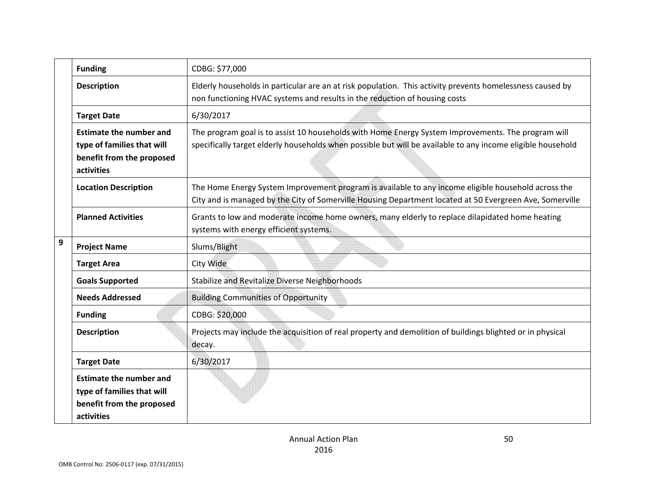|   | <b>Funding</b>                                                                                          | CDBG: \$77,000                                                                                                                                                                                                    |
|---|---------------------------------------------------------------------------------------------------------|-------------------------------------------------------------------------------------------------------------------------------------------------------------------------------------------------------------------|
|   | <b>Description</b>                                                                                      | Elderly households in particular are an at risk population. This activity prevents homelessness caused by<br>non functioning HVAC systems and results in the reduction of housing costs                           |
|   | <b>Target Date</b>                                                                                      | 6/30/2017                                                                                                                                                                                                         |
|   | <b>Estimate the number and</b><br>type of families that will<br>benefit from the proposed<br>activities | The program goal is to assist 10 households with Home Energy System Improvements. The program will<br>specifically target elderly households when possible but will be available to any income eligible household |
|   | <b>Location Description</b>                                                                             | The Home Energy System Improvement program is available to any income eligible household across the<br>City and is managed by the City of Somerville Housing Department located at 50 Evergreen Ave, Somerville   |
|   | <b>Planned Activities</b>                                                                               | Grants to low and moderate income home owners, many elderly to replace dilapidated home heating<br>systems with energy efficient systems.                                                                         |
| 9 | <b>Project Name</b>                                                                                     | Slums/Blight                                                                                                                                                                                                      |
|   | <b>Target Area</b>                                                                                      | City Wide                                                                                                                                                                                                         |
|   | <b>Goals Supported</b>                                                                                  | Stabilize and Revitalize Diverse Neighborhoods                                                                                                                                                                    |
|   | <b>Needs Addressed</b>                                                                                  | <b>Building Communities of Opportunity</b>                                                                                                                                                                        |
|   | <b>Funding</b>                                                                                          | CDBG: \$20,000                                                                                                                                                                                                    |
|   | <b>Description</b>                                                                                      | Projects may include the acquisition of real property and demolition of buildings blighted or in physical<br>decay.                                                                                               |
|   | <b>Target Date</b>                                                                                      | 6/30/2017                                                                                                                                                                                                         |
|   | <b>Estimate the number and</b><br>type of families that will<br>benefit from the proposed<br>activities |                                                                                                                                                                                                                   |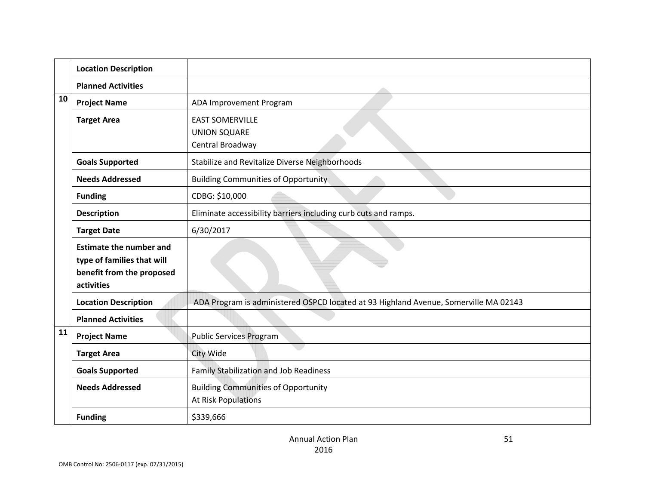|                                                                                                                     | <b>Location Description</b>                                                                             |                                                                          |  |
|---------------------------------------------------------------------------------------------------------------------|---------------------------------------------------------------------------------------------------------|--------------------------------------------------------------------------|--|
|                                                                                                                     | <b>Planned Activities</b>                                                                               |                                                                          |  |
| 10                                                                                                                  | <b>Project Name</b>                                                                                     | ADA Improvement Program                                                  |  |
| <b>Target Area</b><br><b>EAST SOMERVILLE</b><br><b>UNION SQUARE</b><br>Central Broadway                             |                                                                                                         |                                                                          |  |
|                                                                                                                     | Stabilize and Revitalize Diverse Neighborhoods<br><b>Goals Supported</b>                                |                                                                          |  |
|                                                                                                                     | <b>Needs Addressed</b>                                                                                  | <b>Building Communities of Opportunity</b>                               |  |
|                                                                                                                     | CDBG: \$10,000<br><b>Funding</b>                                                                        |                                                                          |  |
|                                                                                                                     | Eliminate accessibility barriers including curb cuts and ramps.<br><b>Description</b>                   |                                                                          |  |
| 6/30/2017<br><b>Target Date</b>                                                                                     |                                                                                                         |                                                                          |  |
|                                                                                                                     | <b>Estimate the number and</b><br>type of families that will<br>benefit from the proposed<br>activities |                                                                          |  |
| ADA Program is administered OSPCD located at 93 Highland Avenue, Somerville MA 02143<br><b>Location Description</b> |                                                                                                         |                                                                          |  |
|                                                                                                                     | <b>Planned Activities</b>                                                                               |                                                                          |  |
| 11                                                                                                                  | <b>Project Name</b>                                                                                     | <b>Public Services Program</b>                                           |  |
|                                                                                                                     | <b>Target Area</b><br>City Wide                                                                         |                                                                          |  |
|                                                                                                                     | <b>Goals Supported</b>                                                                                  | <b>Family Stabilization and Job Readiness</b>                            |  |
|                                                                                                                     | <b>Needs Addressed</b>                                                                                  | <b>Building Communities of Opportunity</b><br><b>At Risk Populations</b> |  |
|                                                                                                                     | <b>Funding</b>                                                                                          | \$339,666                                                                |  |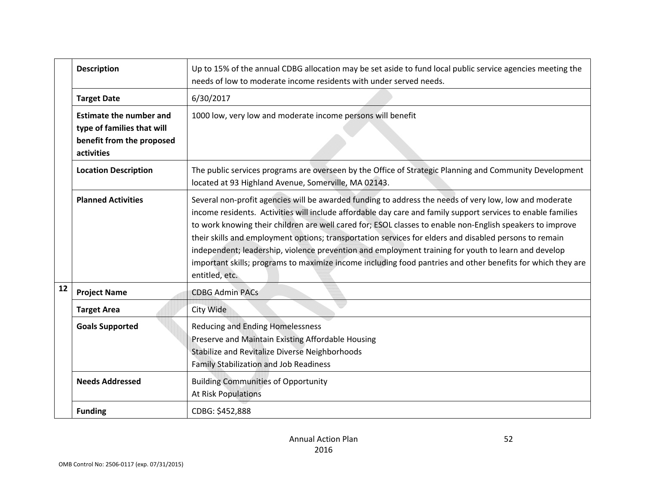| <b>Description</b><br>needs of low to moderate income residents with under served needs.<br><b>Target Date</b><br>6/30/2017 |                                                                                                         | Up to 15% of the annual CDBG allocation may be set aside to fund local public service agencies meeting the                                                                                                                                                                                                                                                                                                                                                                                                                                                                                                                                                                            |
|-----------------------------------------------------------------------------------------------------------------------------|---------------------------------------------------------------------------------------------------------|---------------------------------------------------------------------------------------------------------------------------------------------------------------------------------------------------------------------------------------------------------------------------------------------------------------------------------------------------------------------------------------------------------------------------------------------------------------------------------------------------------------------------------------------------------------------------------------------------------------------------------------------------------------------------------------|
|                                                                                                                             |                                                                                                         |                                                                                                                                                                                                                                                                                                                                                                                                                                                                                                                                                                                                                                                                                       |
|                                                                                                                             | <b>Estimate the number and</b><br>type of families that will<br>benefit from the proposed<br>activities | 1000 low, very low and moderate income persons will benefit                                                                                                                                                                                                                                                                                                                                                                                                                                                                                                                                                                                                                           |
|                                                                                                                             | <b>Location Description</b>                                                                             | The public services programs are overseen by the Office of Strategic Planning and Community Development<br>located at 93 Highland Avenue, Somerville, MA 02143.                                                                                                                                                                                                                                                                                                                                                                                                                                                                                                                       |
|                                                                                                                             | <b>Planned Activities</b>                                                                               | Several non-profit agencies will be awarded funding to address the needs of very low, low and moderate<br>income residents. Activities will include affordable day care and family support services to enable families<br>to work knowing their children are well cared for; ESOL classes to enable non-English speakers to improve<br>their skills and employment options; transportation services for elders and disabled persons to remain<br>independent; leadership, violence prevention and employment training for youth to learn and develop<br>important skills; programs to maximize income including food pantries and other benefits for which they are<br>entitled, etc. |
| 12                                                                                                                          | <b>Project Name</b>                                                                                     | <b>CDBG Admin PACs</b>                                                                                                                                                                                                                                                                                                                                                                                                                                                                                                                                                                                                                                                                |
|                                                                                                                             | <b>Target Area</b>                                                                                      | City Wide                                                                                                                                                                                                                                                                                                                                                                                                                                                                                                                                                                                                                                                                             |
|                                                                                                                             | <b>Goals Supported</b>                                                                                  | <b>Reducing and Ending Homelessness</b><br>Preserve and Maintain Existing Affordable Housing<br>Stabilize and Revitalize Diverse Neighborhoods<br><b>Family Stabilization and Job Readiness</b>                                                                                                                                                                                                                                                                                                                                                                                                                                                                                       |
|                                                                                                                             | <b>Needs Addressed</b>                                                                                  | <b>Building Communities of Opportunity</b><br><b>At Risk Populations</b>                                                                                                                                                                                                                                                                                                                                                                                                                                                                                                                                                                                                              |
|                                                                                                                             | <b>Funding</b>                                                                                          | CDBG: \$452,888                                                                                                                                                                                                                                                                                                                                                                                                                                                                                                                                                                                                                                                                       |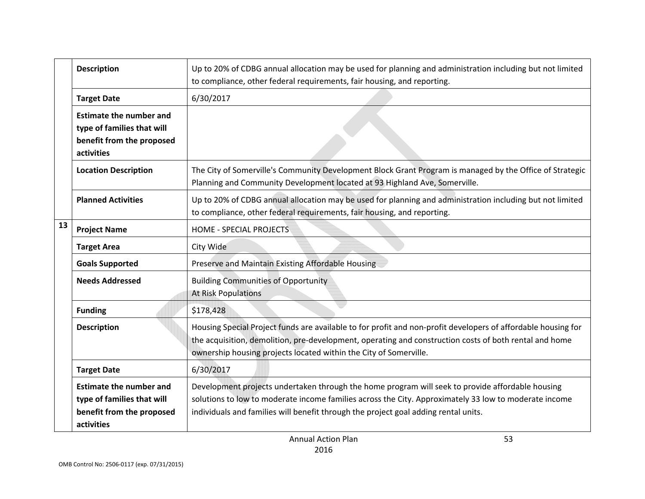|                                                                                                      | <b>Description</b>                                                                                      | Up to 20% of CDBG annual allocation may be used for planning and administration including but not limited<br>to compliance, other federal requirements, fair housing, and reporting.                                                                                                             |  |
|------------------------------------------------------------------------------------------------------|---------------------------------------------------------------------------------------------------------|--------------------------------------------------------------------------------------------------------------------------------------------------------------------------------------------------------------------------------------------------------------------------------------------------|--|
| 6/30/2017<br><b>Target Date</b>                                                                      |                                                                                                         |                                                                                                                                                                                                                                                                                                  |  |
|                                                                                                      | <b>Estimate the number and</b><br>type of families that will<br>benefit from the proposed<br>activities |                                                                                                                                                                                                                                                                                                  |  |
|                                                                                                      | <b>Location Description</b>                                                                             | The City of Somerville's Community Development Block Grant Program is managed by the Office of Strategic<br>Planning and Community Development located at 93 Highland Ave, Somerville.                                                                                                           |  |
| <b>Planned Activities</b><br>to compliance, other federal requirements, fair housing, and reporting. |                                                                                                         | Up to 20% of CDBG annual allocation may be used for planning and administration including but not limited                                                                                                                                                                                        |  |
| 13                                                                                                   | <b>Project Name</b>                                                                                     | <b>HOME - SPECIAL PROJECTS</b>                                                                                                                                                                                                                                                                   |  |
|                                                                                                      | <b>Target Area</b>                                                                                      | City Wide                                                                                                                                                                                                                                                                                        |  |
| Preserve and Maintain Existing Affordable Housing<br><b>Goals Supported</b>                          |                                                                                                         |                                                                                                                                                                                                                                                                                                  |  |
| <b>Needs Addressed</b><br><b>Building Communities of Opportunity</b><br><b>At Risk Populations</b>   |                                                                                                         |                                                                                                                                                                                                                                                                                                  |  |
|                                                                                                      | <b>Funding</b>                                                                                          | \$178,428                                                                                                                                                                                                                                                                                        |  |
|                                                                                                      | <b>Description</b>                                                                                      | Housing Special Project funds are available to for profit and non-profit developers of affordable housing for<br>the acquisition, demolition, pre-development, operating and construction costs of both rental and home<br>ownership housing projects located within the City of Somerville.     |  |
|                                                                                                      | <b>Target Date</b>                                                                                      | 6/30/2017                                                                                                                                                                                                                                                                                        |  |
|                                                                                                      | <b>Estimate the number and</b><br>type of families that will<br>benefit from the proposed<br>activities | Development projects undertaken through the home program will seek to provide affordable housing<br>solutions to low to moderate income families across the City. Approximately 33 low to moderate income<br>individuals and families will benefit through the project goal adding rental units. |  |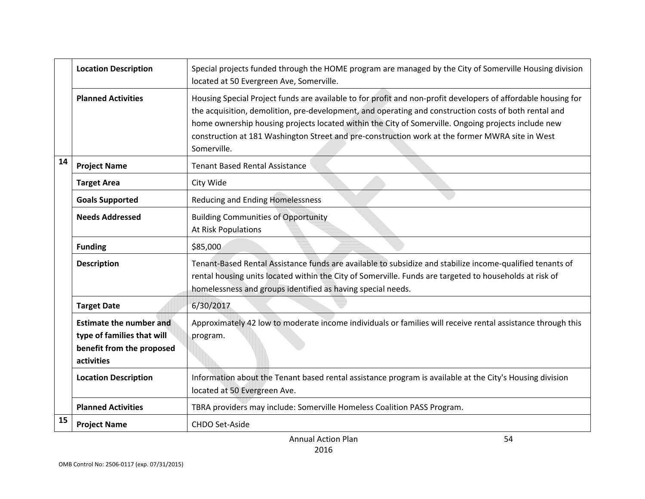| <b>Location Description</b><br>located at 50 Evergreen Ave, Somerville. |                                                                                                         | Special projects funded through the HOME program are managed by the City of Somerville Housing division                                                                                                                                                                                                                                                                                                                                         |
|-------------------------------------------------------------------------|---------------------------------------------------------------------------------------------------------|-------------------------------------------------------------------------------------------------------------------------------------------------------------------------------------------------------------------------------------------------------------------------------------------------------------------------------------------------------------------------------------------------------------------------------------------------|
|                                                                         | <b>Planned Activities</b>                                                                               | Housing Special Project funds are available to for profit and non-profit developers of affordable housing for<br>the acquisition, demolition, pre-development, and operating and construction costs of both rental and<br>home ownership housing projects located within the City of Somerville. Ongoing projects include new<br>construction at 181 Washington Street and pre-construction work at the former MWRA site in West<br>Somerville. |
| 14                                                                      | <b>Project Name</b><br><b>Tenant Based Rental Assistance</b>                                            |                                                                                                                                                                                                                                                                                                                                                                                                                                                 |
|                                                                         | <b>Target Area</b>                                                                                      | City Wide                                                                                                                                                                                                                                                                                                                                                                                                                                       |
|                                                                         | <b>Goals Supported</b>                                                                                  | <b>Reducing and Ending Homelessness</b>                                                                                                                                                                                                                                                                                                                                                                                                         |
|                                                                         | <b>Needs Addressed</b>                                                                                  | <b>Building Communities of Opportunity</b><br>At Risk Populations                                                                                                                                                                                                                                                                                                                                                                               |
|                                                                         | <b>Funding</b>                                                                                          | \$85,000                                                                                                                                                                                                                                                                                                                                                                                                                                        |
|                                                                         | <b>Description</b>                                                                                      | Tenant-Based Rental Assistance funds are available to subsidize and stabilize income-qualified tenants of<br>rental housing units located within the City of Somerville. Funds are targeted to households at risk of<br>homelessness and groups identified as having special needs.                                                                                                                                                             |
|                                                                         | <b>Target Date</b>                                                                                      | 6/30/2017                                                                                                                                                                                                                                                                                                                                                                                                                                       |
|                                                                         | <b>Estimate the number and</b><br>type of families that will<br>benefit from the proposed<br>activities | Approximately 42 low to moderate income individuals or families will receive rental assistance through this<br>program.                                                                                                                                                                                                                                                                                                                         |
|                                                                         | <b>Location Description</b>                                                                             | Information about the Tenant based rental assistance program is available at the City's Housing division<br>located at 50 Evergreen Ave.                                                                                                                                                                                                                                                                                                        |
|                                                                         | <b>Planned Activities</b>                                                                               | TBRA providers may include: Somerville Homeless Coalition PASS Program.                                                                                                                                                                                                                                                                                                                                                                         |
| 15                                                                      | <b>Project Name</b>                                                                                     | <b>CHDO Set-Aside</b>                                                                                                                                                                                                                                                                                                                                                                                                                           |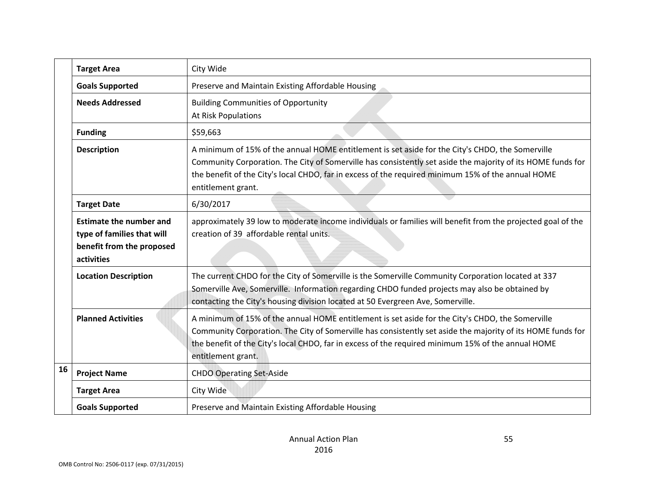|                                                                                                                                                    | <b>Target Area</b>          | City Wide                                                                                                                                                                                                                                                                                                                                   |
|----------------------------------------------------------------------------------------------------------------------------------------------------|-----------------------------|---------------------------------------------------------------------------------------------------------------------------------------------------------------------------------------------------------------------------------------------------------------------------------------------------------------------------------------------|
|                                                                                                                                                    | <b>Goals Supported</b>      | Preserve and Maintain Existing Affordable Housing                                                                                                                                                                                                                                                                                           |
|                                                                                                                                                    | <b>Needs Addressed</b>      | <b>Building Communities of Opportunity</b><br>At Risk Populations                                                                                                                                                                                                                                                                           |
|                                                                                                                                                    | <b>Funding</b>              | \$59,663                                                                                                                                                                                                                                                                                                                                    |
|                                                                                                                                                    | <b>Description</b>          | A minimum of 15% of the annual HOME entitlement is set aside for the City's CHDO, the Somerville<br>Community Corporation. The City of Somerville has consistently set aside the majority of its HOME funds for<br>the benefit of the City's local CHDO, far in excess of the required minimum 15% of the annual HOME<br>entitlement grant. |
|                                                                                                                                                    | <b>Target Date</b>          | 6/30/2017                                                                                                                                                                                                                                                                                                                                   |
| <b>Estimate the number and</b><br>creation of 39 affordable rental units.<br>type of families that will<br>benefit from the proposed<br>activities |                             | approximately 39 low to moderate income individuals or families will benefit from the projected goal of the                                                                                                                                                                                                                                 |
|                                                                                                                                                    | <b>Location Description</b> | The current CHDO for the City of Somerville is the Somerville Community Corporation located at 337<br>Somerville Ave, Somerville. Information regarding CHDO funded projects may also be obtained by<br>contacting the City's housing division located at 50 Evergreen Ave, Somerville.                                                     |
|                                                                                                                                                    | <b>Planned Activities</b>   | A minimum of 15% of the annual HOME entitlement is set aside for the City's CHDO, the Somerville<br>Community Corporation. The City of Somerville has consistently set aside the majority of its HOME funds for<br>the benefit of the City's local CHDO, far in excess of the required minimum 15% of the annual HOME<br>entitlement grant. |
| 16                                                                                                                                                 | <b>Project Name</b>         | <b>CHDO Operating Set-Aside</b>                                                                                                                                                                                                                                                                                                             |
|                                                                                                                                                    | <b>Target Area</b>          | City Wide                                                                                                                                                                                                                                                                                                                                   |
|                                                                                                                                                    | <b>Goals Supported</b>      | Preserve and Maintain Existing Affordable Housing                                                                                                                                                                                                                                                                                           |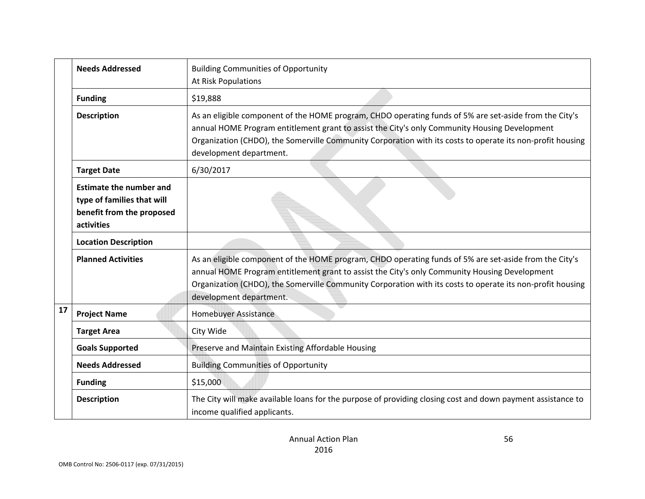|                             | <b>Needs Addressed</b>                                                                                  | <b>Building Communities of Opportunity</b><br>At Risk Populations                                                                                                                                                                                                                                                                                |
|-----------------------------|---------------------------------------------------------------------------------------------------------|--------------------------------------------------------------------------------------------------------------------------------------------------------------------------------------------------------------------------------------------------------------------------------------------------------------------------------------------------|
|                             | <b>Funding</b>                                                                                          | \$19,888                                                                                                                                                                                                                                                                                                                                         |
|                             | <b>Description</b>                                                                                      | As an eligible component of the HOME program, CHDO operating funds of 5% are set-aside from the City's<br>annual HOME Program entitlement grant to assist the City's only Community Housing Development<br>Organization (CHDO), the Somerville Community Corporation with its costs to operate its non-profit housing<br>development department. |
|                             | <b>Target Date</b>                                                                                      | 6/30/2017                                                                                                                                                                                                                                                                                                                                        |
|                             | <b>Estimate the number and</b><br>type of families that will<br>benefit from the proposed<br>activities |                                                                                                                                                                                                                                                                                                                                                  |
| <b>Location Description</b> |                                                                                                         |                                                                                                                                                                                                                                                                                                                                                  |
|                             | <b>Planned Activities</b>                                                                               | As an eligible component of the HOME program, CHDO operating funds of 5% are set-aside from the City's<br>annual HOME Program entitlement grant to assist the City's only Community Housing Development<br>Organization (CHDO), the Somerville Community Corporation with its costs to operate its non-profit housing<br>development department. |
| 17                          | <b>Project Name</b>                                                                                     | <b>Homebuyer Assistance</b>                                                                                                                                                                                                                                                                                                                      |
|                             | <b>Target Area</b>                                                                                      | City Wide                                                                                                                                                                                                                                                                                                                                        |
|                             | <b>Goals Supported</b>                                                                                  | Preserve and Maintain Existing Affordable Housing                                                                                                                                                                                                                                                                                                |
|                             | <b>Needs Addressed</b>                                                                                  | <b>Building Communities of Opportunity</b>                                                                                                                                                                                                                                                                                                       |
|                             | <b>Funding</b>                                                                                          | \$15,000                                                                                                                                                                                                                                                                                                                                         |
|                             | <b>Description</b>                                                                                      | The City will make available loans for the purpose of providing closing cost and down payment assistance to<br>income qualified applicants.                                                                                                                                                                                                      |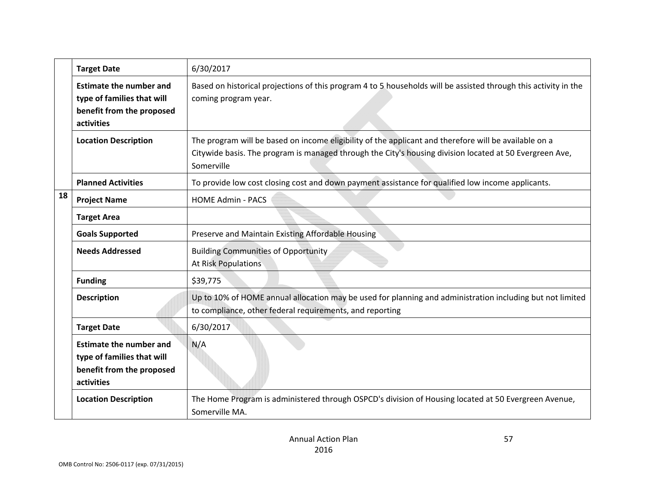|                                                                             | 6/30/2017<br><b>Target Date</b>                                                                         |                                                                                                                                                                                                                                |
|-----------------------------------------------------------------------------|---------------------------------------------------------------------------------------------------------|--------------------------------------------------------------------------------------------------------------------------------------------------------------------------------------------------------------------------------|
|                                                                             | <b>Estimate the number and</b><br>type of families that will<br>benefit from the proposed<br>activities | Based on historical projections of this program 4 to 5 households will be assisted through this activity in the<br>coming program year.                                                                                        |
|                                                                             | <b>Location Description</b>                                                                             | The program will be based on income eligibility of the applicant and therefore will be available on a<br>Citywide basis. The program is managed through the City's housing division located at 50 Evergreen Ave,<br>Somerville |
|                                                                             | <b>Planned Activities</b>                                                                               | To provide low cost closing cost and down payment assistance for qualified low income applicants.                                                                                                                              |
| 18                                                                          | <b>HOME Admin - PACS</b><br><b>Project Name</b>                                                         |                                                                                                                                                                                                                                |
|                                                                             | <b>Target Area</b>                                                                                      |                                                                                                                                                                                                                                |
| Preserve and Maintain Existing Affordable Housing<br><b>Goals Supported</b> |                                                                                                         |                                                                                                                                                                                                                                |
|                                                                             | <b>Needs Addressed</b>                                                                                  | <b>Building Communities of Opportunity</b><br><b>At Risk Populations</b>                                                                                                                                                       |
| <b>Funding</b><br>\$39,775                                                  |                                                                                                         |                                                                                                                                                                                                                                |
|                                                                             | <b>Description</b>                                                                                      | Up to 10% of HOME annual allocation may be used for planning and administration including but not limited<br>to compliance, other federal requirements, and reporting                                                          |
|                                                                             | <b>Target Date</b>                                                                                      | 6/30/2017                                                                                                                                                                                                                      |
|                                                                             | <b>Estimate the number and</b><br>type of families that will<br>benefit from the proposed<br>activities | N/A                                                                                                                                                                                                                            |
|                                                                             | <b>Location Description</b>                                                                             | The Home Program is administered through OSPCD's division of Housing located at 50 Evergreen Avenue,<br>Somerville MA.                                                                                                         |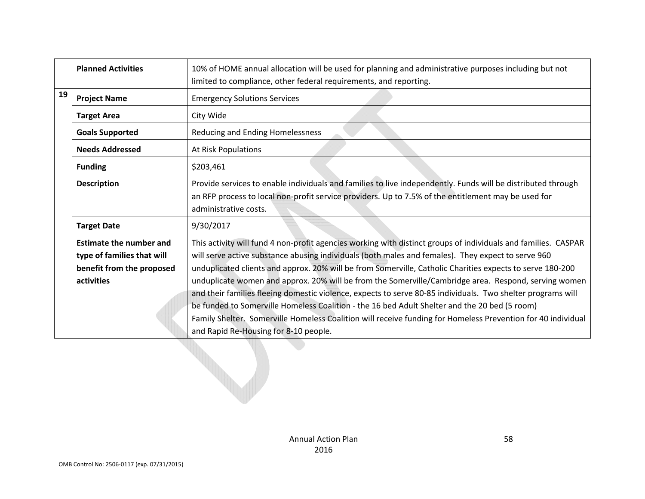|                                                            | <b>Planned Activities</b>                                                                               | 10% of HOME annual allocation will be used for planning and administrative purposes including but not<br>limited to compliance, other federal requirements, and reporting.                                                                                                                                                                                                                                                                                                                                                                                                                                                                                                                                                                                                                                         |  |
|------------------------------------------------------------|---------------------------------------------------------------------------------------------------------|--------------------------------------------------------------------------------------------------------------------------------------------------------------------------------------------------------------------------------------------------------------------------------------------------------------------------------------------------------------------------------------------------------------------------------------------------------------------------------------------------------------------------------------------------------------------------------------------------------------------------------------------------------------------------------------------------------------------------------------------------------------------------------------------------------------------|--|
| 19                                                         | <b>Project Name</b>                                                                                     | <b>Emergency Solutions Services</b>                                                                                                                                                                                                                                                                                                                                                                                                                                                                                                                                                                                                                                                                                                                                                                                |  |
|                                                            | <b>Target Area</b>                                                                                      | City Wide                                                                                                                                                                                                                                                                                                                                                                                                                                                                                                                                                                                                                                                                                                                                                                                                          |  |
| <b>Goals Supported</b><br>Reducing and Ending Homelessness |                                                                                                         |                                                                                                                                                                                                                                                                                                                                                                                                                                                                                                                                                                                                                                                                                                                                                                                                                    |  |
| <b>Needs Addressed</b><br>At Risk Populations              |                                                                                                         |                                                                                                                                                                                                                                                                                                                                                                                                                                                                                                                                                                                                                                                                                                                                                                                                                    |  |
|                                                            | <b>Funding</b>                                                                                          | \$203,461                                                                                                                                                                                                                                                                                                                                                                                                                                                                                                                                                                                                                                                                                                                                                                                                          |  |
|                                                            | <b>Description</b>                                                                                      | Provide services to enable individuals and families to live independently. Funds will be distributed through<br>an RFP process to local non-profit service providers. Up to 7.5% of the entitlement may be used for<br>administrative costs.                                                                                                                                                                                                                                                                                                                                                                                                                                                                                                                                                                       |  |
|                                                            | <b>Target Date</b>                                                                                      | 9/30/2017                                                                                                                                                                                                                                                                                                                                                                                                                                                                                                                                                                                                                                                                                                                                                                                                          |  |
|                                                            | <b>Estimate the number and</b><br>type of families that will<br>benefit from the proposed<br>activities | This activity will fund 4 non-profit agencies working with distinct groups of individuals and families. CASPAR<br>will serve active substance abusing individuals (both males and females). They expect to serve 960<br>unduplicated clients and approx. 20% will be from Somerville, Catholic Charities expects to serve 180-200<br>unduplicate women and approx. 20% will be from the Somerville/Cambridge area. Respond, serving women<br>and their families fleeing domestic violence, expects to serve 80-85 individuals. Two shelter programs will<br>be funded to Somerville Homeless Coalition - the 16 bed Adult Shelter and the 20 bed (5 room)<br>Family Shelter. Somerville Homeless Coalition will receive funding for Homeless Prevention for 40 individual<br>and Rapid Re-Housing for 8-10 people. |  |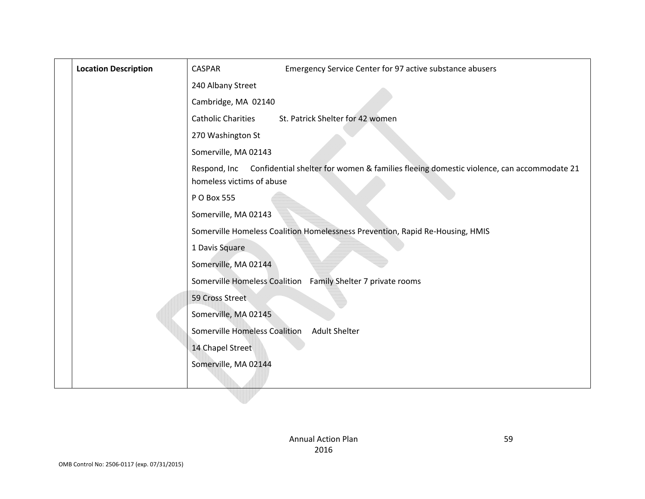| <b>Location Description</b> | <b>CASPAR</b><br>Emergency Service Center for 97 active substance abusers                                                         |
|-----------------------------|-----------------------------------------------------------------------------------------------------------------------------------|
|                             | 240 Albany Street                                                                                                                 |
|                             | Cambridge, MA 02140                                                                                                               |
|                             | <b>Catholic Charities</b><br>St. Patrick Shelter for 42 women                                                                     |
|                             | 270 Washington St                                                                                                                 |
|                             | Somerville, MA 02143                                                                                                              |
|                             | Respond, Inc Confidential shelter for women & families fleeing domestic violence, can accommodate 21<br>homeless victims of abuse |
|                             | P O Box 555                                                                                                                       |
|                             | Somerville, MA 02143                                                                                                              |
|                             | Somerville Homeless Coalition Homelessness Prevention, Rapid Re-Housing, HMIS                                                     |
|                             | 1 Davis Square                                                                                                                    |
|                             | Somerville, MA 02144                                                                                                              |
|                             | Somerville Homeless Coalition Family Shelter 7 private rooms                                                                      |
|                             | 59 Cross Street                                                                                                                   |
|                             | Somerville, MA 02145                                                                                                              |
|                             | <b>Somerville Homeless Coalition</b><br><b>Adult Shelter</b>                                                                      |
|                             | 14 Chapel Street                                                                                                                  |
|                             | Somerville, MA 02144                                                                                                              |
|                             |                                                                                                                                   |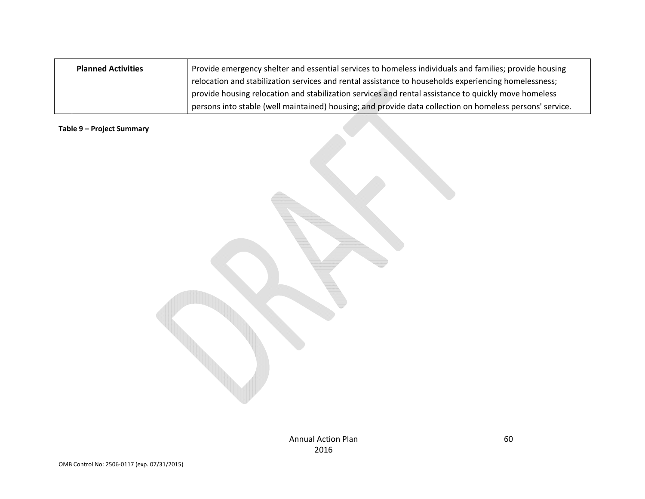| <b>Planned Activities</b> | Provide emergency shelter and essential services to homeless individuals and families; provide housing   |
|---------------------------|----------------------------------------------------------------------------------------------------------|
|                           | relocation and stabilization services and rental assistance to households experiencing homelessness;     |
|                           | provide housing relocation and stabilization services and rental assistance to quickly move homeless     |
|                           | persons into stable (well maintained) housing; and provide data collection on homeless persons' service. |

**Table 9 – Project Summary**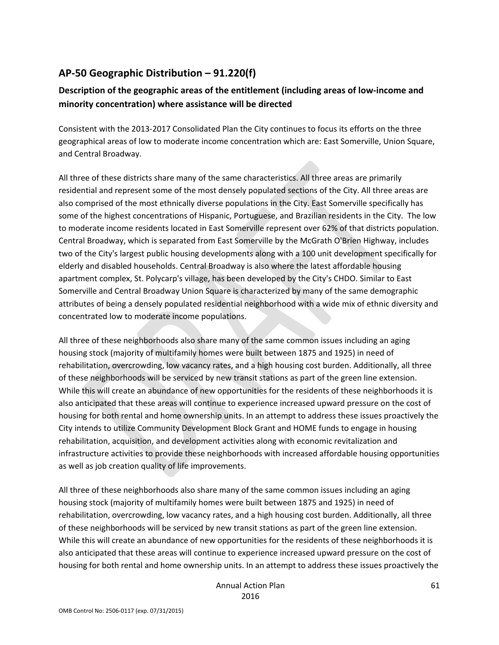# **AP‐50 Geographic Distribution – 91.220(f)**

# **Description of the geographic areas of the entitlement (including areas of low‐income and minority concentration) where assistance will be directed**

Consistent with the 2013‐2017 Consolidated Plan the City continues to focus its efforts on the three geographical areas of low to moderate income concentration which are: East Somerville, Union Square, and Central Broadway.

All three of these districts share many of the same characteristics. All three areas are primarily residential and represent some of the most densely populated sections of the City. All three areas are also comprised of the most ethnically diverse populations in the City. East Somerville specifically has some of the highest concentrations of Hispanic, Portuguese, and Brazilian residents in the City. The low to moderate income residents located in East Somerville represent over 62% of that districts population. Central Broadway, which is separated from East Somerville by the McGrath O'Brien Highway, includes two of the City's largest public housing developments along with a 100 unit development specifically for elderly and disabled households. Central Broadway is also where the latest affordable housing apartment complex, St. Polycarp's village, has been developed by the City's CHDO. Similar to East Somerville and Central Broadway Union Square is characterized by many of the same demographic attributes of being a densely populated residential neighborhood with a wide mix of ethnic diversity and concentrated low to moderate income populations.

All three of these neighborhoods also share many of the same common issues including an aging housing stock (majority of multifamily homes were built between 1875 and 1925) in need of rehabilitation, overcrowding, low vacancy rates, and a high housing cost burden. Additionally, all three of these neighborhoods will be serviced by new transit stations as part of the green line extension. While this will create an abundance of new opportunities for the residents of these neighborhoods it is also anticipated that these areas will continue to experience increased upward pressure on the cost of housing for both rental and home ownership units. In an attempt to address these issues proactively the City intends to utilize Community Development Block Grant and HOME funds to engage in housing rehabilitation, acquisition, and development activities along with economic revitalization and infrastructure activities to provide these neighborhoods with increased affordable housing opportunities as well as job creation quality of life improvements.

All three of these neighborhoods also share many of the same common issues including an aging housing stock (majority of multifamily homes were built between 1875 and 1925) in need of rehabilitation, overcrowding, low vacancy rates, and a high housing cost burden. Additionally, all three of these neighborhoods will be serviced by new transit stations as part of the green line extension. While this will create an abundance of new opportunities for the residents of these neighborhoods it is also anticipated that these areas will continue to experience increased upward pressure on the cost of housing for both rental and home ownership units. In an attempt to address these issues proactively the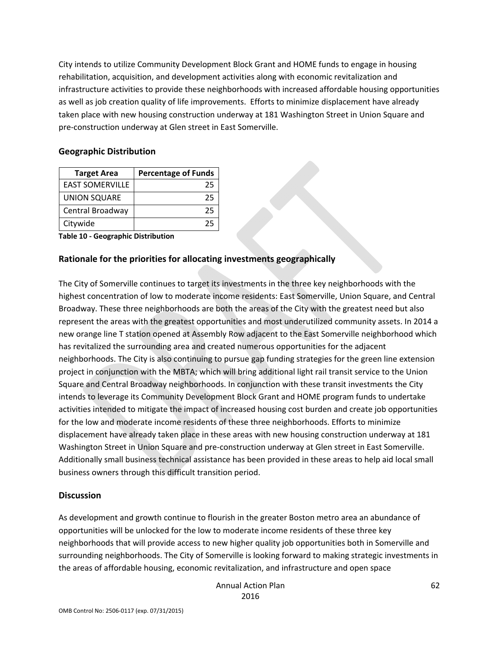City intends to utilize Community Development Block Grant and HOME funds to engage in housing rehabilitation, acquisition, and development activities along with economic revitalization and infrastructure activities to provide these neighborhoods with increased affordable housing opportunities as well as job creation quality of life improvements. Efforts to minimize displacement have already taken place with new housing construction underway at 181 Washington Street in Union Square and pre‐construction underway at Glen street in East Somerville.

## **Geographic Distribution**

| <b>Target Area</b>     | <b>Percentage of Funds</b> |
|------------------------|----------------------------|
| <b>EAST SOMERVILLE</b> | 25                         |
| <b>UNION SQUARE</b>    | 25                         |
| Central Broadway       | 25                         |
| Citywide               | フロ                         |

**Table 10 ‐ Geographic Distribution** 

## **Rationale for the priorities for allocating investments geographically**

The City of Somerville continues to target its investments in the three key neighborhoods with the highest concentration of low to moderate income residents: East Somerville, Union Square, and Central Broadway. These three neighborhoods are both the areas of the City with the greatest need but also represent the areas with the greatest opportunities and most underutilized community assets. In 2014 a new orange line T station opened at Assembly Row adjacent to the East Somerville neighborhood which has revitalized the surrounding area and created numerous opportunities for the adjacent neighborhoods. The City is also continuing to pursue gap funding strategies for the green line extension project in conjunction with the MBTA; which will bring additional light rail transit service to the Union Square and Central Broadway neighborhoods. In conjunction with these transit investments the City intends to leverage its Community Development Block Grant and HOME program funds to undertake activities intended to mitigate the impact of increased housing cost burden and create job opportunities for the low and moderate income residents of these three neighborhoods. Efforts to minimize displacement have already taken place in these areas with new housing construction underway at 181 Washington Street in Union Square and pre‐construction underway at Glen street in East Somerville. Additionally small business technical assistance has been provided in these areas to help aid local small business owners through this difficult transition period.

## **Discussion**

As development and growth continue to flourish in the greater Boston metro area an abundance of opportunities will be unlocked for the low to moderate income residents of these three key neighborhoods that will provide access to new higher quality job opportunities both in Somerville and surrounding neighborhoods. The City of Somerville is looking forward to making strategic investments in the areas of affordable housing, economic revitalization, and infrastructure and open space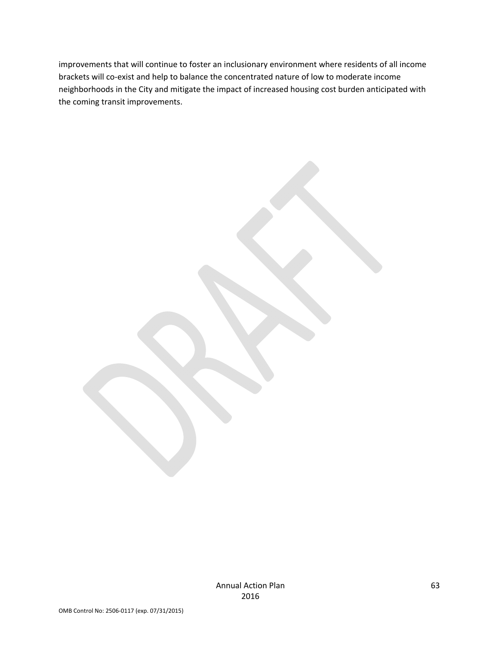improvements that will continue to foster an inclusionary environment where residents of all income brackets will co‐exist and help to balance the concentrated nature of low to moderate income neighborhoods in the City and mitigate the impact of increased housing cost burden anticipated with the coming transit improvements.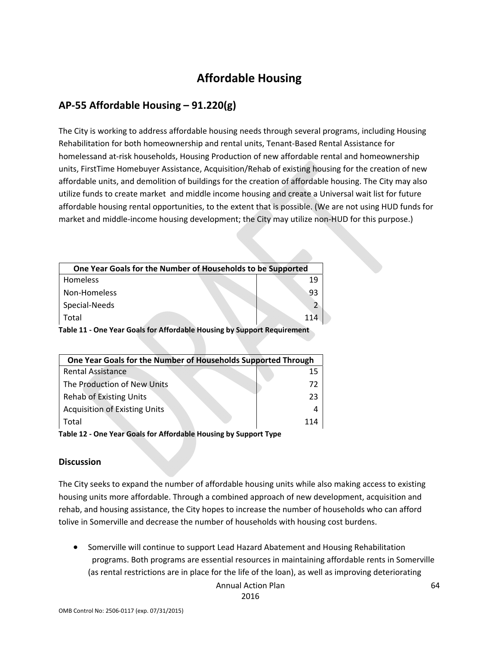# **Affordable Housing**

# **AP‐55 Affordable Housing – 91.220(g)**

The City is working to address affordable housing needs through several programs, including Housing Rehabilitation for both homeownership and rental units, Tenant‐Based Rental Assistance for homelessand at-risk households, Housing Production of new affordable rental and homeownership units, FirstTime Homebuyer Assistance, Acquisition/Rehab of existing housing for the creation of new affordable units, and demolition of buildings for the creation of affordable housing. The City may also utilize funds to create market and middle income housing and create a Universal wait list for future affordable housing rental opportunities, to the extent that is possible. (We are not using HUD funds for market and middle-income housing development; the City may utilize non-HUD for this purpose.)

| One Year Goals for the Number of Households to be Supported |     |  |
|-------------------------------------------------------------|-----|--|
| Homeless                                                    | 19  |  |
| Non-Homeless                                                | 93  |  |
| Special-Needs                                               |     |  |
| Total                                                       | 114 |  |
|                                                             |     |  |

**Table 11 ‐ One Year Goals for Affordable Housing by Support Requirement**

| One Year Goals for the Number of Households Supported Through |     |
|---------------------------------------------------------------|-----|
| <b>Rental Assistance</b>                                      | 15  |
| The Production of New Units                                   | 72  |
| <b>Rehab of Existing Units</b>                                | 23  |
| <b>Acquisition of Existing Units</b>                          |     |
| Total                                                         | 114 |
|                                                               |     |

**Table 12 ‐ One Year Goals for Affordable Housing by Support Type**

## **Discussion**

The City seeks to expand the number of affordable housing units while also making access to existing housing units more affordable. Through a combined approach of new development, acquisition and rehab, and housing assistance, the City hopes to increase the number of households who can afford tolive in Somerville and decrease the number of households with housing cost burdens.

 Somerville will continue to support Lead Hazard Abatement and Housing Rehabilitation programs. Both programs are essential resources in maintaining affordable rents in Somerville (as rental restrictions are in place for the life of the loan), as well as improving deteriorating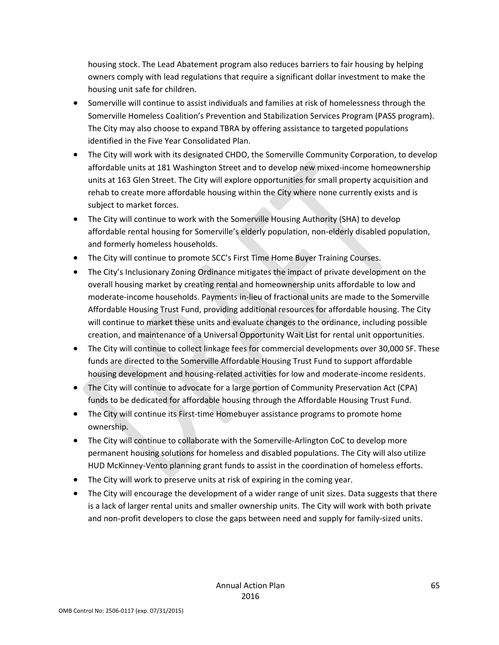housing stock. The Lead Abatement program also reduces barriers to fair housing by helping owners comply with lead regulations that require a significant dollar investment to make the housing unit safe for children.

- Somerville will continue to assist individuals and families at risk of homelessness through the Somerville Homeless Coalition's Prevention and Stabilization Services Program (PASS program). The City may also choose to expand TBRA by offering assistance to targeted populations identified in the Five Year Consolidated Plan.
- The City will work with its designated CHDO, the Somerville Community Corporation, to develop affordable units at 181 Washington Street and to develop new mixed‐income homeownership units at 163 Glen Street. The City will explore opportunities for small property acquisition and rehab to create more affordable housing within the City where none currently exists and is subject to market forces.
- The City will continue to work with the Somerville Housing Authority (SHA) to develop affordable rental housing for Somerville's elderly population, non‐elderly disabled population, and formerly homeless households.
- The City will continue to promote SCC's First Time Home Buyer Training Courses.
- The City's Inclusionary Zoning Ordinance mitigates the impact of private development on the overall housing market by creating rental and homeownership units affordable to low and moderate‐income households. Payments in‐lieu of fractional units are made to the Somerville Affordable Housing Trust Fund, providing additional resources for affordable housing. The City will continue to market these units and evaluate changes to the ordinance, including possible creation, and maintenance of a Universal Opportunity Wait List for rental unit opportunities.
- The City will continue to collect linkage fees for commercial developments over 30,000 SF. These funds are directed to the Somerville Affordable Housing Trust Fund to support affordable housing development and housing‐related activities for low and moderate‐income residents.
- The City will continue to advocate for a large portion of Community Preservation Act (CPA) funds to be dedicated for affordable housing through the Affordable Housing Trust Fund.
- The City will continue its First-time Homebuyer assistance programs to promote home ownership.
- The City will continue to collaborate with the Somerville-Arlington CoC to develop more permanent housing solutions for homeless and disabled populations. The City will also utilize HUD McKinney‐Vento planning grant funds to assist in the coordination of homeless efforts.
- The City will work to preserve units at risk of expiring in the coming year.
- The City will encourage the development of a wider range of unit sizes. Data suggests that there is a lack of larger rental units and smaller ownership units. The City will work with both private and non‐profit developers to close the gaps between need and supply for family‐sized units.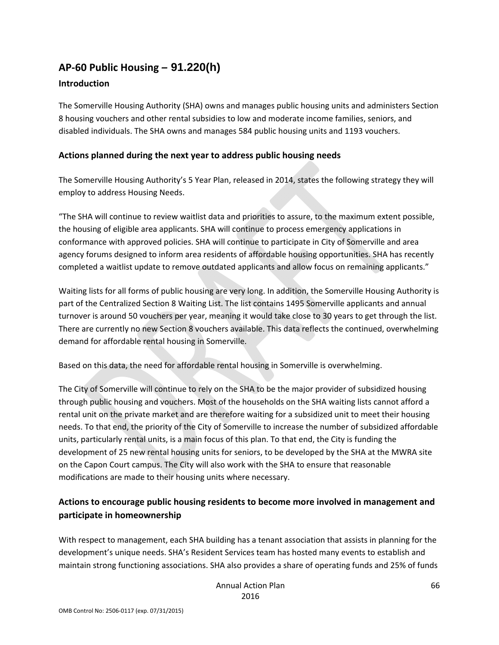# **AP‐60 Public Housing** *–* **91.220(h)**

## **Introduction**

The Somerville Housing Authority (SHA) owns and manages public housing units and administers Section 8 housing vouchers and other rental subsidies to low and moderate income families, seniors, and disabled individuals. The SHA owns and manages 584 public housing units and 1193 vouchers.

## **Actions planned during the next year to address public housing needs**

The Somerville Housing Authority's 5 Year Plan, released in 2014, states the following strategy they will employ to address Housing Needs.

"The SHA will continue to review waitlist data and priorities to assure, to the maximum extent possible, the housing of eligible area applicants. SHA will continue to process emergency applications in conformance with approved policies. SHA will continue to participate in City of Somerville and area agency forums designed to inform area residents of affordable housing opportunities. SHA has recently completed a waitlist update to remove outdated applicants and allow focus on remaining applicants."

Waiting lists for all forms of public housing are very long. In addition, the Somerville Housing Authority is part of the Centralized Section 8 Waiting List. The list contains 1495 Somerville applicants and annual turnover is around 50 vouchers per year, meaning it would take close to 30 years to get through the list. There are currently no new Section 8 vouchers available. This data reflects the continued, overwhelming demand for affordable rental housing in Somerville.

Based on this data, the need for affordable rental housing in Somerville is overwhelming.

The City of Somerville will continue to rely on the SHA to be the major provider of subsidized housing through public housing and vouchers. Most of the households on the SHA waiting lists cannot afford a rental unit on the private market and are therefore waiting for a subsidized unit to meet their housing needs. To that end, the priority of the City of Somerville to increase the number of subsidized affordable units, particularly rental units, is a main focus of this plan. To that end, the City is funding the development of 25 new rental housing units for seniors, to be developed by the SHA at the MWRA site on the Capon Court campus. The City will also work with the SHA to ensure that reasonable modifications are made to their housing units where necessary.

# **Actions to encourage public housing residents to become more involved in management and participate in homeownership**

With respect to management, each SHA building has a tenant association that assists in planning for the development's unique needs. SHA's Resident Services team has hosted many events to establish and maintain strong functioning associations. SHA also provides a share of operating funds and 25% of funds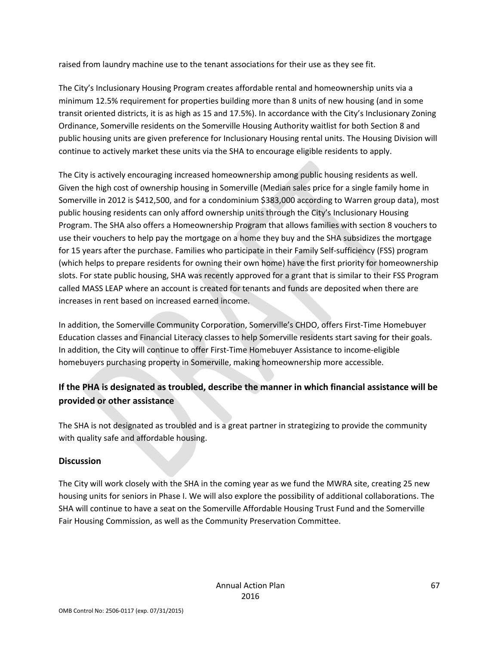raised from laundry machine use to the tenant associations for their use as they see fit.

The City's Inclusionary Housing Program creates affordable rental and homeownership units via a minimum 12.5% requirement for properties building more than 8 units of new housing (and in some transit oriented districts, it is as high as 15 and 17.5%). In accordance with the City's Inclusionary Zoning Ordinance, Somerville residents on the Somerville Housing Authority waitlist for both Section 8 and public housing units are given preference for Inclusionary Housing rental units. The Housing Division will continue to actively market these units via the SHA to encourage eligible residents to apply.

The City is actively encouraging increased homeownership among public housing residents as well. Given the high cost of ownership housing in Somerville (Median sales price for a single family home in Somerville in 2012 is \$412,500, and for a condominium \$383,000 according to Warren group data), most public housing residents can only afford ownership units through the City's Inclusionary Housing Program. The SHA also offers a Homeownership Program that allows families with section 8 vouchers to use their vouchers to help pay the mortgage on a home they buy and the SHA subsidizes the mortgage for 15 years after the purchase. Families who participate in their Family Self‐sufficiency (FSS) program (which helps to prepare residents for owning their own home) have the first priority for homeownership slots. For state public housing, SHA was recently approved for a grant that is similar to their FSS Program called MASS LEAP where an account is created for tenants and funds are deposited when there are increases in rent based on increased earned income.

In addition, the Somerville Community Corporation, Somerville's CHDO, offers First‐Time Homebuyer Education classes and Financial Literacy classes to help Somerville residents start saving for their goals. In addition, the City will continue to offer First-Time Homebuyer Assistance to income-eligible homebuyers purchasing property in Somerville, making homeownership more accessible.

## **If the PHA is designated as troubled, describe the manner in which financial assistance will be provided or other assistance**

The SHA is not designated as troubled and is a great partner in strategizing to provide the community with quality safe and affordable housing.

## **Discussion**

The City will work closely with the SHA in the coming year as we fund the MWRA site, creating 25 new housing units for seniors in Phase I. We will also explore the possibility of additional collaborations. The SHA will continue to have a seat on the Somerville Affordable Housing Trust Fund and the Somerville Fair Housing Commission, as well as the Community Preservation Committee.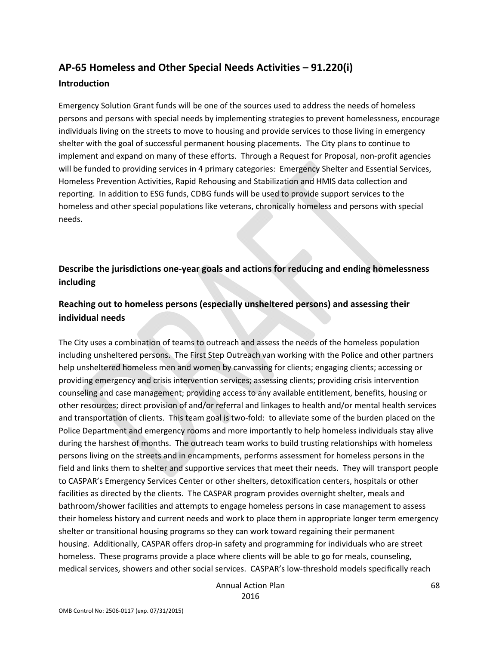# **AP‐65 Homeless and Other Special Needs Activities – 91.220(i)**

## **Introduction**

Emergency Solution Grant funds will be one of the sources used to address the needs of homeless persons and persons with special needs by implementing strategies to prevent homelessness, encourage individuals living on the streets to move to housing and provide services to those living in emergency shelter with the goal of successful permanent housing placements. The City plans to continue to implement and expand on many of these efforts. Through a Request for Proposal, non-profit agencies will be funded to providing services in 4 primary categories: Emergency Shelter and Essential Services, Homeless Prevention Activities, Rapid Rehousing and Stabilization and HMIS data collection and reporting. In addition to ESG funds, CDBG funds will be used to provide support services to the homeless and other special populations like veterans, chronically homeless and persons with special needs.

## **Describe the jurisdictions one‐year goals and actions for reducing and ending homelessness including**

# **Reaching out to homeless persons (especially unsheltered persons) and assessing their individual needs**

The City uses a combination of teams to outreach and assess the needs of the homeless population including unsheltered persons. The First Step Outreach van working with the Police and other partners help unsheltered homeless men and women by canvassing for clients; engaging clients; accessing or providing emergency and crisis intervention services; assessing clients; providing crisis intervention counseling and case management; providing access to any available entitlement, benefits, housing or other resources; direct provision of and/or referral and linkages to health and/or mental health services and transportation of clients. This team goal is two-fold: to alleviate some of the burden placed on the Police Department and emergency rooms and more importantly to help homeless individuals stay alive during the harshest of months. The outreach team works to build trusting relationships with homeless persons living on the streets and in encampments, performs assessment for homeless persons in the field and links them to shelter and supportive services that meet their needs. They will transport people to CASPAR's Emergency Services Center or other shelters, detoxification centers, hospitals or other facilities as directed by the clients. The CASPAR program provides overnight shelter, meals and bathroom/shower facilities and attempts to engage homeless persons in case management to assess their homeless history and current needs and work to place them in appropriate longer term emergency shelter or transitional housing programs so they can work toward regaining their permanent housing. Additionally, CASPAR offers drop-in safety and programming for individuals who are street homeless. These programs provide a place where clients will be able to go for meals, counseling, medical services, showers and other social services. CASPAR's low‐threshold models specifically reach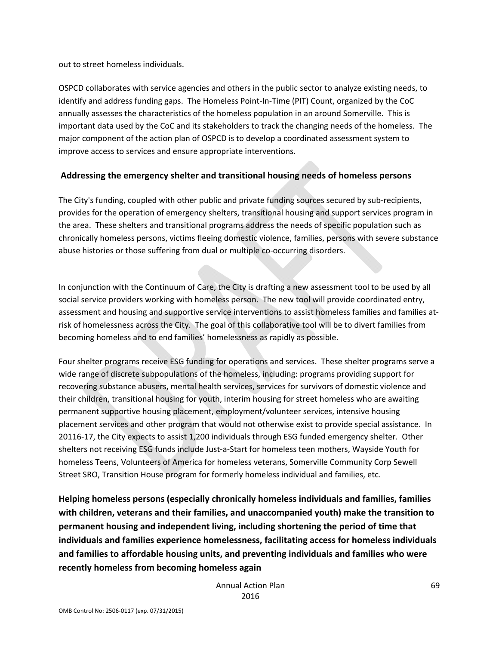out to street homeless individuals.

OSPCD collaborates with service agencies and others in the public sector to analyze existing needs, to identify and address funding gaps. The Homeless Point‐In‐Time (PIT) Count, organized by the CoC annually assesses the characteristics of the homeless population in an around Somerville. This is important data used by the CoC and its stakeholders to track the changing needs of the homeless. The major component of the action plan of OSPCD is to develop a coordinated assessment system to improve access to services and ensure appropriate interventions.

## **Addressing the emergency shelter and transitional housing needs of homeless persons**

The City's funding, coupled with other public and private funding sources secured by sub-recipients, provides for the operation of emergency shelters, transitional housing and support services program in the area. These shelters and transitional programs address the needs of specific population such as chronically homeless persons, victims fleeing domestic violence, families, persons with severe substance abuse histories or those suffering from dual or multiple co-occurring disorders.

In conjunction with the Continuum of Care, the City is drafting a new assessment tool to be used by all social service providers working with homeless person. The new tool will provide coordinated entry, assessment and housing and supportive service interventions to assist homeless families and families at‐ risk of homelessness across the City. The goal of this collaborative tool will be to divert families from becoming homeless and to end families' homelessness as rapidly as possible.

Four shelter programs receive ESG funding for operations and services. These shelter programs serve a wide range of discrete subpopulations of the homeless, including: programs providing support for recovering substance abusers, mental health services, services for survivors of domestic violence and their children, transitional housing for youth, interim housing for street homeless who are awaiting permanent supportive housing placement, employment/volunteer services, intensive housing placement services and other program that would not otherwise exist to provide special assistance. In 20116‐17, the City expects to assist 1,200 individuals through ESG funded emergency shelter. Other shelters not receiving ESG funds include Just-a-Start for homeless teen mothers, Wayside Youth for homeless Teens, Volunteers of America for homeless veterans, Somerville Community Corp Sewell Street SRO, Transition House program for formerly homeless individual and families, etc.

**Helping homeless persons (especially chronically homeless individuals and families, families with children, veterans and their families, and unaccompanied youth) make the transition to permanent housing and independent living, including shortening the period of time that individuals and families experience homelessness, facilitating access for homeless individuals and families to affordable housing units, and preventing individuals and families who were recently homeless from becoming homeless again**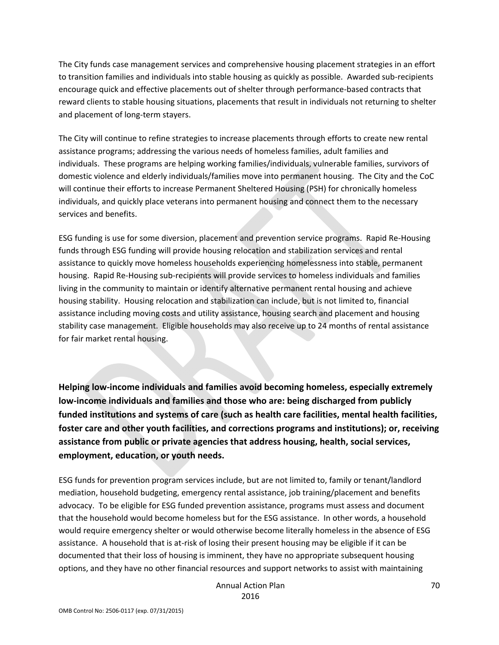The City funds case management services and comprehensive housing placement strategies in an effort to transition families and individuals into stable housing as quickly as possible. Awarded sub‐recipients encourage quick and effective placements out of shelter through performance‐based contracts that reward clients to stable housing situations, placements that result in individuals not returning to shelter and placement of long‐term stayers.

The City will continue to refine strategies to increase placements through efforts to create new rental assistance programs; addressing the various needs of homeless families, adult families and individuals. These programs are helping working families/individuals, vulnerable families, survivors of domestic violence and elderly individuals/families move into permanent housing. The City and the CoC will continue their efforts to increase Permanent Sheltered Housing (PSH) for chronically homeless individuals, and quickly place veterans into permanent housing and connect them to the necessary services and benefits.

ESG funding is use for some diversion, placement and prevention service programs. Rapid Re‐Housing funds through ESG funding will provide housing relocation and stabilization services and rental assistance to quickly move homeless households experiencing homelessness into stable, permanent housing. Rapid Re‐Housing sub‐recipients will provide services to homeless individuals and families living in the community to maintain or identify alternative permanent rental housing and achieve housing stability. Housing relocation and stabilization can include, but is not limited to, financial assistance including moving costs and utility assistance, housing search and placement and housing stability case management. Eligible households may also receive up to 24 months of rental assistance for fair market rental housing.

**Helping low‐income individuals and families avoid becoming homeless, especially extremely low‐income individuals and families and those who are: being discharged from publicly funded institutions and systems of care (such as health care facilities, mental health facilities, foster care and other youth facilities, and corrections programs and institutions); or, receiving assistance from public or private agencies that address housing, health, social services, employment, education, or youth needs.**

ESG funds for prevention program services include, but are not limited to, family or tenant/landlord mediation, household budgeting, emergency rental assistance, job training/placement and benefits advocacy. To be eligible for ESG funded prevention assistance, programs must assess and document that the household would become homeless but for the ESG assistance. In other words, a household would require emergency shelter or would otherwise become literally homeless in the absence of ESG assistance. A household that is at‐risk of losing their present housing may be eligible if it can be documented that their loss of housing is imminent, they have no appropriate subsequent housing options, and they have no other financial resources and support networks to assist with maintaining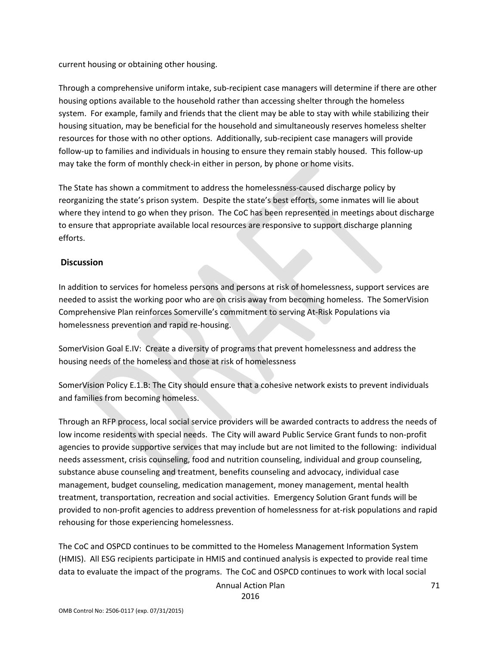current housing or obtaining other housing.

Through a comprehensive uniform intake, sub‐recipient case managers will determine if there are other housing options available to the household rather than accessing shelter through the homeless system. For example, family and friends that the client may be able to stay with while stabilizing their housing situation, may be beneficial for the household and simultaneously reserves homeless shelter resources for those with no other options. Additionally, sub‐recipient case managers will provide follow‐up to families and individuals in housing to ensure they remain stably housed. This follow‐up may take the form of monthly check-in either in person, by phone or home visits.

The State has shown a commitment to address the homelessness-caused discharge policy by reorganizing the state's prison system. Despite the state's best efforts, some inmates will lie about where they intend to go when they prison. The CoC has been represented in meetings about discharge to ensure that appropriate available local resources are responsive to support discharge planning efforts.

## **Discussion**

In addition to services for homeless persons and persons at risk of homelessness, support services are needed to assist the working poor who are on crisis away from becoming homeless. The SomerVision Comprehensive Plan reinforces Somerville's commitment to serving At‐Risk Populations via homelessness prevention and rapid re-housing.

SomerVision Goal E.IV: Create a diversity of programs that prevent homelessness and address the housing needs of the homeless and those at risk of homelessness

SomerVision Policy E.1.B: The City should ensure that a cohesive network exists to prevent individuals and families from becoming homeless.

Through an RFP process, local social service providers will be awarded contracts to address the needs of low income residents with special needs. The City will award Public Service Grant funds to non‐profit agencies to provide supportive services that may include but are not limited to the following: individual needs assessment, crisis counseling, food and nutrition counseling, individual and group counseling, substance abuse counseling and treatment, benefits counseling and advocacy, individual case management, budget counseling, medication management, money management, mental health treatment, transportation, recreation and social activities. Emergency Solution Grant funds will be provided to non‐profit agencies to address prevention of homelessness for at‐risk populations and rapid rehousing for those experiencing homelessness.

The CoC and OSPCD continues to be committed to the Homeless Management Information System (HMIS). All ESG recipients participate in HMIS and continued analysis is expected to provide real time data to evaluate the impact of the programs. The CoC and OSPCD continues to work with local social

Annual Action Plan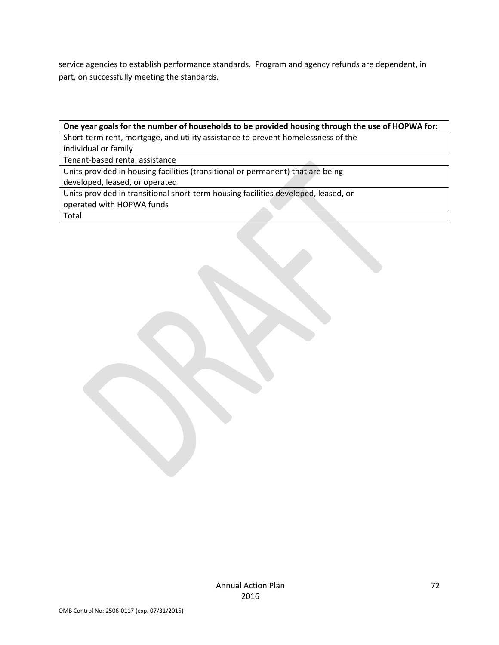service agencies to establish performance standards. Program and agency refunds are dependent, in part, on successfully meeting the standards.

### **One year goals for the number of households to be provided housing through the use of HOPWA for:**

Short-term rent, mortgage, and utility assistance to prevent homelessness of the individual or family

Tenant‐based rental assistance

Units provided in housing facilities (transitional or permanent) that are being developed, leased, or operated

Units provided in transitional short‐term housing facilities developed, leased, or operated with HOPWA funds

Total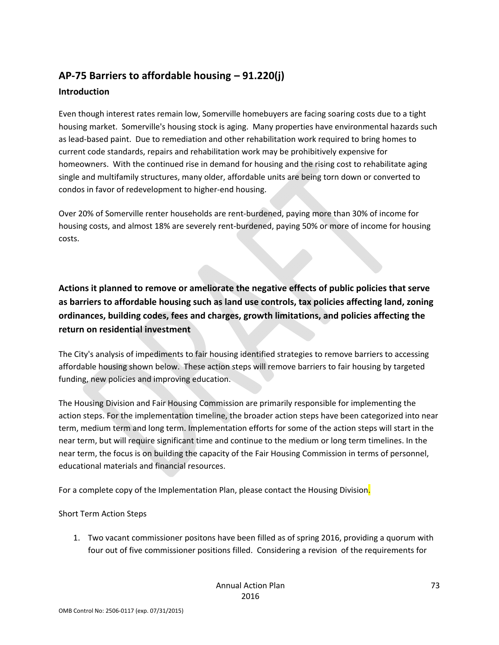# **AP‐75 Barriers to affordable housing – 91.220(j) Introduction**

Even though interest rates remain low, Somerville homebuyers are facing soaring costs due to a tight housing market. Somerville's housing stock is aging. Many properties have environmental hazards such as lead‐based paint. Due to remediation and other rehabilitation work required to bring homes to current code standards, repairs and rehabilitation work may be prohibitively expensive for homeowners. With the continued rise in demand for housing and the rising cost to rehabilitate aging single and multifamily structures, many older, affordable units are being torn down or converted to condos in favor of redevelopment to higher‐end housing.

Over 20% of Somerville renter households are rent‐burdened, paying more than 30% of income for housing costs, and almost 18% are severely rent‐burdened, paying 50% or more of income for housing costs.

**Actions it planned to remove or ameliorate the negative effects of public policies that serve as barriers to affordable housing such as land use controls, tax policies affecting land, zoning ordinances, building codes, fees and charges, growth limitations, and policies affecting the return on residential investment**

The City's analysis of impediments to fair housing identified strategies to remove barriers to accessing affordable housing shown below. These action steps will remove barriers to fair housing by targeted funding, new policies and improving education.

The Housing Division and Fair Housing Commission are primarily responsible for implementing the action steps. For the implementation timeline, the broader action steps have been categorized into near term, medium term and long term. Implementation efforts for some of the action steps will start in the near term, but will require significant time and continue to the medium or long term timelines. In the near term, the focus is on building the capacity of the Fair Housing Commission in terms of personnel, educational materials and financial resources.

For a complete copy of the Implementation Plan, please contact the Housing Division.

Short Term Action Steps

1. Two vacant commissioner positons have been filled as of spring 2016, providing a quorum with four out of five commissioner positions filled. Considering a revision of the requirements for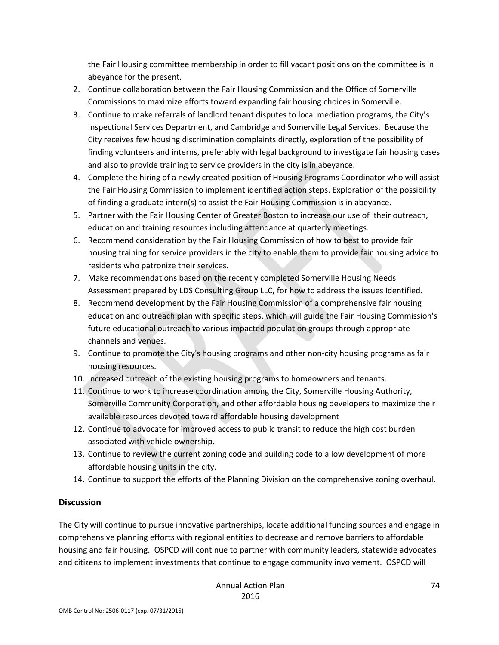the Fair Housing committee membership in order to fill vacant positions on the committee is in abeyance for the present.

- 2. Continue collaboration between the Fair Housing Commission and the Office of Somerville Commissions to maximize efforts toward expanding fair housing choices in Somerville.
- 3. Continue to make referrals of landlord tenant disputes to local mediation programs, the City's Inspectional Services Department, and Cambridge and Somerville Legal Services. Because the City receives few housing discrimination complaints directly, exploration of the possibility of finding volunteers and interns, preferably with legal background to investigate fair housing cases and also to provide training to service providers in the city is in abeyance.
- 4. Complete the hiring of a newly created position of Housing Programs Coordinator who will assist the Fair Housing Commission to implement identified action steps. Exploration of the possibility of finding a graduate intern(s) to assist the Fair Housing Commission is in abeyance.
- 5. Partner with the Fair Housing Center of Greater Boston to increase our use of their outreach, education and training resources including attendance at quarterly meetings.
- 6. Recommend consideration by the Fair Housing Commission of how to best to provide fair housing training for service providers in the city to enable them to provide fair housing advice to residents who patronize their services.
- 7. Make recommendations based on the recently completed Somerville Housing Needs Assessment prepared by LDS Consulting Group LLC, for how to address the issues Identified.
- 8. Recommend development by the Fair Housing Commission of a comprehensive fair housing education and outreach plan with specific steps, which will guide the Fair Housing Commission's future educational outreach to various impacted population groups through appropriate channels and venues.
- 9. Continue to promote the City's housing programs and other non-city housing programs as fair housing resources.
- 10. Increased outreach of the existing housing programs to homeowners and tenants.
- 11. Continue to work to increase coordination among the City, Somerville Housing Authority, Somerville Community Corporation, and other affordable housing developers to maximize their available resources devoted toward affordable housing development
- 12. Continue to advocate for improved access to public transit to reduce the high cost burden associated with vehicle ownership.
- 13. Continue to review the current zoning code and building code to allow development of more affordable housing units in the city.
- 14. Continue to support the efforts of the Planning Division on the comprehensive zoning overhaul.

## **Discussion**

The City will continue to pursue innovative partnerships, locate additional funding sources and engage in comprehensive planning efforts with regional entities to decrease and remove barriers to affordable housing and fair housing. OSPCD will continue to partner with community leaders, statewide advocates and citizens to implement investments that continue to engage community involvement. OSPCD will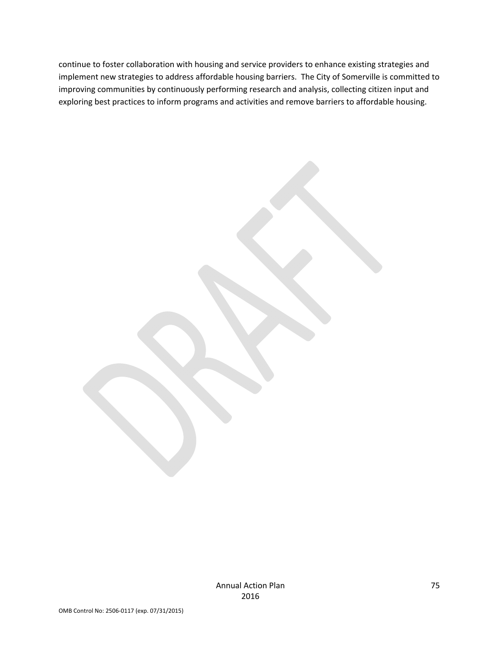continue to foster collaboration with housing and service providers to enhance existing strategies and implement new strategies to address affordable housing barriers. The City of Somerville is committed to improving communities by continuously performing research and analysis, collecting citizen input and exploring best practices to inform programs and activities and remove barriers to affordable housing.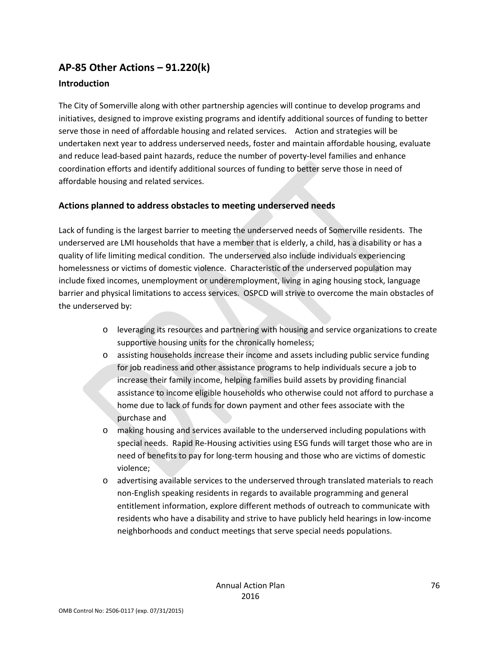# **AP‐85 Other Actions – 91.220(k)**

#### **Introduction**

The City of Somerville along with other partnership agencies will continue to develop programs and initiatives, designed to improve existing programs and identify additional sources of funding to better serve those in need of affordable housing and related services. Action and strategies will be undertaken next year to address underserved needs, foster and maintain affordable housing, evaluate and reduce lead-based paint hazards, reduce the number of poverty-level families and enhance coordination efforts and identify additional sources of funding to better serve those in need of affordable housing and related services.

#### **Actions planned to address obstacles to meeting underserved needs**

Lack of funding is the largest barrier to meeting the underserved needs of Somerville residents. The underserved are LMI households that have a member that is elderly, a child, has a disability or has a quality of life limiting medical condition. The underserved also include individuals experiencing homelessness or victims of domestic violence. Characteristic of the underserved population may include fixed incomes, unemployment or underemployment, living in aging housing stock, language barrier and physical limitations to access services. OSPCD will strive to overcome the main obstacles of the underserved by:

- o leveraging its resources and partnering with housing and service organizations to create supportive housing units for the chronically homeless;
- o assisting households increase their income and assets including public service funding for job readiness and other assistance programs to help individuals secure a job to increase their family income, helping families build assets by providing financial assistance to income eligible households who otherwise could not afford to purchase a home due to lack of funds for down payment and other fees associate with the purchase and
- o making housing and services available to the underserved including populations with special needs. Rapid Re‐Housing activities using ESG funds will target those who are in need of benefits to pay for long‐term housing and those who are victims of domestic violence;
- o advertising available services to the underserved through translated materials to reach non‐English speaking residents in regards to available programming and general entitlement information, explore different methods of outreach to communicate with residents who have a disability and strive to have publicly held hearings in low‐income neighborhoods and conduct meetings that serve special needs populations.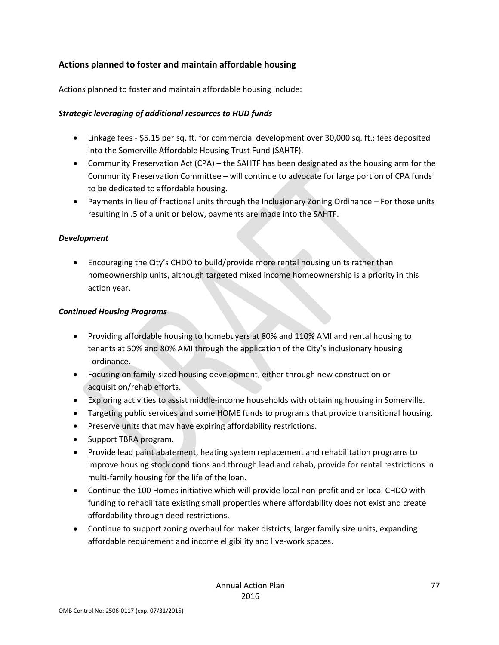## **Actions planned to foster and maintain affordable housing**

Actions planned to foster and maintain affordable housing include:

#### *Strategic leveraging of additional resources to HUD funds*

- Linkage fees \$5.15 per sq. ft. for commercial development over 30,000 sq. ft.; fees deposited into the Somerville Affordable Housing Trust Fund (SAHTF).
- Community Preservation Act (CPA) the SAHTF has been designated as the housing arm for the Community Preservation Committee – will continue to advocate for large portion of CPA funds to be dedicated to affordable housing.
- Payments in lieu of fractional units through the Inclusionary Zoning Ordinance For those units resulting in .5 of a unit or below, payments are made into the SAHTF.

#### *Development*

 Encouraging the City's CHDO to build/provide more rental housing units rather than homeownership units, although targeted mixed income homeownership is a priority in this action year.

#### *Continued Housing Programs*

- Providing affordable housing to homebuyers at 80% and 110% AMI and rental housing to tenants at 50% and 80% AMI through the application of the City's inclusionary housing ordinance.
- Focusing on family‐sized housing development, either through new construction or acquisition/rehab efforts.
- Exploring activities to assist middle-income households with obtaining housing in Somerville.
- Targeting public services and some HOME funds to programs that provide transitional housing.
- Preserve units that may have expiring affordability restrictions.
- Support TBRA program.
- Provide lead paint abatement, heating system replacement and rehabilitation programs to improve housing stock conditions and through lead and rehab, provide for rental restrictions in multi-family housing for the life of the loan.
- Continue the 100 Homes initiative which will provide local non-profit and or local CHDO with funding to rehabilitate existing small properties where affordability does not exist and create affordability through deed restrictions.
- Continue to support zoning overhaul for maker districts, larger family size units, expanding affordable requirement and income eligibility and live‐work spaces.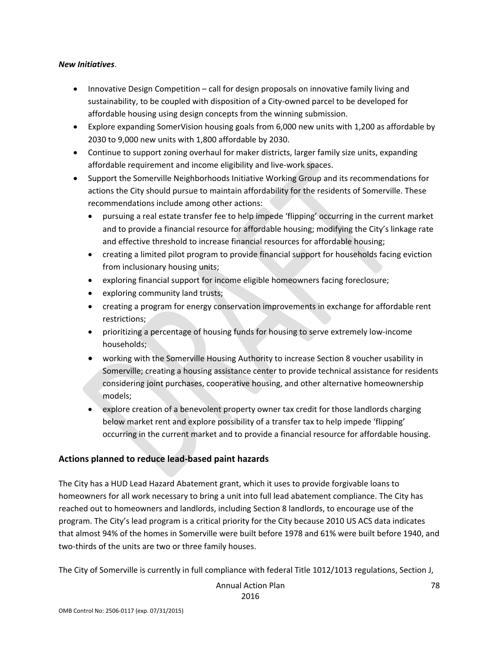#### *New Initiatives*.

- Innovative Design Competition call for design proposals on innovative family living and sustainability, to be coupled with disposition of a City-owned parcel to be developed for affordable housing using design concepts from the winning submission.
- Explore expanding SomerVision housing goals from 6,000 new units with 1,200 as affordable by 2030 to 9,000 new units with 1,800 affordable by 2030.
- Continue to support zoning overhaul for maker districts, larger family size units, expanding affordable requirement and income eligibility and live‐work spaces.
- Support the Somerville Neighborhoods Initiative Working Group and its recommendations for actions the City should pursue to maintain affordability for the residents of Somerville. These recommendations include among other actions:
	- pursuing a real estate transfer fee to help impede 'flipping' occurring in the current market and to provide a financial resource for affordable housing; modifying the City's linkage rate and effective threshold to increase financial resources for affordable housing;
	- creating a limited pilot program to provide financial support for households facing eviction from inclusionary housing units;
	- exploring financial support for income eligible homeowners facing foreclosure;
	- exploring community land trusts;
	- creating a program for energy conservation improvements in exchange for affordable rent restrictions;
	- prioritizing a percentage of housing funds for housing to serve extremely low‐income households;
	- working with the Somerville Housing Authority to increase Section 8 voucher usability in Somerville; creating a housing assistance center to provide technical assistance for residents considering joint purchases, cooperative housing, and other alternative homeownership models;
	- explore creation of a benevolent property owner tax credit for those landlords charging below market rent and explore possibility of a transfer tax to help impede 'flipping' occurring in the current market and to provide a financial resource for affordable housing.

## **Actions planned to reduce lead‐based paint hazards**

The City has a HUD Lead Hazard Abatement grant, which it uses to provide forgivable loans to homeowners for all work necessary to bring a unit into full lead abatement compliance. The City has reached out to homeowners and landlords, including Section 8 landlords, to encourage use of the program. The City's lead program is a critical priority for the City because 2010 US ACS data indicates that almost 94% of the homes in Somerville were built before 1978 and 61% were built before 1940, and two-thirds of the units are two or three family houses.

The City of Somerville is currently in full compliance with federal Title 1012/1013 regulations, Section J,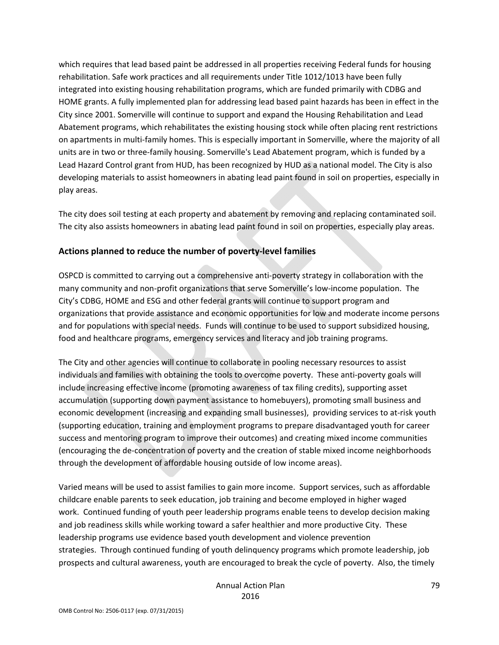which requires that lead based paint be addressed in all properties receiving Federal funds for housing rehabilitation. Safe work practices and all requirements under Title 1012/1013 have been fully integrated into existing housing rehabilitation programs, which are funded primarily with CDBG and HOME grants. A fully implemented plan for addressing lead based paint hazards has been in effect in the City since 2001. Somerville will continue to support and expand the Housing Rehabilitation and Lead Abatement programs, which rehabilitates the existing housing stock while often placing rent restrictions on apartments in multi‐family homes. This is especially important in Somerville, where the majority of all units are in two or three‐family housing. Somerville's Lead Abatement program, which is funded by a Lead Hazard Control grant from HUD, has been recognized by HUD as a national model. The City is also developing materials to assist homeowners in abating lead paint found in soil on properties, especially in play areas.

The city does soil testing at each property and abatement by removing and replacing contaminated soil. The city also assists homeowners in abating lead paint found in soil on properties, especially play areas.

#### **Actions planned to reduce the number of poverty‐level families**

OSPCD is committed to carrying out a comprehensive anti‐poverty strategy in collaboration with the many community and non‐profit organizations that serve Somerville's low‐income population. The City's CDBG, HOME and ESG and other federal grants will continue to support program and organizations that provide assistance and economic opportunities for low and moderate income persons and for populations with special needs. Funds will continue to be used to support subsidized housing, food and healthcare programs, emergency services and literacy and job training programs.

The City and other agencies will continue to collaborate in pooling necessary resources to assist individuals and families with obtaining the tools to overcome poverty. These anti-poverty goals will include increasing effective income (promoting awareness of tax filing credits), supporting asset accumulation (supporting down payment assistance to homebuyers), promoting small business and economic development (increasing and expanding small businesses), providing services to at‐risk youth (supporting education, training and employment programs to prepare disadvantaged youth for career success and mentoring program to improve their outcomes) and creating mixed income communities (encouraging the de‐concentration of poverty and the creation of stable mixed income neighborhoods through the development of affordable housing outside of low income areas).

Varied means will be used to assist families to gain more income. Support services, such as affordable childcare enable parents to seek education, job training and become employed in higher waged work. Continued funding of youth peer leadership programs enable teens to develop decision making and job readiness skills while working toward a safer healthier and more productive City. These leadership programs use evidence based youth development and violence prevention strategies. Through continued funding of youth delinquency programs which promote leadership, job prospects and cultural awareness, youth are encouraged to break the cycle of poverty. Also, the timely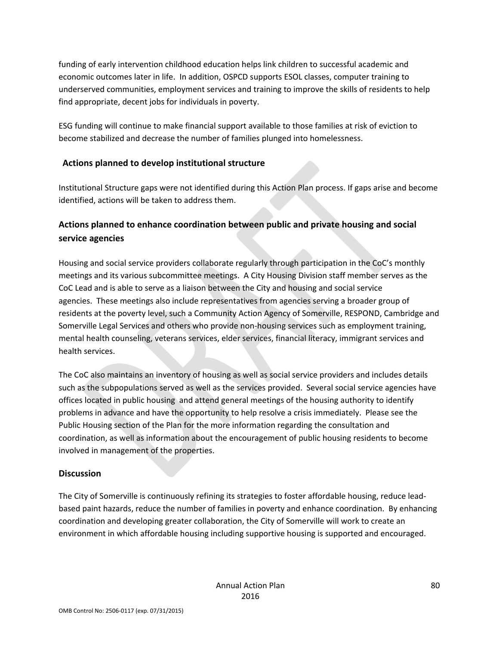funding of early intervention childhood education helps link children to successful academic and economic outcomes later in life. In addition, OSPCD supports ESOL classes, computer training to underserved communities, employment services and training to improve the skills of residents to help find appropriate, decent jobs for individuals in poverty.

ESG funding will continue to make financial support available to those families at risk of eviction to become stabilized and decrease the number of families plunged into homelessness.

## **Actions planned to develop institutional structure**

Institutional Structure gaps were not identified during this Action Plan process. If gaps arise and become identified, actions will be taken to address them.

# **Actions planned to enhance coordination between public and private housing and social service agencies**

Housing and social service providers collaborate regularly through participation in the CoC's monthly meetings and its various subcommittee meetings. A City Housing Division staff member serves as the CoC Lead and is able to serve as a liaison between the City and housing and social service agencies. These meetings also include representatives from agencies serving a broader group of residents at the poverty level, such a Community Action Agency of Somerville, RESPOND, Cambridge and Somerville Legal Services and others who provide non‐housing services such as employment training, mental health counseling, veterans services, elder services, financial literacy, immigrant services and health services.

The CoC also maintains an inventory of housing as well as social service providers and includes details such as the subpopulations served as well as the services provided. Several social service agencies have offices located in public housing and attend general meetings of the housing authority to identify problems in advance and have the opportunity to help resolve a crisis immediately. Please see the Public Housing section of the Plan for the more information regarding the consultation and coordination, as well as information about the encouragement of public housing residents to become involved in management of the properties.

## **Discussion**

The City of Somerville is continuously refining its strategies to foster affordable housing, reduce lead‐ based paint hazards, reduce the number of families in poverty and enhance coordination. By enhancing coordination and developing greater collaboration, the City of Somerville will work to create an environment in which affordable housing including supportive housing is supported and encouraged.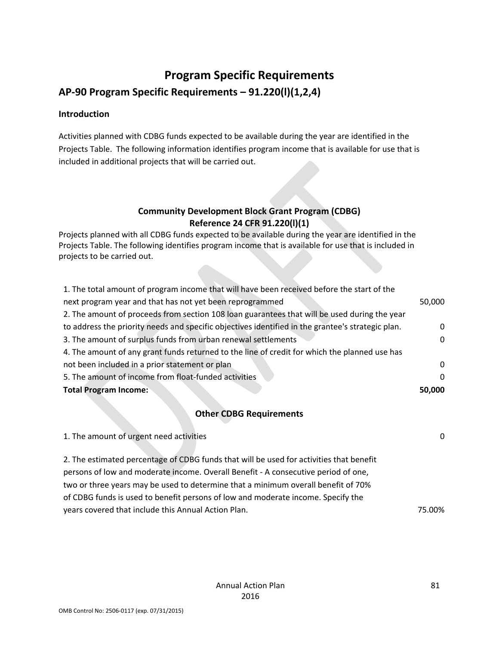# **Program Specific Requirements**

# **AP‐90 Program Specific Requirements – 91.220(l)(1,2,4)**

#### **Introduction**

Activities planned with CDBG funds expected to be available during the year are identified in the Projects Table. The following information identifies program income that is available for use that is included in additional projects that will be carried out.

## **Community Development Block Grant Program (CDBG) Reference 24 CFR 91.220(l)(1)**

Projects planned with all CDBG funds expected to be available during the year are identified in the Projects Table. The following identifies program income that is available for use that is included in projects to be carried out.

| 1. The total amount of program income that will have been received before the start of the        |          |
|---------------------------------------------------------------------------------------------------|----------|
| next program year and that has not yet been reprogrammed                                          | 50,000   |
| 2. The amount of proceeds from section 108 loan guarantees that will be used during the year      |          |
| to address the priority needs and specific objectives identified in the grantee's strategic plan. | $\Omega$ |
| 3. The amount of surplus funds from urban renewal settlements                                     | 0        |
| 4. The amount of any grant funds returned to the line of credit for which the planned use has     |          |
| not been included in a prior statement or plan                                                    | $\Omega$ |
| 5. The amount of income from float-funded activities                                              | $\Omega$ |
| <b>Total Program Income:</b>                                                                      | 50,000   |
|                                                                                                   |          |

## **Other CDBG Requirements**

| 1. The amount of urgent need activities                                                 | $\Omega$ |
|-----------------------------------------------------------------------------------------|----------|
| 2. The estimated percentage of CDBG funds that will be used for activities that benefit |          |
| persons of low and moderate income. Overall Benefit - A consecutive period of one,      |          |
| two or three years may be used to determine that a minimum overall benefit of 70%       |          |
| of CDBG funds is used to benefit persons of low and moderate income. Specify the        |          |
| years covered that include this Annual Action Plan.                                     | 75.00%   |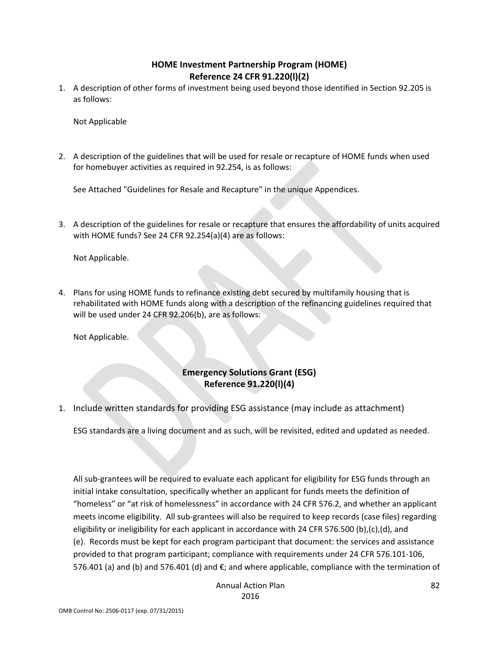## **HOME Investment Partnership Program (HOME) Reference 24 CFR 91.220(l)(2)**

1. A description of other forms of investment being used beyond those identified in Section 92.205 is as follows:

Not Applicable

2. A description of the guidelines that will be used for resale or recapture of HOME funds when used for homebuyer activities as required in 92.254, is as follows:

See Attached "Guidelines for Resale and Recapture" in the unique Appendices.

3. A description of the guidelines for resale or recapture that ensures the affordability of units acquired with HOME funds? See 24 CFR 92.254(a)(4) are as follows:

Not Applicable.

4. Plans for using HOME funds to refinance existing debt secured by multifamily housing that is rehabilitated with HOME funds along with a description of the refinancing guidelines required that will be used under 24 CFR 92.206(b), are as follows:

Not Applicable.

## **Emergency Solutions Grant (ESG) Reference 91.220(l)(4)**

1. Include written standards for providing ESG assistance (may include as attachment)

ESG standards are a living document and as such, will be revisited, edited and updated as needed.

All sub‐grantees will be required to evaluate each applicant for eligibility for ESG funds through an initial intake consultation, specifically whether an applicant for funds meets the definition of "homeless" or "at risk of homelessness" in accordance with 24 CFR 576.2, and whether an applicant meets income eligibility. All sub‐grantees will also be required to keep records (case files) regarding eligibility or ineligibility for each applicant in accordance with 24 CFR 576.500 (b),(c),(d), and (e). Records must be kept for each program participant that document: the services and assistance provided to that program participant; compliance with requirements under 24 CFR 576.101‐106, 576.401 (a) and (b) and 576.401 (d) and  $\epsilon$ ; and where applicable, compliance with the termination of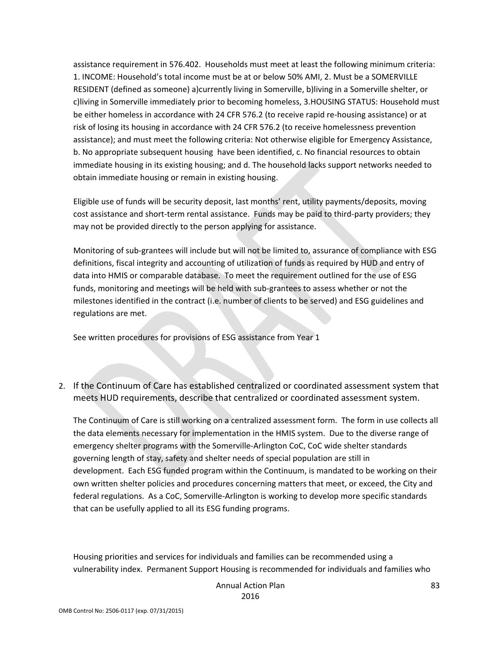assistance requirement in 576.402. Households must meet at least the following minimum criteria: 1. INCOME: Household's total income must be at or below 50% AMI, 2. Must be a SOMERVILLE RESIDENT (defined as someone) a)currently living in Somerville, b)living in a Somerville shelter, or c)living in Somerville immediately prior to becoming homeless, 3.HOUSING STATUS: Household must be either homeless in accordance with 24 CFR 576.2 (to receive rapid re‐housing assistance) or at risk of losing its housing in accordance with 24 CFR 576.2 (to receive homelessness prevention assistance); and must meet the following criteria: Not otherwise eligible for Emergency Assistance, b. No appropriate subsequent housing have been identified, c. No financial resources to obtain immediate housing in its existing housing; and d. The household lacks support networks needed to obtain immediate housing or remain in existing housing.

Eligible use of funds will be security deposit, last months' rent, utility payments/deposits, moving cost assistance and short-term rental assistance. Funds may be paid to third-party providers; they may not be provided directly to the person applying for assistance.

Monitoring of sub‐grantees will include but will not be limited to, assurance of compliance with ESG definitions, fiscal integrity and accounting of utilization of funds as required by HUD and entry of data into HMIS or comparable database. To meet the requirement outlined for the use of ESG funds, monitoring and meetings will be held with sub-grantees to assess whether or not the milestones identified in the contract (i.e. number of clients to be served) and ESG guidelines and regulations are met.

See written procedures for provisions of ESG assistance from Year 1

2. If the Continuum of Care has established centralized or coordinated assessment system that meets HUD requirements, describe that centralized or coordinated assessment system.

The Continuum of Care is still working on a centralized assessment form. The form in use collects all the data elements necessary for implementation in the HMIS system. Due to the diverse range of emergency shelter programs with the Somerville‐Arlington CoC, CoC wide shelter standards governing length of stay, safety and shelter needs of special population are still in development. Each ESG funded program within the Continuum, is mandated to be working on their own written shelter policies and procedures concerning matters that meet, or exceed, the City and federal regulations. As a CoC, Somerville‐Arlington is working to develop more specific standards that can be usefully applied to all its ESG funding programs.

Housing priorities and services for individuals and families can be recommended using a vulnerability index. Permanent Support Housing is recommended for individuals and families who

> Annual Action Plan 2016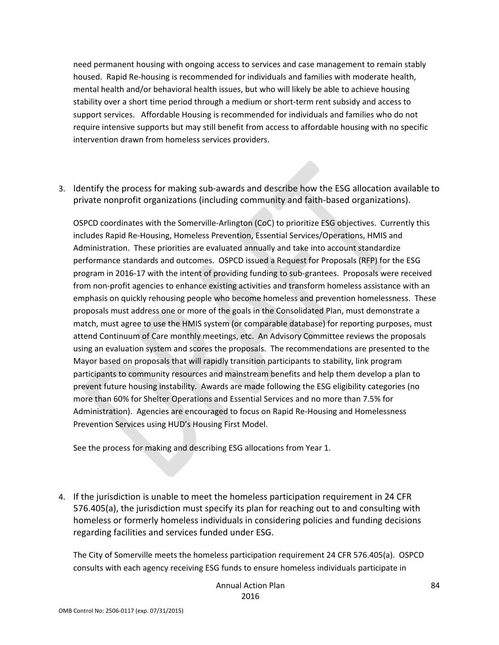need permanent housing with ongoing access to services and case management to remain stably housed. Rapid Re‐housing is recommended for individuals and families with moderate health, mental health and/or behavioral health issues, but who will likely be able to achieve housing stability over a short time period through a medium or short‐term rent subsidy and access to support services. Affordable Housing is recommended for individuals and families who do not require intensive supports but may still benefit from access to affordable housing with no specific intervention drawn from homeless services providers.

3. Identify the process for making sub‐awards and describe how the ESG allocation available to private nonprofit organizations (including community and faith‐based organizations).

OSPCD coordinates with the Somerville‐Arlington (CoC) to prioritize ESG objectives. Currently this includes Rapid Re‐Housing, Homeless Prevention, Essential Services/Operations, HMIS and Administration. These priorities are evaluated annually and take into account standardize performance standards and outcomes. OSPCD issued a Request for Proposals (RFP) for the ESG program in 2016‐17 with the intent of providing funding to sub‐grantees. Proposals were received from non-profit agencies to enhance existing activities and transform homeless assistance with an emphasis on quickly rehousing people who become homeless and prevention homelessness. These proposals must address one or more of the goals in the Consolidated Plan, must demonstrate a match, must agree to use the HMIS system (or comparable database) for reporting purposes, must attend Continuum of Care monthly meetings, etc. An Advisory Committee reviews the proposals using an evaluation system and scores the proposals. The recommendations are presented to the Mayor based on proposals that will rapidly transition participants to stability, link program participants to community resources and mainstream benefits and help them develop a plan to prevent future housing instability. Awards are made following the ESG eligibility categories (no more than 60% for Shelter Operations and Essential Services and no more than 7.5% for Administration). Agencies are encouraged to focus on Rapid Re‐Housing and Homelessness Prevention Services using HUD's Housing First Model.

See the process for making and describing ESG allocations from Year 1.

4. If the jurisdiction is unable to meet the homeless participation requirement in 24 CFR 576.405(a), the jurisdiction must specify its plan for reaching out to and consulting with homeless or formerly homeless individuals in considering policies and funding decisions regarding facilities and services funded under ESG.

The City of Somerville meets the homeless participation requirement 24 CFR 576.405(a). OSPCD consults with each agency receiving ESG funds to ensure homeless individuals participate in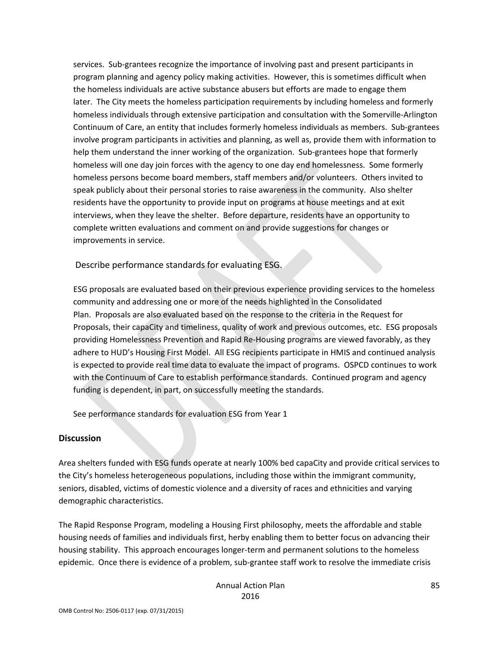services. Sub-grantees recognize the importance of involving past and present participants in program planning and agency policy making activities. However, this is sometimes difficult when the homeless individuals are active substance abusers but efforts are made to engage them later. The City meets the homeless participation requirements by including homeless and formerly homeless individuals through extensive participation and consultation with the Somerville‐Arlington Continuum of Care, an entity that includes formerly homeless individuals as members. Sub‐grantees involve program participants in activities and planning, as well as, provide them with information to help them understand the inner working of the organization. Sub-grantees hope that formerly homeless will one day join forces with the agency to one day end homelessness. Some formerly homeless persons become board members, staff members and/or volunteers. Others invited to speak publicly about their personal stories to raise awareness in the community. Also shelter residents have the opportunity to provide input on programs at house meetings and at exit interviews, when they leave the shelter. Before departure, residents have an opportunity to complete written evaluations and comment on and provide suggestions for changes or improvements in service.

Describe performance standards for evaluating ESG.

ESG proposals are evaluated based on their previous experience providing services to the homeless community and addressing one or more of the needs highlighted in the Consolidated Plan. Proposals are also evaluated based on the response to the criteria in the Request for Proposals, their capaCity and timeliness, quality of work and previous outcomes, etc. ESG proposals providing Homelessness Prevention and Rapid Re‐Housing programs are viewed favorably, as they adhere to HUD's Housing First Model. All ESG recipients participate in HMIS and continued analysis is expected to provide real time data to evaluate the impact of programs. OSPCD continues to work with the Continuum of Care to establish performance standards. Continued program and agency funding is dependent, in part, on successfully meeting the standards.

See performance standards for evaluation ESG from Year 1

#### **Discussion**

Area shelters funded with ESG funds operate at nearly 100% bed capaCity and provide critical services to the City's homeless heterogeneous populations, including those within the immigrant community, seniors, disabled, victims of domestic violence and a diversity of races and ethnicities and varying demographic characteristics.

The Rapid Response Program, modeling a Housing First philosophy, meets the affordable and stable housing needs of families and individuals first, herby enabling them to better focus on advancing their housing stability. This approach encourages longer‐term and permanent solutions to the homeless epidemic. Once there is evidence of a problem, sub‐grantee staff work to resolve the immediate crisis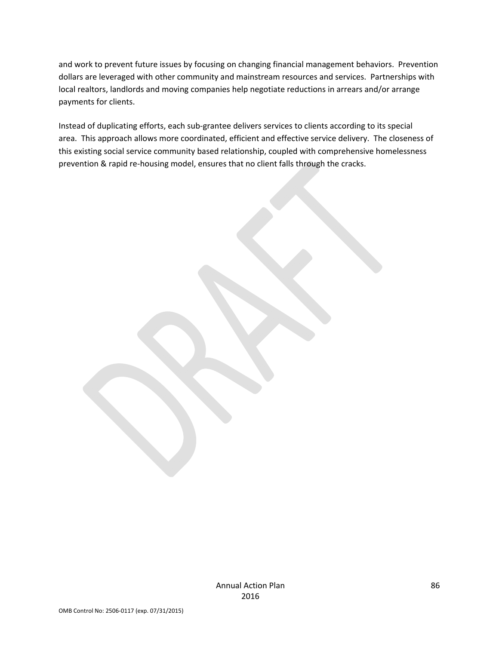and work to prevent future issues by focusing on changing financial management behaviors. Prevention dollars are leveraged with other community and mainstream resources and services. Partnerships with local realtors, landlords and moving companies help negotiate reductions in arrears and/or arrange payments for clients.

Instead of duplicating efforts, each sub‐grantee delivers services to clients according to its special area. This approach allows more coordinated, efficient and effective service delivery. The closeness of this existing social service community based relationship, coupled with comprehensive homelessness prevention & rapid re‐housing model, ensures that no client falls through the cracks.